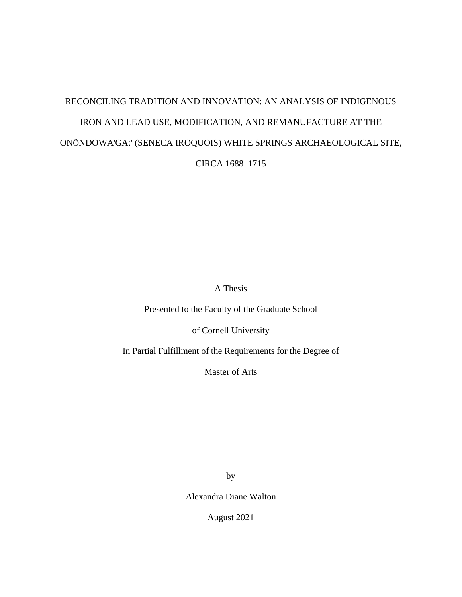# RECONCILING TRADITION AND INNOVATION: AN ANALYSIS OF INDIGENOUS IRON AND LEAD USE, MODIFICATION, AND REMANUFACTURE AT THE ONÖNDOWA'GA:' (SENECA IROQUOIS) WHITE SPRINGS ARCHAEOLOGICAL SITE,

CIRCA 1688–1715

A Thesis

Presented to the Faculty of the Graduate School

of Cornell University

In Partial Fulfillment of the Requirements for the Degree of

Master of Arts

by

Alexandra Diane Walton

August 2021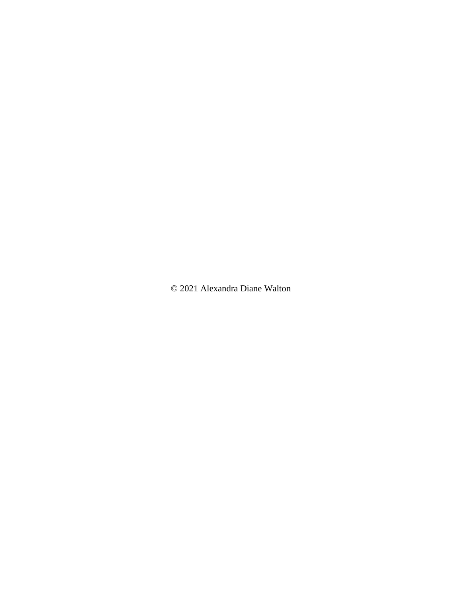© 2021 Alexandra Diane Walton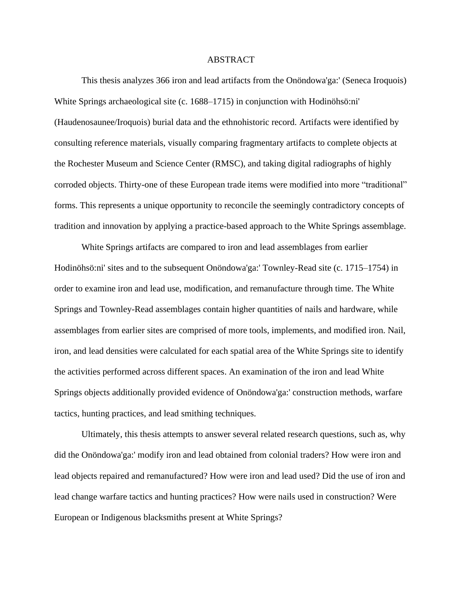### ABSTRACT

This thesis analyzes 366 iron and lead artifacts from the Onöndowa'ga:' (Seneca Iroquois) White Springs archaeological site (c. 1688–1715) in conjunction with Hodinöhsö:ni' (Haudenosaunee/Iroquois) burial data and the ethnohistoric record. Artifacts were identified by consulting reference materials, visually comparing fragmentary artifacts to complete objects at the Rochester Museum and Science Center (RMSC), and taking digital radiographs of highly corroded objects. Thirty-one of these European trade items were modified into more "traditional" forms. This represents a unique opportunity to reconcile the seemingly contradictory concepts of tradition and innovation by applying a practice-based approach to the White Springs assemblage.

White Springs artifacts are compared to iron and lead assemblages from earlier Hodinöhsö:ni' sites and to the subsequent Onöndowa'ga:' Townley-Read site (c. 1715–1754) in order to examine iron and lead use, modification, and remanufacture through time. The White Springs and Townley-Read assemblages contain higher quantities of nails and hardware, while assemblages from earlier sites are comprised of more tools, implements, and modified iron. Nail, iron, and lead densities were calculated for each spatial area of the White Springs site to identify the activities performed across different spaces. An examination of the iron and lead White Springs objects additionally provided evidence of Onöndowa'ga:' construction methods, warfare tactics, hunting practices, and lead smithing techniques.

Ultimately, this thesis attempts to answer several related research questions, such as, why did the Onöndowa'ga:' modify iron and lead obtained from colonial traders? How were iron and lead objects repaired and remanufactured? How were iron and lead used? Did the use of iron and lead change warfare tactics and hunting practices? How were nails used in construction? Were European or Indigenous blacksmiths present at White Springs?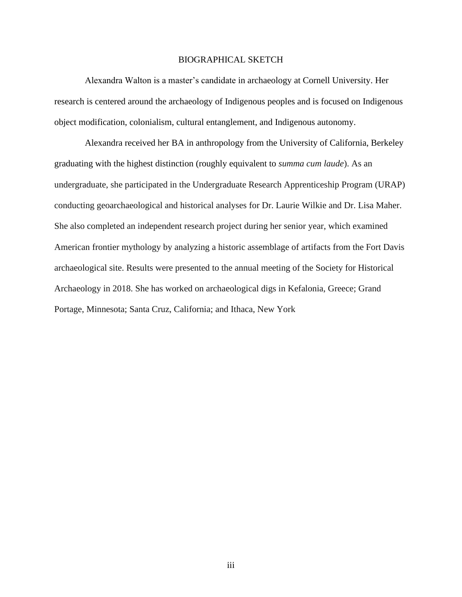#### BIOGRAPHICAL SKETCH

<span id="page-3-0"></span>Alexandra Walton is a master's candidate in archaeology at Cornell University. Her research is centered around the archaeology of Indigenous peoples and is focused on Indigenous object modification, colonialism, cultural entanglement, and Indigenous autonomy.

Alexandra received her BA in anthropology from the University of California, Berkeley graduating with the highest distinction (roughly equivalent to *summa cum laude*). As an undergraduate, she participated in the Undergraduate Research Apprenticeship Program (URAP) conducting geoarchaeological and historical analyses for Dr. Laurie Wilkie and Dr. Lisa Maher. She also completed an independent research project during her senior year, which examined American frontier mythology by analyzing a historic assemblage of artifacts from the Fort Davis archaeological site. Results were presented to the annual meeting of the Society for Historical Archaeology in 2018. She has worked on archaeological digs in Kefalonia, Greece; Grand Portage, Minnesota; Santa Cruz, California; and Ithaca, New York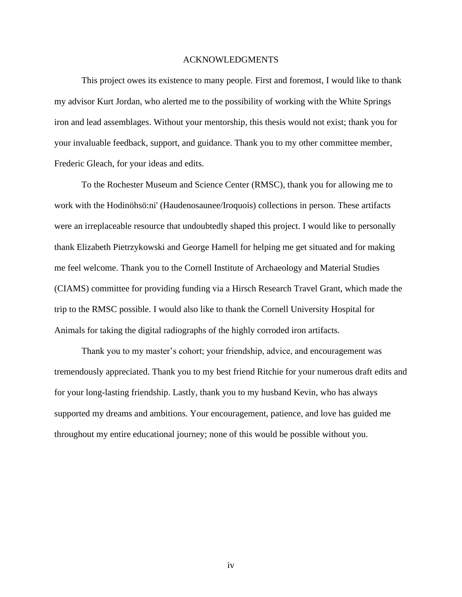#### ACKNOWLEDGMENTS

<span id="page-4-0"></span>This project owes its existence to many people. First and foremost, I would like to thank my advisor Kurt Jordan, who alerted me to the possibility of working with the White Springs iron and lead assemblages. Without your mentorship, this thesis would not exist; thank you for your invaluable feedback, support, and guidance. Thank you to my other committee member, Frederic Gleach, for your ideas and edits.

To the Rochester Museum and Science Center (RMSC), thank you for allowing me to work with the Hodinöhsö:ni' (Haudenosaunee/Iroquois) collections in person. These artifacts were an irreplaceable resource that undoubtedly shaped this project. I would like to personally thank Elizabeth Pietrzykowski and George Hamell for helping me get situated and for making me feel welcome. Thank you to the Cornell Institute of Archaeology and Material Studies (CIAMS) committee for providing funding via a Hirsch Research Travel Grant, which made the trip to the RMSC possible. I would also like to thank the Cornell University Hospital for Animals for taking the digital radiographs of the highly corroded iron artifacts.

Thank you to my master's cohort; your friendship, advice, and encouragement was tremendously appreciated. Thank you to my best friend Ritchie for your numerous draft edits and for your long-lasting friendship. Lastly, thank you to my husband Kevin, who has always supported my dreams and ambitions. Your encouragement, patience, and love has guided me throughout my entire educational journey; none of this would be possible without you.

iv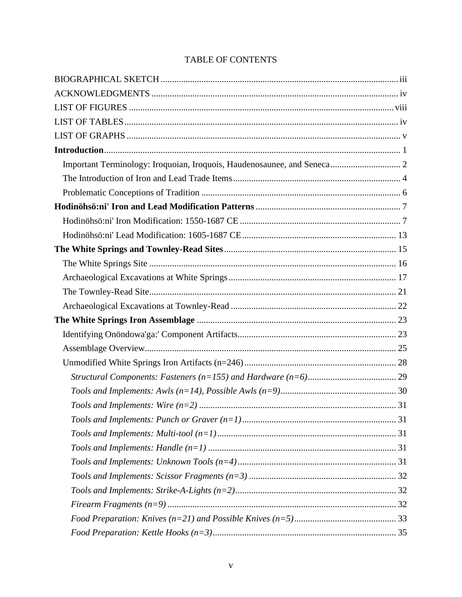# TABLE OF CONTENTS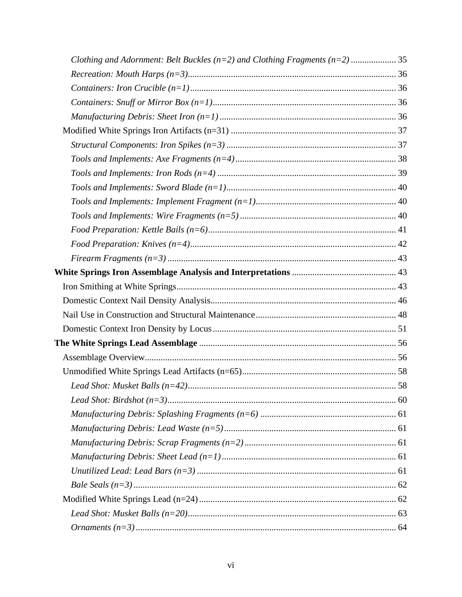| Clothing and Adornment: Belt Buckles ( $n=2$ ) and Clothing Fragments ( $n=2$ )  35 |  |
|-------------------------------------------------------------------------------------|--|
|                                                                                     |  |
|                                                                                     |  |
|                                                                                     |  |
|                                                                                     |  |
|                                                                                     |  |
|                                                                                     |  |
|                                                                                     |  |
|                                                                                     |  |
|                                                                                     |  |
|                                                                                     |  |
|                                                                                     |  |
|                                                                                     |  |
|                                                                                     |  |
|                                                                                     |  |
|                                                                                     |  |
|                                                                                     |  |
|                                                                                     |  |
|                                                                                     |  |
|                                                                                     |  |
|                                                                                     |  |
|                                                                                     |  |
|                                                                                     |  |
|                                                                                     |  |
|                                                                                     |  |
|                                                                                     |  |
|                                                                                     |  |
|                                                                                     |  |
|                                                                                     |  |
|                                                                                     |  |
|                                                                                     |  |
|                                                                                     |  |
|                                                                                     |  |
|                                                                                     |  |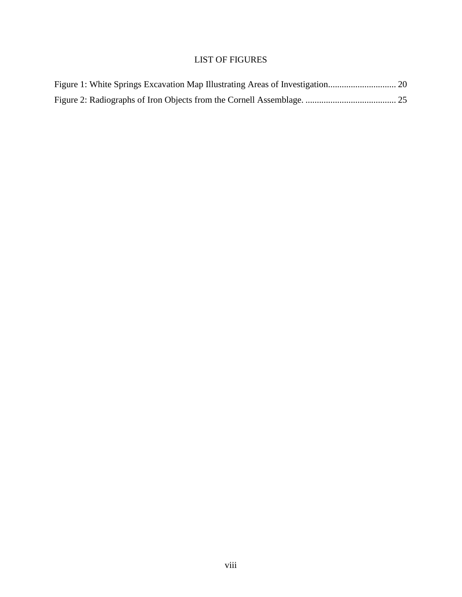# LIST OF FIGURES

<span id="page-8-0"></span>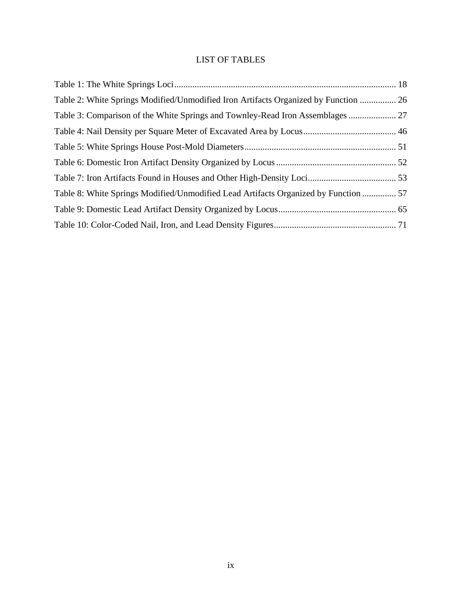# LIST OF TABLES

<span id="page-9-0"></span>

| Table 2: White Springs Modified/Unmodified Iron Artifacts Organized by Function  26 |  |
|-------------------------------------------------------------------------------------|--|
| Table 3: Comparison of the White Springs and Townley-Read Iron Assemblages  27      |  |
|                                                                                     |  |
|                                                                                     |  |
|                                                                                     |  |
|                                                                                     |  |
| Table 8: White Springs Modified/Unmodified Lead Artifacts Organized by Function  57 |  |
|                                                                                     |  |
|                                                                                     |  |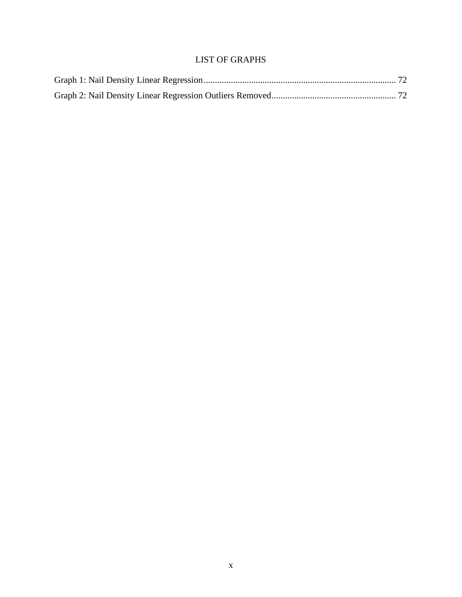# LIST OF GRAPHS

<span id="page-10-0"></span>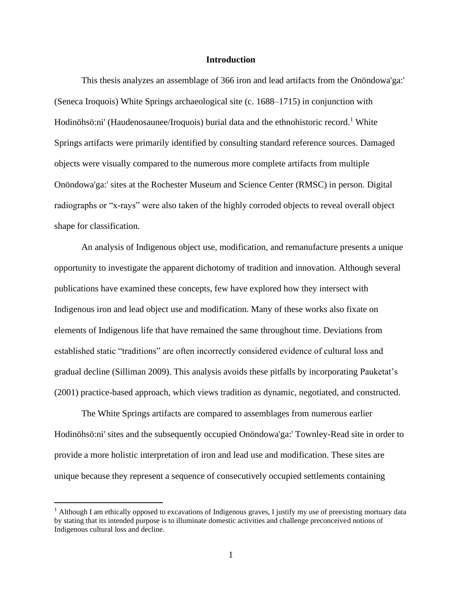#### **Introduction**

<span id="page-11-0"></span>This thesis analyzes an assemblage of 366 iron and lead artifacts from the Onöndowa'ga:' (Seneca Iroquois) White Springs archaeological site (c. 1688–1715) in conjunction with Hodinöhsö:ni' (Haudenosaunee/Iroquois) burial data and the ethnohistoric record.<sup>1</sup> White Springs artifacts were primarily identified by consulting standard reference sources. Damaged objects were visually compared to the numerous more complete artifacts from multiple Onöndowa'ga:' sites at the Rochester Museum and Science Center (RMSC) in person. Digital radiographs or "x-rays" were also taken of the highly corroded objects to reveal overall object shape for classification.

An analysis of Indigenous object use, modification, and remanufacture presents a unique opportunity to investigate the apparent dichotomy of tradition and innovation. Although several publications have examined these concepts, few have explored how they intersect with Indigenous iron and lead object use and modification. Many of these works also fixate on elements of Indigenous life that have remained the same throughout time. Deviations from established static "traditions" are often incorrectly considered evidence of cultural loss and gradual decline (Silliman 2009). This analysis avoids these pitfalls by incorporating Pauketat's (2001) practice-based approach, which views tradition as dynamic, negotiated, and constructed.

The White Springs artifacts are compared to assemblages from numerous earlier Hodinöhsö:ni' sites and the subsequently occupied Onöndowa'ga:' Townley-Read site in order to provide a more holistic interpretation of iron and lead use and modification. These sites are unique because they represent a sequence of consecutively occupied settlements containing

<sup>&</sup>lt;sup>1</sup> Although I am ethically opposed to excavations of Indigenous graves, I justify my use of preexisting mortuary data by stating that its intended purpose is to illuminate domestic activities and challenge preconceived notions of Indigenous cultural loss and decline.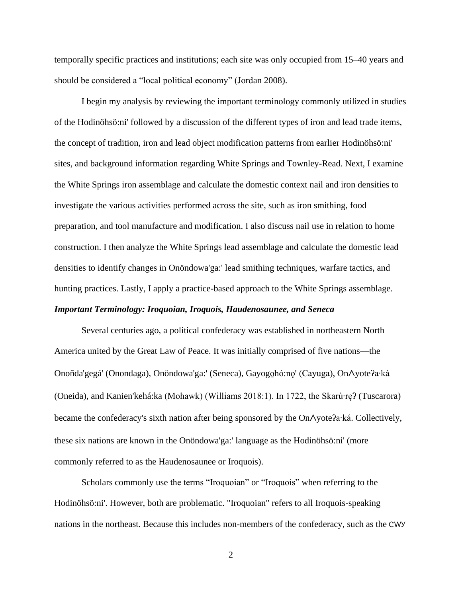temporally specific practices and institutions; each site was only occupied from 15–40 years and should be considered a "local political economy" (Jordan 2008).

I begin my analysis by reviewing the important terminology commonly utilized in studies of the Hodinöhsö:ni' followed by a discussion of the different types of iron and lead trade items, the concept of tradition, iron and lead object modification patterns from earlier Hodinöhsö:ni' sites, and background information regarding White Springs and Townley-Read. Next, I examine the White Springs iron assemblage and calculate the domestic context nail and iron densities to investigate the various activities performed across the site, such as iron smithing, food preparation, and tool manufacture and modification. I also discuss nail use in relation to home construction. I then analyze the White Springs lead assemblage and calculate the domestic lead densities to identify changes in Onöndowa'ga:' lead smithing techniques, warfare tactics, and hunting practices. Lastly, I apply a practice-based approach to the White Springs assemblage.

## <span id="page-12-0"></span>*Important Terminology: Iroquoian, Iroquois, Haudenosaunee, and Seneca*

Several centuries ago, a political confederacy was established in northeastern North America united by the Great Law of Peace. It was initially comprised of five nations—the Onoñda'gegá' (Onondaga), Onöndowa'ga:' (Seneca), Gayogo̱hó:nǫ' (Cayuga), Onᐱyoteʔa∙ká (Oneida), and Kanien'kehá:ka (Mohawk) (Williams 2018:1). In 1722, the Skarù∙ręʔ (Tuscarora) became the confederacy's sixth nation after being sponsored by the On∧yoteʔa∙ká. Collectively, these six nations are known in the Onöndowa'ga:' language as the Hodinöhsö:ni' (more commonly referred to as the Haudenosaunee or Iroquois).

Scholars commonly use the terms "Iroquoian" or "Iroquois" when referring to the Hodinöhsö:ni'. However, both are problematic. "Iroquoian" refers to all Iroquois-speaking nations in the northeast. Because this includes non-members of the confederacy, such as the CWY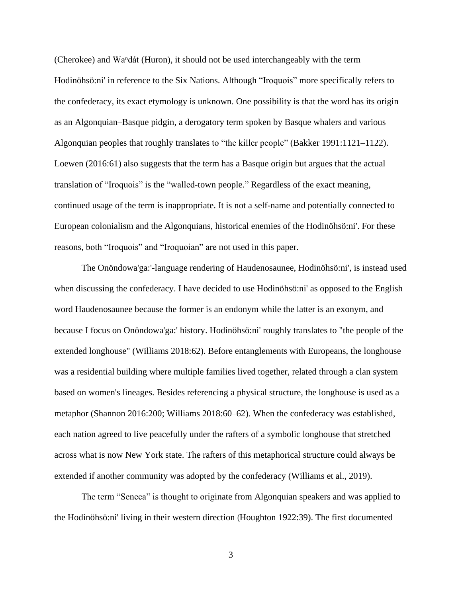(Cherokee) and Waⁿdát (Huron), it should not be used interchangeably with the term Hodinöhsö:ni' in reference to the Six Nations. Although "Iroquois" more specifically refers to the confederacy, its exact etymology is unknown. One possibility is that the word has its origin as an Algonquian–Basque pidgin, a derogatory term spoken by Basque whalers and various Algonquian peoples that roughly translates to "the killer people" (Bakker 1991:1121–1122). Loewen (2016:61) also suggests that the term has a Basque origin but argues that the actual translation of "Iroquois" is the "walled-town people." Regardless of the exact meaning, continued usage of the term is inappropriate. It is not a self-name and potentially connected to European colonialism and the Algonquians, historical enemies of the Hodinöhsö:ni'. For these reasons, both "Iroquois" and "Iroquoian" are not used in this paper.

The Onöndowa'ga:'-language rendering of Haudenosaunee, Hodinöhsö:ni', is instead used when discussing the confederacy. I have decided to use Hodinöhsö:ni' as opposed to the English word Haudenosaunee because the former is an endonym while the latter is an exonym, and because I focus on Onöndowa'ga:' history. Hodinöhsö:ni' roughly translates to "the people of the extended longhouse" (Williams 2018:62). Before entanglements with Europeans, the longhouse was a residential building where multiple families lived together, related through a clan system based on women's lineages. Besides referencing a physical structure, the longhouse is used as a metaphor (Shannon 2016:200; Williams 2018:60–62). When the confederacy was established, each nation agreed to live peacefully under the rafters of a symbolic longhouse that stretched across what is now New York state. The rafters of this metaphorical structure could always be extended if another community was adopted by the confederacy (Williams et al., 2019).

The term "Seneca" is thought to originate from Algonquian speakers and was applied to the Hodinöhsö:ni' living in their western direction (Houghton 1922:39). The first documented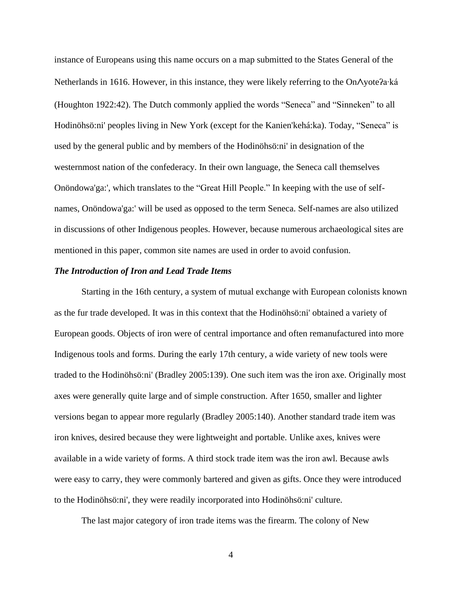instance of Europeans using this name occurs on a map submitted to the States General of the Netherlands in 1616. However, in this instance, they were likely referring to the On∧yoteʔa∙ká (Houghton 1922:42). The Dutch commonly applied the words "Seneca" and "Sinneken" to all Hodinöhsö:ni' peoples living in New York (except for the Kanien'kehá:ka). Today, "Seneca" is used by the general public and by members of the Hodinöhsö:ni' in designation of the westernmost nation of the confederacy. In their own language, the Seneca call themselves Onöndowa'ga:', which translates to the "Great Hill People." In keeping with the use of selfnames, Onöndowa'ga:' will be used as opposed to the term Seneca. Self-names are also utilized in discussions of other Indigenous peoples. However, because numerous archaeological sites are mentioned in this paper, common site names are used in order to avoid confusion.

## <span id="page-14-0"></span>*The Introduction of Iron and Lead Trade Items*

Starting in the 16th century, a system of mutual exchange with European colonists known as the fur trade developed. It was in this context that the Hodinöhsö:ni' obtained a variety of European goods. Objects of iron were of central importance and often remanufactured into more Indigenous tools and forms. During the early 17th century, a wide variety of new tools were traded to the Hodinöhsö:ni' (Bradley 2005:139). One such item was the iron axe. Originally most axes were generally quite large and of simple construction. After 1650, smaller and lighter versions began to appear more regularly (Bradley 2005:140). Another standard trade item was iron knives, desired because they were lightweight and portable. Unlike axes, knives were available in a wide variety of forms. A third stock trade item was the iron awl. Because awls were easy to carry, they were commonly bartered and given as gifts. Once they were introduced to the Hodinöhsö:ni', they were readily incorporated into Hodinöhsö:ni' culture.

The last major category of iron trade items was the firearm. The colony of New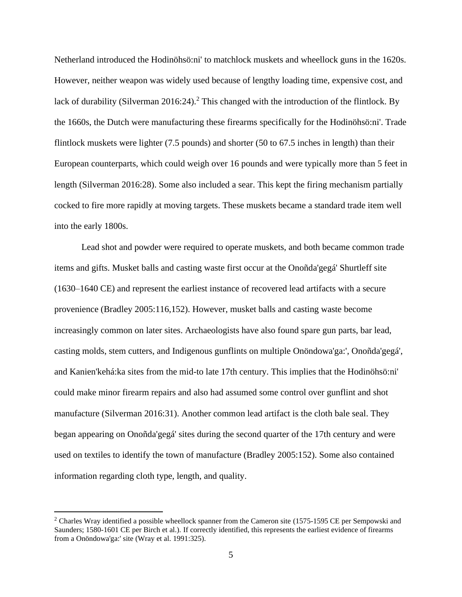Netherland introduced the Hodinöhsö:ni' to matchlock muskets and wheellock guns in the 1620s. However, neither weapon was widely used because of lengthy loading time, expensive cost, and lack of durability (Silverman 2016:24).<sup>2</sup> This changed with the introduction of the flintlock. By the 1660s, the Dutch were manufacturing these firearms specifically for the Hodinöhsö:ni'. Trade flintlock muskets were lighter (7.5 pounds) and shorter (50 to 67.5 inches in length) than their European counterparts, which could weigh over 16 pounds and were typically more than 5 feet in length (Silverman 2016:28). Some also included a sear. This kept the firing mechanism partially cocked to fire more rapidly at moving targets. These muskets became a standard trade item well into the early 1800s.

Lead shot and powder were required to operate muskets, and both became common trade items and gifts. Musket balls and casting waste first occur at the Onoñda'gegá' Shurtleff site (1630–1640 CE) and represent the earliest instance of recovered lead artifacts with a secure provenience (Bradley 2005:116,152). However, musket balls and casting waste become increasingly common on later sites. Archaeologists have also found spare gun parts, bar lead, casting molds, stem cutters, and Indigenous gunflints on multiple Onöndowa'ga:', Onoñda'gegá', and Kanien'kehá:ka sites from the mid-to late 17th century. This implies that the Hodinöhsö:ni' could make minor firearm repairs and also had assumed some control over gunflint and shot manufacture (Silverman 2016:31). Another common lead artifact is the cloth bale seal. They began appearing on Onoñda'gegá' sites during the second quarter of the 17th century and were used on textiles to identify the town of manufacture (Bradley 2005:152). Some also contained information regarding cloth type, length, and quality.

<sup>&</sup>lt;sup>2</sup> Charles Wray identified a possible wheellock spanner from the Cameron site (1575-1595 CE per Sempowski and Saunders; 1580-1601 CE per Birch et al.). If correctly identified, this represents the earliest evidence of firearms from a Onöndowa'ga:' site (Wray et al. 1991:325).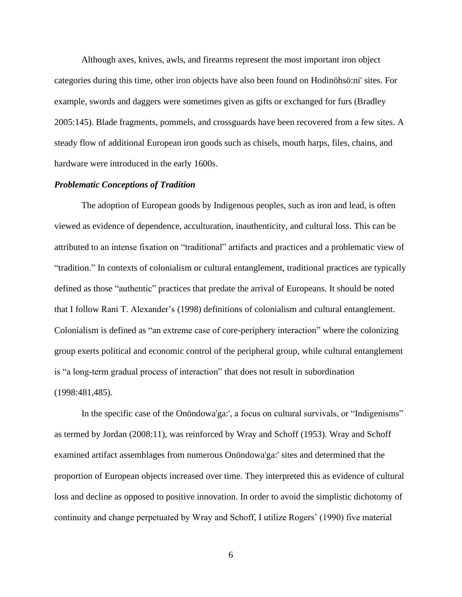Although axes, knives, awls, and firearms represent the most important iron object categories during this time, other iron objects have also been found on Hodinöhsö:ni' sites. For example, swords and daggers were sometimes given as gifts or exchanged for furs (Bradley 2005:145). Blade fragments, pommels, and crossguards have been recovered from a few sites. A steady flow of additional European iron goods such as chisels, mouth harps, files, chains, and hardware were introduced in the early 1600s.

## <span id="page-16-0"></span>*Problematic Conceptions of Tradition*

The adoption of European goods by Indigenous peoples, such as iron and lead, is often viewed as evidence of dependence, acculturation, inauthenticity, and cultural loss. This can be attributed to an intense fixation on "traditional" artifacts and practices and a problematic view of "tradition." In contexts of colonialism or cultural entanglement, traditional practices are typically defined as those "authentic" practices that predate the arrival of Europeans. It should be noted that I follow Rani T. Alexander's (1998) definitions of colonialism and cultural entanglement. Colonialism is defined as "an extreme case of core-periphery interaction" where the colonizing group exerts political and economic control of the peripheral group, while cultural entanglement is "a long-term gradual process of interaction" that does not result in subordination (1998:481,485).

In the specific case of the Onöndowa'ga:', a focus on cultural survivals, or "Indigenisms" as termed by Jordan (2008:11), was reinforced by Wray and Schoff (1953). Wray and Schoff examined artifact assemblages from numerous Onöndowa'ga:' sites and determined that the proportion of European objects increased over time. They interpreted this as evidence of cultural loss and decline as opposed to positive innovation. In order to avoid the simplistic dichotomy of continuity and change perpetuated by Wray and Schoff, I utilize Rogers' (1990) five material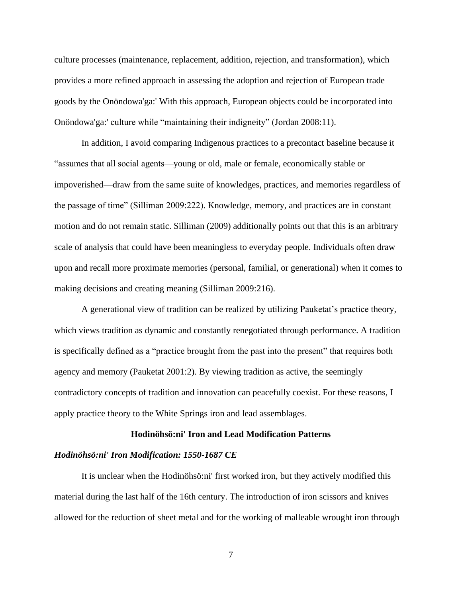culture processes (maintenance, replacement, addition, rejection, and transformation), which provides a more refined approach in assessing the adoption and rejection of European trade goods by the Onöndowa'ga:' With this approach, European objects could be incorporated into Onöndowa'ga:' culture while "maintaining their indigneity" (Jordan 2008:11).

In addition, I avoid comparing Indigenous practices to a precontact baseline because it "assumes that all social agents—young or old, male or female, economically stable or impoverished—draw from the same suite of knowledges, practices, and memories regardless of the passage of time" (Silliman 2009:222). Knowledge, memory, and practices are in constant motion and do not remain static. Silliman (2009) additionally points out that this is an arbitrary scale of analysis that could have been meaningless to everyday people. Individuals often draw upon and recall more proximate memories (personal, familial, or generational) when it comes to making decisions and creating meaning (Silliman 2009:216).

A generational view of tradition can be realized by utilizing Pauketat's practice theory, which views tradition as dynamic and constantly renegotiated through performance. A tradition is specifically defined as a "practice brought from the past into the present" that requires both agency and memory (Pauketat 2001:2). By viewing tradition as active, the seemingly contradictory concepts of tradition and innovation can peacefully coexist. For these reasons, I apply practice theory to the White Springs iron and lead assemblages.

#### **Hodinöhsö:ni' Iron and Lead Modification Patterns**

## <span id="page-17-1"></span><span id="page-17-0"></span>*Hodinöhsö:ni' Iron Modification: 1550-1687 CE*

It is unclear when the Hodinöhsö:ni' first worked iron, but they actively modified this material during the last half of the 16th century. The introduction of iron scissors and knives allowed for the reduction of sheet metal and for the working of malleable wrought iron through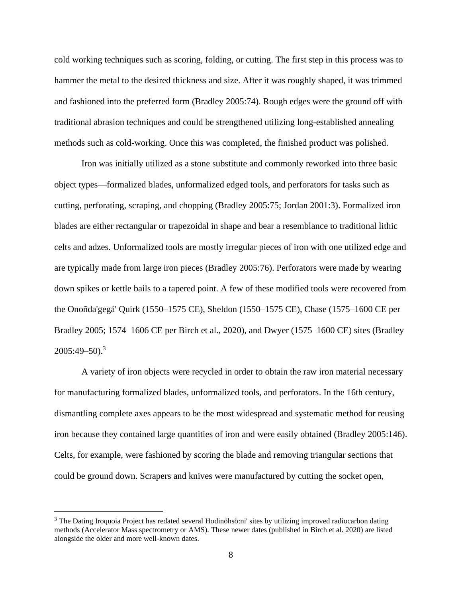cold working techniques such as scoring, folding, or cutting. The first step in this process was to hammer the metal to the desired thickness and size. After it was roughly shaped, it was trimmed and fashioned into the preferred form (Bradley 2005:74). Rough edges were the ground off with traditional abrasion techniques and could be strengthened utilizing long-established annealing methods such as cold-working. Once this was completed, the finished product was polished.

Iron was initially utilized as a stone substitute and commonly reworked into three basic object types—formalized blades, unformalized edged tools, and perforators for tasks such as cutting, perforating, scraping, and chopping (Bradley 2005:75; Jordan 2001:3). Formalized iron blades are either rectangular or trapezoidal in shape and bear a resemblance to traditional lithic celts and adzes. Unformalized tools are mostly irregular pieces of iron with one utilized edge and are typically made from large iron pieces (Bradley 2005:76). Perforators were made by wearing down spikes or kettle bails to a tapered point. A few of these modified tools were recovered from the Onoñda'gegá' Quirk (1550–1575 CE), Sheldon (1550–1575 CE), Chase (1575–1600 CE per Bradley 2005; 1574–1606 CE per Birch et al., 2020), and Dwyer (1575–1600 CE) sites (Bradley 2005:49–50). 3

A variety of iron objects were recycled in order to obtain the raw iron material necessary for manufacturing formalized blades, unformalized tools, and perforators. In the 16th century, dismantling complete axes appears to be the most widespread and systematic method for reusing iron because they contained large quantities of iron and were easily obtained (Bradley 2005:146). Celts, for example, were fashioned by scoring the blade and removing triangular sections that could be ground down. Scrapers and knives were manufactured by cutting the socket open,

<sup>&</sup>lt;sup>3</sup> The Dating Iroquoia Project has redated several Hodinöhsö:ni' sites by utilizing improved radiocarbon dating methods (Accelerator Mass spectrometry or AMS). These newer dates (published in Birch et al. 2020) are listed alongside the older and more well-known dates.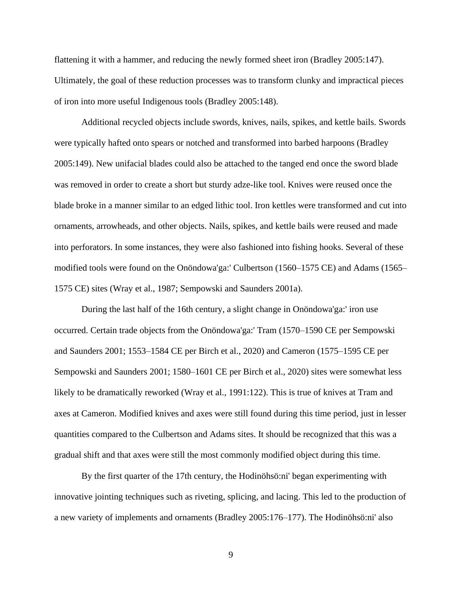flattening it with a hammer, and reducing the newly formed sheet iron (Bradley 2005:147). Ultimately, the goal of these reduction processes was to transform clunky and impractical pieces of iron into more useful Indigenous tools (Bradley 2005:148).

Additional recycled objects include swords, knives, nails, spikes, and kettle bails. Swords were typically hafted onto spears or notched and transformed into barbed harpoons (Bradley 2005:149). New unifacial blades could also be attached to the tanged end once the sword blade was removed in order to create a short but sturdy adze-like tool. Knives were reused once the blade broke in a manner similar to an edged lithic tool. Iron kettles were transformed and cut into ornaments, arrowheads, and other objects. Nails, spikes, and kettle bails were reused and made into perforators. In some instances, they were also fashioned into fishing hooks. Several of these modified tools were found on the Onöndowa'ga:' Culbertson (1560–1575 CE) and Adams (1565– 1575 CE) sites (Wray et al., 1987; Sempowski and Saunders 2001a).

During the last half of the 16th century, a slight change in Onöndowa'ga:' iron use occurred. Certain trade objects from the Onöndowa'ga:' Tram (1570–1590 CE per Sempowski and Saunders 2001; 1553–1584 CE per Birch et al., 2020) and Cameron (1575–1595 CE per Sempowski and Saunders 2001; 1580–1601 CE per Birch et al., 2020) sites were somewhat less likely to be dramatically reworked (Wray et al., 1991:122). This is true of knives at Tram and axes at Cameron. Modified knives and axes were still found during this time period, just in lesser quantities compared to the Culbertson and Adams sites. It should be recognized that this was a gradual shift and that axes were still the most commonly modified object during this time.

By the first quarter of the 17th century, the Hodinöhsö:ni' began experimenting with innovative jointing techniques such as riveting, splicing, and lacing. This led to the production of a new variety of implements and ornaments (Bradley 2005:176–177). The Hodinöhsö:ni' also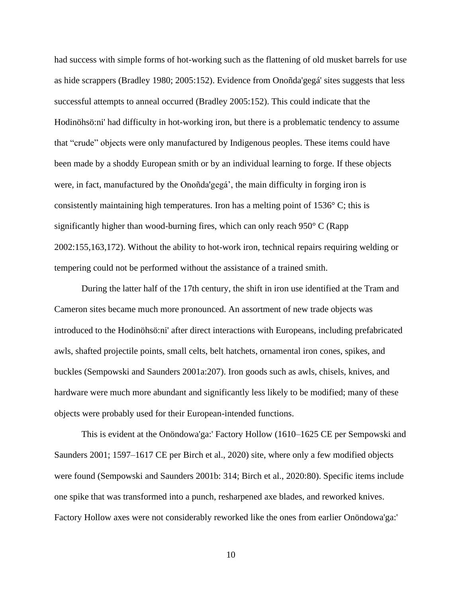had success with simple forms of hot-working such as the flattening of old musket barrels for use as hide scrappers (Bradley 1980; 2005:152). Evidence from Onoñda'gegá' sites suggests that less successful attempts to anneal occurred (Bradley 2005:152). This could indicate that the Hodinöhsö:ni' had difficulty in hot-working iron, but there is a problematic tendency to assume that "crude" objects were only manufactured by Indigenous peoples. These items could have been made by a shoddy European smith or by an individual learning to forge. If these objects were, in fact, manufactured by the Onoñda'gegá', the main difficulty in forging iron is consistently maintaining high temperatures. Iron has a melting point of 1536° C; this is significantly higher than wood-burning fires, which can only reach 950° C (Rapp 2002:155,163,172). Without the ability to hot-work iron, technical repairs requiring welding or tempering could not be performed without the assistance of a trained smith.

During the latter half of the 17th century, the shift in iron use identified at the Tram and Cameron sites became much more pronounced. An assortment of new trade objects was introduced to the Hodinöhsö:ni' after direct interactions with Europeans, including prefabricated awls, shafted projectile points, small celts, belt hatchets, ornamental iron cones, spikes, and buckles (Sempowski and Saunders 2001a:207). Iron goods such as awls, chisels, knives, and hardware were much more abundant and significantly less likely to be modified; many of these objects were probably used for their European-intended functions.

This is evident at the Onöndowa'ga:' Factory Hollow (1610–1625 CE per Sempowski and Saunders 2001; 1597–1617 CE per Birch et al., 2020) site, where only a few modified objects were found (Sempowski and Saunders 2001b: 314; Birch et al., 2020:80). Specific items include one spike that was transformed into a punch, resharpened axe blades, and reworked knives. Factory Hollow axes were not considerably reworked like the ones from earlier Onöndowa'ga:'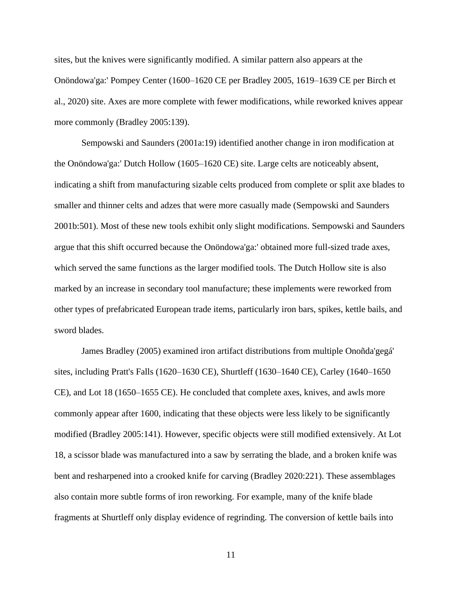sites, but the knives were significantly modified. A similar pattern also appears at the Onöndowa'ga:' Pompey Center (1600–1620 CE per Bradley 2005, 1619–1639 CE per Birch et al., 2020) site. Axes are more complete with fewer modifications, while reworked knives appear more commonly (Bradley 2005:139).

Sempowski and Saunders (2001a:19) identified another change in iron modification at the Onöndowa'ga:' Dutch Hollow (1605–1620 CE) site. Large celts are noticeably absent, indicating a shift from manufacturing sizable celts produced from complete or split axe blades to smaller and thinner celts and adzes that were more casually made (Sempowski and Saunders 2001b:501). Most of these new tools exhibit only slight modifications. Sempowski and Saunders argue that this shift occurred because the Onöndowa'ga:' obtained more full-sized trade axes, which served the same functions as the larger modified tools. The Dutch Hollow site is also marked by an increase in secondary tool manufacture; these implements were reworked from other types of prefabricated European trade items, particularly iron bars, spikes, kettle bails, and sword blades.

James Bradley (2005) examined iron artifact distributions from multiple Onoñda'gegá' sites, including Pratt's Falls (1620–1630 CE), Shurtleff (1630–1640 CE), Carley (1640–1650 CE), and Lot 18 (1650–1655 CE). He concluded that complete axes, knives, and awls more commonly appear after 1600, indicating that these objects were less likely to be significantly modified (Bradley 2005:141). However, specific objects were still modified extensively. At Lot 18, a scissor blade was manufactured into a saw by serrating the blade, and a broken knife was bent and resharpened into a crooked knife for carving (Bradley 2020:221). These assemblages also contain more subtle forms of iron reworking. For example, many of the knife blade fragments at Shurtleff only display evidence of regrinding. The conversion of kettle bails into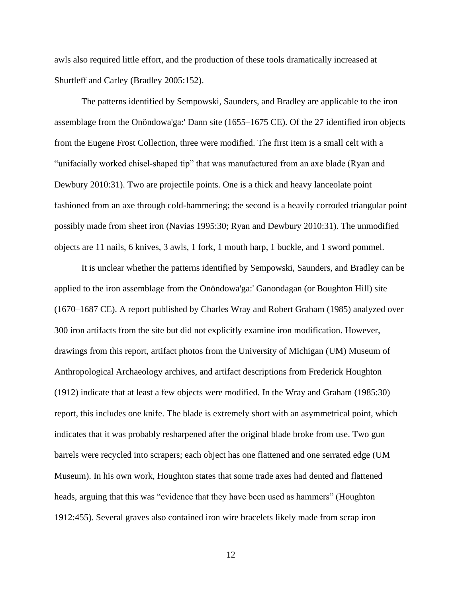awls also required little effort, and the production of these tools dramatically increased at Shurtleff and Carley (Bradley 2005:152).

The patterns identified by Sempowski, Saunders, and Bradley are applicable to the iron assemblage from the Onöndowa'ga:' Dann site (1655–1675 CE). Of the 27 identified iron objects from the Eugene Frost Collection, three were modified. The first item is a small celt with a "unifacially worked chisel-shaped tip" that was manufactured from an axe blade (Ryan and Dewbury 2010:31). Two are projectile points. One is a thick and heavy lanceolate point fashioned from an axe through cold-hammering; the second is a heavily corroded triangular point possibly made from sheet iron (Navias 1995:30; Ryan and Dewbury 2010:31). The unmodified objects are 11 nails, 6 knives, 3 awls, 1 fork, 1 mouth harp, 1 buckle, and 1 sword pommel.

It is unclear whether the patterns identified by Sempowski, Saunders, and Bradley can be applied to the iron assemblage from the Onöndowa'ga:' Ganondagan (or Boughton Hill) site (1670–1687 CE). A report published by Charles Wray and Robert Graham (1985) analyzed over 300 iron artifacts from the site but did not explicitly examine iron modification. However, drawings from this report, artifact photos from the University of Michigan (UM) Museum of Anthropological Archaeology archives, and artifact descriptions from Frederick Houghton (1912) indicate that at least a few objects were modified. In the Wray and Graham (1985:30) report, this includes one knife. The blade is extremely short with an asymmetrical point, which indicates that it was probably resharpened after the original blade broke from use. Two gun barrels were recycled into scrapers; each object has one flattened and one serrated edge (UM Museum). In his own work, Houghton states that some trade axes had dented and flattened heads, arguing that this was "evidence that they have been used as hammers" (Houghton 1912:455). Several graves also contained iron wire bracelets likely made from scrap iron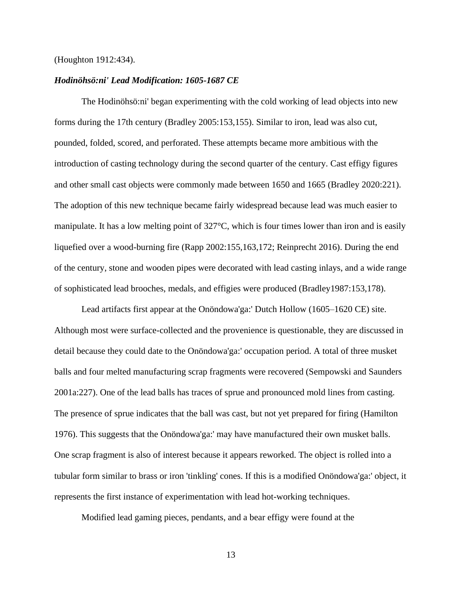#### (Houghton 1912:434).

#### <span id="page-23-0"></span>*Hodinöhsö:ni' Lead Modification: 1605-1687 CE*

The Hodinöhsö:ni' began experimenting with the cold working of lead objects into new forms during the 17th century (Bradley 2005:153,155). Similar to iron, lead was also cut, pounded, folded, scored, and perforated. These attempts became more ambitious with the introduction of casting technology during the second quarter of the century. Cast effigy figures and other small cast objects were commonly made between 1650 and 1665 (Bradley 2020:221). The adoption of this new technique became fairly widespread because lead was much easier to manipulate. It has a low melting point of 327°C, which is four times lower than iron and is easily liquefied over a wood-burning fire (Rapp 2002:155,163,172; Reinprecht 2016). During the end of the century, stone and wooden pipes were decorated with lead casting inlays, and a wide range of sophisticated lead brooches, medals, and effigies were produced (Bradley1987:153,178).

Lead artifacts first appear at the Onöndowa'ga:' Dutch Hollow (1605–1620 CE) site. Although most were surface-collected and the provenience is questionable, they are discussed in detail because they could date to the Onöndowa'ga:' occupation period. A total of three musket balls and four melted manufacturing scrap fragments were recovered (Sempowski and Saunders 2001a:227). One of the lead balls has traces of sprue and pronounced mold lines from casting. The presence of sprue indicates that the ball was cast, but not yet prepared for firing (Hamilton 1976). This suggests that the Onöndowa'ga:' may have manufactured their own musket balls. One scrap fragment is also of interest because it appears reworked. The object is rolled into a tubular form similar to brass or iron 'tinkling' cones. If this is a modified Onöndowa'ga:' object, it represents the first instance of experimentation with lead hot-working techniques.

Modified lead gaming pieces, pendants, and a bear effigy were found at the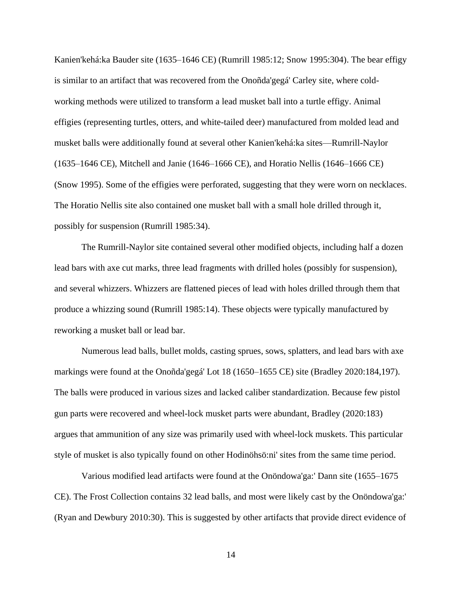Kanien'kehá:ka Bauder site (1635–1646 CE) (Rumrill 1985:12; Snow 1995:304). The bear effigy is similar to an artifact that was recovered from the Onoñda'gegá' Carley site, where coldworking methods were utilized to transform a lead musket ball into a turtle effigy. Animal effigies (representing turtles, otters, and white-tailed deer) manufactured from molded lead and musket balls were additionally found at several other Kanien'kehá:ka sites—Rumrill-Naylor (1635–1646 CE), Mitchell and Janie (1646–1666 CE), and Horatio Nellis (1646–1666 CE) (Snow 1995). Some of the effigies were perforated, suggesting that they were worn on necklaces. The Horatio Nellis site also contained one musket ball with a small hole drilled through it, possibly for suspension (Rumrill 1985:34).

The Rumrill-Naylor site contained several other modified objects, including half a dozen lead bars with axe cut marks, three lead fragments with drilled holes (possibly for suspension), and several whizzers. Whizzers are flattened pieces of lead with holes drilled through them that produce a whizzing sound (Rumrill 1985:14). These objects were typically manufactured by reworking a musket ball or lead bar.

Numerous lead balls, bullet molds, casting sprues, sows, splatters, and lead bars with axe markings were found at the Onoñda'gegá' Lot 18 (1650–1655 CE) site (Bradley 2020:184,197). The balls were produced in various sizes and lacked caliber standardization. Because few pistol gun parts were recovered and wheel-lock musket parts were abundant, Bradley (2020:183) argues that ammunition of any size was primarily used with wheel-lock muskets. This particular style of musket is also typically found on other Hodinöhsö:ni' sites from the same time period.

Various modified lead artifacts were found at the Onöndowa'ga:' Dann site (1655–1675 CE). The Frost Collection contains 32 lead balls, and most were likely cast by the Onöndowa'ga:' (Ryan and Dewbury 2010:30). This is suggested by other artifacts that provide direct evidence of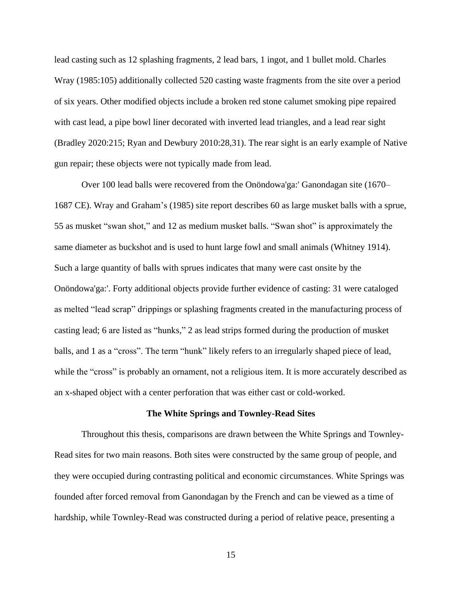lead casting such as 12 splashing fragments, 2 lead bars, 1 ingot, and 1 bullet mold. Charles Wray (1985:105) additionally collected 520 casting waste fragments from the site over a period of six years. Other modified objects include a broken red stone calumet smoking pipe repaired with cast lead, a pipe bowl liner decorated with inverted lead triangles, and a lead rear sight (Bradley 2020:215; Ryan and Dewbury 2010:28,31). The rear sight is an early example of Native gun repair; these objects were not typically made from lead.

Over 100 lead balls were recovered from the Onöndowa'ga:' Ganondagan site (1670– 1687 CE). Wray and Graham's (1985) site report describes 60 as large musket balls with a sprue, 55 as musket "swan shot," and 12 as medium musket balls. "Swan shot" is approximately the same diameter as buckshot and is used to hunt large fowl and small animals (Whitney 1914). Such a large quantity of balls with sprues indicates that many were cast onsite by the Onöndowa'ga:'. Forty additional objects provide further evidence of casting: 31 were cataloged as melted "lead scrap" drippings or splashing fragments created in the manufacturing process of casting lead; 6 are listed as "hunks," 2 as lead strips formed during the production of musket balls, and 1 as a "cross". The term "hunk" likely refers to an irregularly shaped piece of lead, while the "cross" is probably an ornament, not a religious item. It is more accurately described as an x-shaped object with a center perforation that was either cast or cold-worked.

#### **The White Springs and Townley-Read Sites**

<span id="page-25-0"></span>Throughout this thesis, comparisons are drawn between the White Springs and Townley-Read sites for two main reasons. Both sites were constructed by the same group of people, and they were occupied during contrasting political and economic circumstances. White Springs was founded after forced removal from Ganondagan by the French and can be viewed as a time of hardship, while Townley-Read was constructed during a period of relative peace, presenting a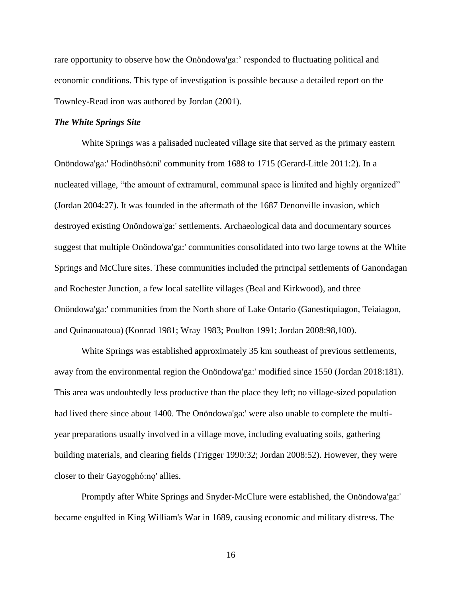rare opportunity to observe how the Onöndowa'ga:' responded to fluctuating political and economic conditions. This type of investigation is possible because a detailed report on the Townley-Read iron was authored by Jordan (2001).

#### <span id="page-26-0"></span>*The White Springs Site*

White Springs was a palisaded nucleated village site that served as the primary eastern Onöndowa'ga:' Hodinöhsö:ni' community from 1688 to 1715 (Gerard-Little 2011:2). In a nucleated village, "the amount of extramural, communal space is limited and highly organized" (Jordan 2004:27). It was founded in the aftermath of the 1687 Denonville invasion, which destroyed existing Onöndowa'ga:' settlements. Archaeological data and documentary sources suggest that multiple Onöndowa'ga:' communities consolidated into two large towns at the White Springs and McClure sites. These communities included the principal settlements of Ganondagan and Rochester Junction, a few local satellite villages (Beal and Kirkwood), and three Onöndowa'ga:' communities from the North shore of Lake Ontario (Ganestiquiagon, Teiaiagon, and Quinaouatoua) (Konrad 1981; Wray 1983; Poulton 1991; Jordan 2008:98,100).

White Springs was established approximately 35 km southeast of previous settlements, away from the environmental region the Onöndowa'ga:' modified since 1550 (Jordan 2018:181). This area was undoubtedly less productive than the place they left; no village-sized population had lived there since about 1400. The Onöndowa'ga:' were also unable to complete the multiyear preparations usually involved in a village move, including evaluating soils, gathering building materials, and clearing fields (Trigger 1990:32; Jordan 2008:52). However, they were closer to their Gayogo̯hó:no' allies.

Promptly after White Springs and Snyder-McClure were established, the Onöndowa'ga:' became engulfed in King William's War in 1689, causing economic and military distress. The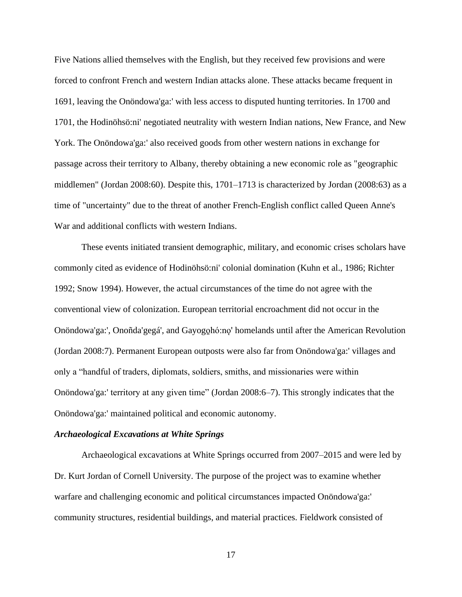Five Nations allied themselves with the English, but they received few provisions and were forced to confront French and western Indian attacks alone. These attacks became frequent in 1691, leaving the Onöndowa'ga:' with less access to disputed hunting territories. In 1700 and 1701, the Hodinöhsö:ni' negotiated neutrality with western Indian nations, New France, and New York. The Onöndowa'ga:' also received goods from other western nations in exchange for passage across their territory to Albany, thereby obtaining a new economic role as "geographic middlemen" (Jordan 2008:60). Despite this, 1701–1713 is characterized by Jordan (2008:63) as a time of "uncertainty" due to the threat of another French-English conflict called Queen Anne's War and additional conflicts with western Indians.

These events initiated transient demographic, military, and economic crises scholars have commonly cited as evidence of Hodinöhsö:ni' colonial domination (Kuhn et al., 1986; Richter 1992; Snow 1994). However, the actual circumstances of the time do not agree with the conventional view of colonization. European territorial encroachment did not occur in the Onöndowa'ga:', Onoñda'gegá', and Gayogo̱hó:nǫ' homelands until after the American Revolution (Jordan 2008:7). Permanent European outposts were also far from Onöndowa'ga:' villages and only a "handful of traders, diplomats, soldiers, smiths, and missionaries were within Onöndowa'ga:' territory at any given time" (Jordan 2008:6–7). This strongly indicates that the Onöndowa'ga:' maintained political and economic autonomy.

#### <span id="page-27-0"></span>*Archaeological Excavations at White Springs*

Archaeological excavations at White Springs occurred from 2007–2015 and were led by Dr. Kurt Jordan of Cornell University. The purpose of the project was to examine whether warfare and challenging economic and political circumstances impacted Onöndowa'ga:' community structures, residential buildings, and material practices. Fieldwork consisted of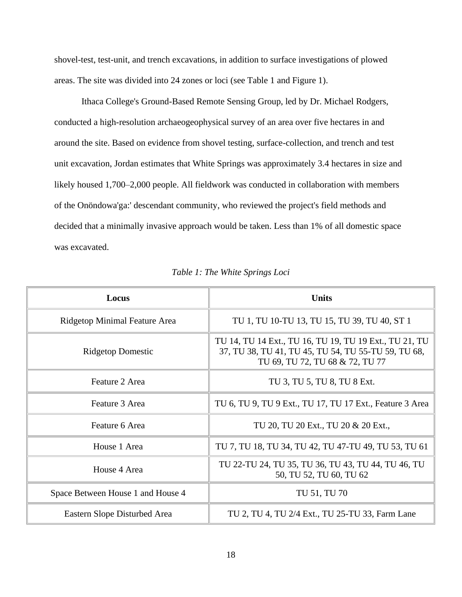shovel-test, test-unit, and trench excavations, in addition to surface investigations of plowed areas. The site was divided into 24 zones or loci (see Table 1 and Figure 1).

Ithaca College's Ground-Based Remote Sensing Group, led by Dr. Michael Rodgers, conducted a high-resolution archaeogeophysical survey of an area over five hectares in and around the site. Based on evidence from shovel testing, surface-collection, and trench and test unit excavation, Jordan estimates that White Springs was approximately 3.4 hectares in size and likely housed 1,700–2,000 people. All fieldwork was conducted in collaboration with members of the Onöndowa'ga:' descendant community, who reviewed the project's field methods and decided that a minimally invasive approach would be taken. Less than 1% of all domestic space was excavated.

<span id="page-28-0"></span>

| Locus                             | <b>Units</b>                                                                                                                                     |
|-----------------------------------|--------------------------------------------------------------------------------------------------------------------------------------------------|
| Ridgetop Minimal Feature Area     | TU 1, TU 10-TU 13, TU 15, TU 39, TU 40, ST 1                                                                                                     |
| <b>Ridgetop Domestic</b>          | TU 14, TU 14 Ext., TU 16, TU 19, TU 19 Ext., TU 21, TU<br>37, TU 38, TU 41, TU 45, TU 54, TU 55-TU 59, TU 68,<br>TU 69, TU 72, TU 68 & 72, TU 77 |
| Feature 2 Area                    | TU 3, TU 5, TU 8, TU 8 Ext.                                                                                                                      |
| Feature 3 Area                    | TU 6, TU 9, TU 9 Ext., TU 17, TU 17 Ext., Feature 3 Area                                                                                         |
| Feature 6 Area                    | TU 20, TU 20 Ext., TU 20 & 20 Ext.,                                                                                                              |
| House 1 Area                      | TU 7, TU 18, TU 34, TU 42, TU 47-TU 49, TU 53, TU 61                                                                                             |
| House 4 Area                      | TU 22-TU 24, TU 35, TU 36, TU 43, TU 44, TU 46, TU<br>50, TU 52, TU 60, TU 62                                                                    |
| Space Between House 1 and House 4 | TU 51, TU 70                                                                                                                                     |
| Eastern Slope Disturbed Area      | TU 2, TU 4, TU 2/4 Ext., TU 25-TU 33, Farm Lane                                                                                                  |

*Table 1: The White Springs Loci*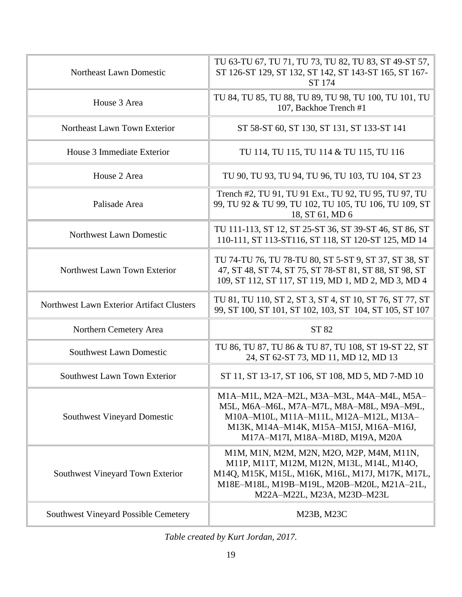| <b>Southwest Vineyard Possible Cemetery</b> | M23B, M23C                                                                                                                                                                                                           |
|---------------------------------------------|----------------------------------------------------------------------------------------------------------------------------------------------------------------------------------------------------------------------|
| Southwest Vineyard Town Exterior            | M1M, M1N, M2M, M2N, M2O, M2P, M4M, M11N,<br>M11P, M11T, M12M, M12N, M13L, M14L, M14O,<br>M14Q, M15K, M15L, M16K, M16L, M17J, M17K, M17L,<br>M18E-M18L, M19B-M19L, M20B-M20L, M21A-21L,<br>M22A-M22L, M23A, M23D-M23L |
| <b>Southwest Vineyard Domestic</b>          | M1A-M1L, M2A-M2L, M3A-M3L, M4A-M4L, M5A-<br>M5L, M6A-M6L, M7A-M7L, M8A-M8L, M9A-M9L,<br>M10A-M10L, M11A-M11L, M12A-M12L, M13A-<br>M13K, M14A-M14K, M15A-M15J, M16A-M16J,<br>M17A-M17I, M18A-M18D, M19A, M20A         |
| Southwest Lawn Town Exterior                | ST 11, ST 13-17, ST 106, ST 108, MD 5, MD 7-MD 10                                                                                                                                                                    |
| <b>Southwest Lawn Domestic</b>              | TU 86, TU 87, TU 86 & TU 87, TU 108, ST 19-ST 22, ST<br>24, ST 62-ST 73, MD 11, MD 12, MD 13                                                                                                                         |
| Northern Cemetery Area                      | ST 82                                                                                                                                                                                                                |
| Northwest Lawn Exterior Artifact Clusters   | TU 81, TU 110, ST 2, ST 3, ST 4, ST 10, ST 76, ST 77, ST<br>99, ST 100, ST 101, ST 102, 103, ST 104, ST 105, ST 107                                                                                                  |
| Northwest Lawn Town Exterior                | TU 74-TU 76, TU 78-TU 80, ST 5-ST 9, ST 37, ST 38, ST<br>47, ST 48, ST 74, ST 75, ST 78-ST 81, ST 88, ST 98, ST<br>109, ST 112, ST 117, ST 119, MD 1, MD 2, MD 3, MD 4                                               |
| <b>Northwest Lawn Domestic</b>              | TU 111-113, ST 12, ST 25-ST 36, ST 39-ST 46, ST 86, ST<br>110-111, ST 113-ST116, ST 118, ST 120-ST 125, MD 14                                                                                                        |
| Palisade Area                               | Trench #2, TU 91, TU 91 Ext., TU 92, TU 95, TU 97, TU<br>99, TU 92 & TU 99, TU 102, TU 105, TU 106, TU 109, ST<br>18, ST 61, MD 6                                                                                    |
| House 2 Area                                | TU 90, TU 93, TU 94, TU 96, TU 103, TU 104, ST 23                                                                                                                                                                    |
| House 3 Immediate Exterior                  | TU 114, TU 115, TU 114 & TU 115, TU 116                                                                                                                                                                              |
| Northeast Lawn Town Exterior                | ST 58-ST 60, ST 130, ST 131, ST 133-ST 141                                                                                                                                                                           |
| House 3 Area                                | TU 84, TU 85, TU 88, TU 89, TU 98, TU 100, TU 101, TU<br>107, Backhoe Trench #1                                                                                                                                      |
| Northeast Lawn Domestic                     | TU 63-TU 67, TU 71, TU 73, TU 82, TU 83, ST 49-ST 57,<br>ST 126-ST 129, ST 132, ST 142, ST 143-ST 165, ST 167-<br><b>ST 174</b>                                                                                      |

*Table created by Kurt Jordan, 2017.*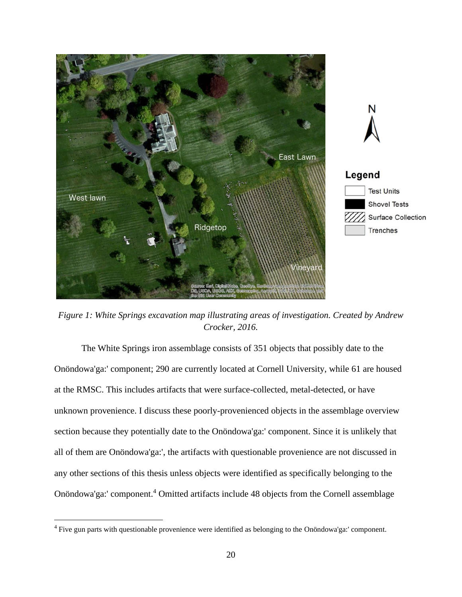<span id="page-30-0"></span>

*Figure 1: White Springs excavation map illustrating areas of investigation. Created by Andrew Crocker, 2016.*

The White Springs iron assemblage consists of 351 objects that possibly date to the Onöndowa'ga:' component; 290 are currently located at Cornell University, while 61 are housed at the RMSC. This includes artifacts that were surface-collected, metal-detected, or have unknown provenience. I discuss these poorly-provenienced objects in the assemblage overview section because they potentially date to the Onöndowa'ga:' component. Since it is unlikely that all of them are Onöndowa'ga:', the artifacts with questionable provenience are not discussed in any other sections of this thesis unless objects were identified as specifically belonging to the Onöndowa'ga:' component.<sup>4</sup> Omitted artifacts include 48 objects from the Cornell assemblage

<sup>4</sup> Five gun parts with questionable provenience were identified as belonging to the Onöndowa'ga:' component.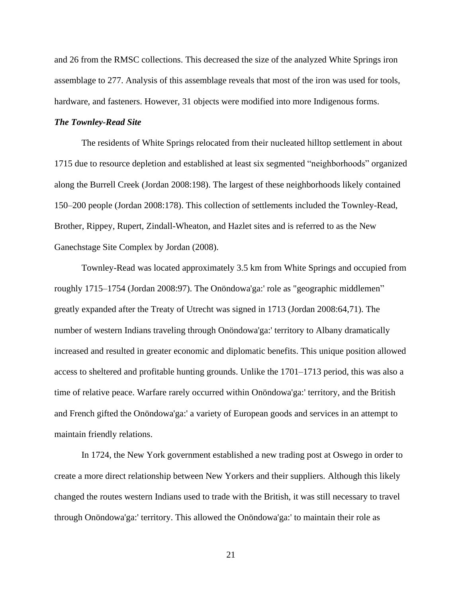and 26 from the RMSC collections. This decreased the size of the analyzed White Springs iron assemblage to 277. Analysis of this assemblage reveals that most of the iron was used for tools, hardware, and fasteners. However, 31 objects were modified into more Indigenous forms.

## <span id="page-31-0"></span>*The Townley-Read Site*

The residents of White Springs relocated from their nucleated hilltop settlement in about 1715 due to resource depletion and established at least six segmented "neighborhoods" organized along the Burrell Creek (Jordan 2008:198). The largest of these neighborhoods likely contained 150–200 people (Jordan 2008:178). This collection of settlements included the Townley-Read, Brother, Rippey, Rupert, Zindall-Wheaton, and Hazlet sites and is referred to as the New Ganechstage Site Complex by Jordan (2008).

Townley-Read was located approximately 3.5 km from White Springs and occupied from roughly 1715–1754 (Jordan 2008:97). The Onöndowa'ga:' role as "geographic middlemen" greatly expanded after the Treaty of Utrecht was signed in 1713 (Jordan 2008:64,71). The number of western Indians traveling through Onöndowa'ga:' territory to Albany dramatically increased and resulted in greater economic and diplomatic benefits. This unique position allowed access to sheltered and profitable hunting grounds. Unlike the 1701–1713 period, this was also a time of relative peace. Warfare rarely occurred within Onöndowa'ga:' territory, and the British and French gifted the Onöndowa'ga:' a variety of European goods and services in an attempt to maintain friendly relations.

In 1724, the New York government established a new trading post at Oswego in order to create a more direct relationship between New Yorkers and their suppliers. Although this likely changed the routes western Indians used to trade with the British, it was still necessary to travel through Onöndowa'ga:' territory. This allowed the Onöndowa'ga:' to maintain their role as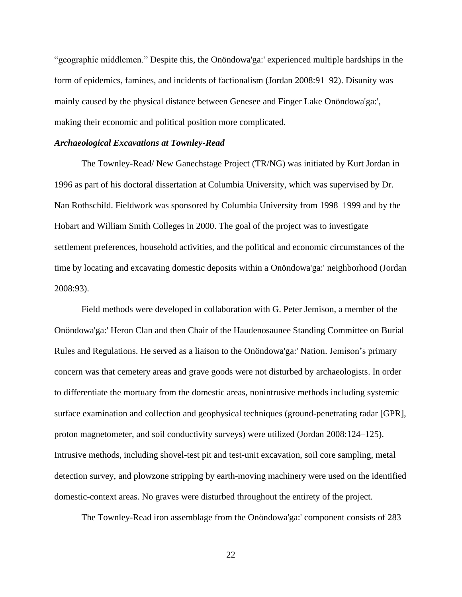"geographic middlemen." Despite this, the Onöndowa'ga:' experienced multiple hardships in the form of epidemics, famines, and incidents of factionalism (Jordan 2008:91–92). Disunity was mainly caused by the physical distance between Genesee and Finger Lake Onöndowa'ga:', making their economic and political position more complicated.

#### <span id="page-32-0"></span>*Archaeological Excavations at Townley-Read*

The Townley-Read/ New Ganechstage Project (TR/NG) was initiated by Kurt Jordan in 1996 as part of his doctoral dissertation at Columbia University, which was supervised by Dr. Nan Rothschild. Fieldwork was sponsored by Columbia University from 1998–1999 and by the Hobart and William Smith Colleges in 2000. The goal of the project was to investigate settlement preferences, household activities, and the political and economic circumstances of the time by locating and excavating domestic deposits within a Onöndowa'ga:' neighborhood (Jordan 2008:93).

Field methods were developed in collaboration with G. Peter Jemison, a member of the Onöndowa'ga:' Heron Clan and then Chair of the Haudenosaunee Standing Committee on Burial Rules and Regulations. He served as a liaison to the Onöndowa'ga:' Nation. Jemison's primary concern was that cemetery areas and grave goods were not disturbed by archaeologists. In order to differentiate the mortuary from the domestic areas, nonintrusive methods including systemic surface examination and collection and geophysical techniques (ground-penetrating radar [GPR], proton magnetometer, and soil conductivity surveys) were utilized (Jordan 2008:124–125). Intrusive methods, including shovel-test pit and test-unit excavation, soil core sampling, metal detection survey, and plowzone stripping by earth-moving machinery were used on the identified domestic-context areas. No graves were disturbed throughout the entirety of the project.

The Townley-Read iron assemblage from the Onöndowa'ga:' component consists of 283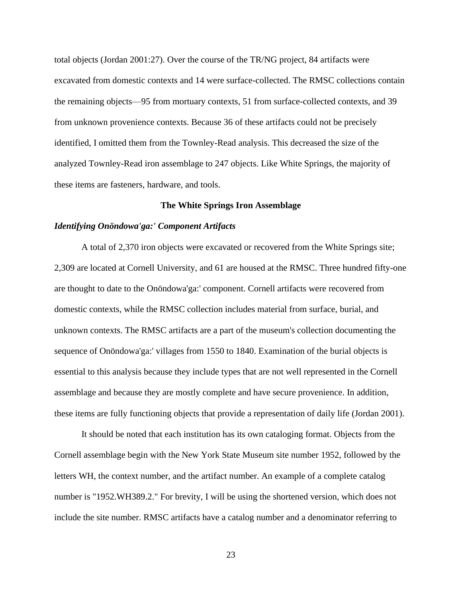total objects (Jordan 2001:27). Over the course of the TR/NG project, 84 artifacts were excavated from domestic contexts and 14 were surface-collected. The RMSC collections contain the remaining objects—95 from mortuary contexts, 51 from surface-collected contexts, and 39 from unknown provenience contexts. Because 36 of these artifacts could not be precisely identified, I omitted them from the Townley-Read analysis. This decreased the size of the analyzed Townley-Read iron assemblage to 247 objects. Like White Springs, the majority of these items are fasteners, hardware, and tools.

### **The White Springs Iron Assemblage**

### <span id="page-33-1"></span><span id="page-33-0"></span>*Identifying Onöndowa'ga:' Component Artifacts*

A total of 2,370 iron objects were excavated or recovered from the White Springs site; 2,309 are located at Cornell University, and 61 are housed at the RMSC. Three hundred fifty-one are thought to date to the Onöndowa'ga:' component. Cornell artifacts were recovered from domestic contexts, while the RMSC collection includes material from surface, burial, and unknown contexts. The RMSC artifacts are a part of the museum's collection documenting the sequence of Onöndowa'ga:' villages from 1550 to 1840. Examination of the burial objects is essential to this analysis because they include types that are not well represented in the Cornell assemblage and because they are mostly complete and have secure provenience. In addition, these items are fully functioning objects that provide a representation of daily life (Jordan 2001).

It should be noted that each institution has its own cataloging format. Objects from the Cornell assemblage begin with the New York State Museum site number 1952, followed by the letters WH, the context number, and the artifact number. An example of a complete catalog number is "1952.WH389.2." For brevity, I will be using the shortened version, which does not include the site number. RMSC artifacts have a catalog number and a denominator referring to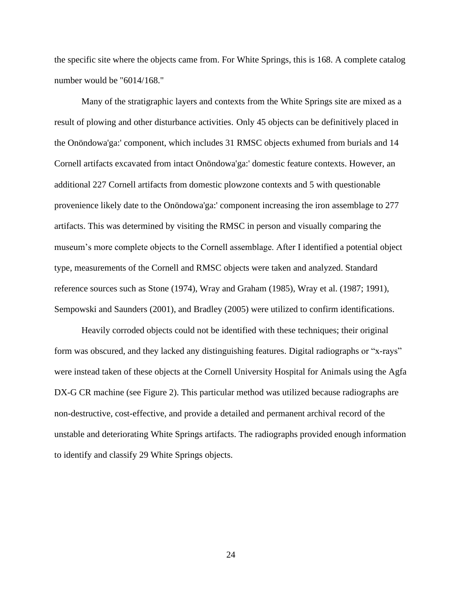the specific site where the objects came from. For White Springs, this is 168. A complete catalog number would be "6014/168."

Many of the stratigraphic layers and contexts from the White Springs site are mixed as a result of plowing and other disturbance activities. Only 45 objects can be definitively placed in the Onöndowa'ga:' component, which includes 31 RMSC objects exhumed from burials and 14 Cornell artifacts excavated from intact Onöndowa'ga:' domestic feature contexts. However, an additional 227 Cornell artifacts from domestic plowzone contexts and 5 with questionable provenience likely date to the Onöndowa'ga:' component increasing the iron assemblage to 277 artifacts. This was determined by visiting the RMSC in person and visually comparing the museum's more complete objects to the Cornell assemblage. After I identified a potential object type, measurements of the Cornell and RMSC objects were taken and analyzed. Standard reference sources such as Stone (1974), Wray and Graham (1985), Wray et al. (1987; 1991), Sempowski and Saunders (2001), and Bradley (2005) were utilized to confirm identifications.

Heavily corroded objects could not be identified with these techniques; their original form was obscured, and they lacked any distinguishing features. Digital radiographs or "x-rays" were instead taken of these objects at the Cornell University Hospital for Animals using the Agfa DX-G CR machine (see Figure 2). This particular method was utilized because radiographs are non-destructive, cost-effective, and provide a detailed and permanent archival record of the unstable and deteriorating White Springs artifacts. The radiographs provided enough information to identify and classify 29 White Springs objects.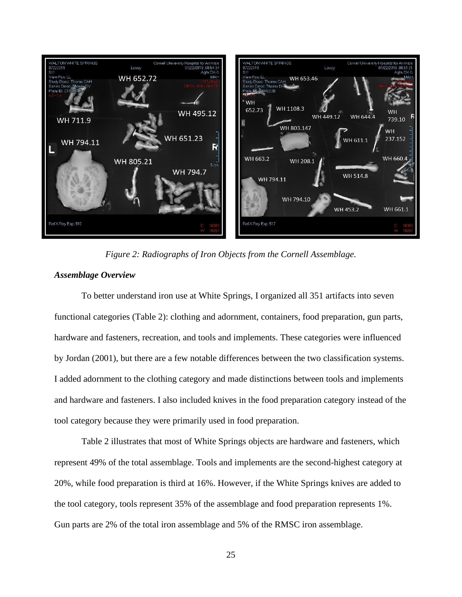

*Figure 2: Radiographs of Iron Objects from the Cornell Assemblage.*

## <span id="page-35-1"></span><span id="page-35-0"></span>*Assemblage Overview*

To better understand iron use at White Springs, I organized all 351 artifacts into seven functional categories (Table 2): clothing and adornment, containers, food preparation, gun parts, hardware and fasteners, recreation, and tools and implements. These categories were influenced by Jordan (2001), but there are a few notable differences between the two classification systems. I added adornment to the clothing category and made distinctions between tools and implements and hardware and fasteners. I also included knives in the food preparation category instead of the tool category because they were primarily used in food preparation.

Table 2 illustrates that most of White Springs objects are hardware and fasteners, which represent 49% of the total assemblage. Tools and implements are the second-highest category at 20%, while food preparation is third at 16%. However, if the White Springs knives are added to the tool category, tools represent 35% of the assemblage and food preparation represents 1%. Gun parts are 2% of the total iron assemblage and 5% of the RMSC iron assemblage.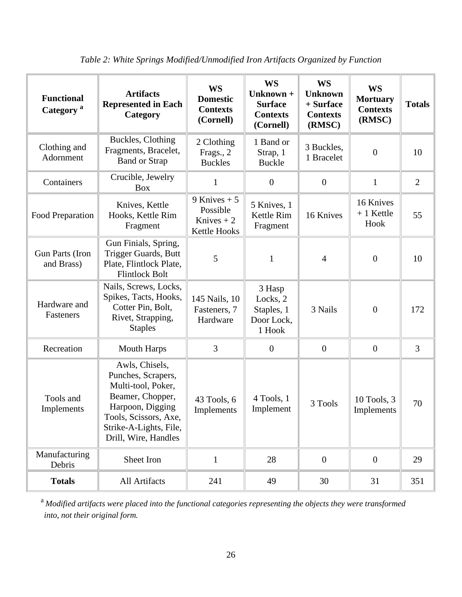| <b>Functional</b><br>Category <sup>a</sup> | <b>Artifacts</b><br><b>Represented in Each</b><br>Category                                                                                                                    | <b>WS</b><br><b>Domestic</b><br><b>Contexts</b><br>(Cornell) | <b>WS</b><br>Unknown +<br><b>Surface</b><br><b>Contexts</b><br>(Cornell) | <b>WS</b><br><b>Unknown</b><br>+ Surface<br><b>Contexts</b><br>(RMSC) | <b>WS</b><br><b>Mortuary</b><br><b>Contexts</b><br>(RMSC) | <b>Totals</b>  |
|--------------------------------------------|-------------------------------------------------------------------------------------------------------------------------------------------------------------------------------|--------------------------------------------------------------|--------------------------------------------------------------------------|-----------------------------------------------------------------------|-----------------------------------------------------------|----------------|
| Clothing and<br>Adornment                  | Buckles, Clothing<br>Fragments, Bracelet,<br><b>Band or Strap</b>                                                                                                             | 2 Clothing<br>Frags., 2<br><b>Buckles</b>                    | 1 Band or<br>Strap, 1<br><b>Buckle</b>                                   | 3 Buckles,<br>1 Bracelet                                              | $\boldsymbol{0}$                                          | 10             |
| Containers                                 | Crucible, Jewelry<br><b>Box</b>                                                                                                                                               | 1                                                            | $\overline{0}$                                                           | $\boldsymbol{0}$                                                      | $\mathbf{1}$                                              | $\overline{2}$ |
| Food Preparation                           | Knives, Kettle<br>Hooks, Kettle Rim<br>Fragment                                                                                                                               | 9 Knives $+5$<br>Possible<br>Knives $+2$<br>Kettle Hooks     | 5 Knives, 1<br>Kettle Rim<br>Fragment                                    | 16 Knives                                                             | 16 Knives<br>$+1$ Kettle<br>Hook                          | 55             |
| Gun Parts (Iron<br>and Brass)              | Gun Finials, Spring,<br>Trigger Guards, Butt<br>Plate, Flintlock Plate,<br><b>Flintlock Bolt</b>                                                                              | 5                                                            | $\mathbf{1}$                                                             | $\overline{4}$                                                        | $\boldsymbol{0}$                                          | 10             |
| Hardware and<br>Fasteners                  | Nails, Screws, Locks,<br>Spikes, Tacts, Hooks,<br>Cotter Pin, Bolt,<br>Rivet, Strapping,<br><b>Staples</b>                                                                    | 145 Nails, 10<br>Fasteners, 7<br>Hardware                    | 3 Hasp<br>Locks, 2<br>Staples, 1<br>Door Lock,<br>1 Hook                 | 3 Nails                                                               | $\overline{0}$                                            | 172            |
| Recreation                                 | <b>Mouth Harps</b>                                                                                                                                                            | 3                                                            | $\boldsymbol{0}$                                                         | $\boldsymbol{0}$                                                      | $\boldsymbol{0}$                                          | $\overline{3}$ |
| Tools and<br>Implements                    | Awls, Chisels,<br>Punches, Scrapers,<br>Multi-tool, Poker,<br>Beamer, Chopper,<br>Harpoon, Digging<br>Tools, Scissors, Axe,<br>Strike-A-Lights, File,<br>Drill, Wire, Handles | 43 Tools, 6<br>Implements                                    | 4 Tools, 1<br>Implement                                                  | 3 Tools                                                               | 10 Tools, 3<br>Implements                                 | 70             |
| Manufacturing<br>Debris                    | Sheet Iron                                                                                                                                                                    | $\mathbf{1}$                                                 | 28                                                                       | $\overline{0}$                                                        | $\boldsymbol{0}$                                          | 29             |
| <b>Totals</b>                              | All Artifacts                                                                                                                                                                 | 241                                                          | 49                                                                       | 30                                                                    | 31                                                        | 351            |

*Table 2: White Springs Modified/Unmodified Iron Artifacts Organized by Function*

<sup>a</sup> *Modified artifacts were placed into the functional categories representing the objects they were transformed into, not their original form.*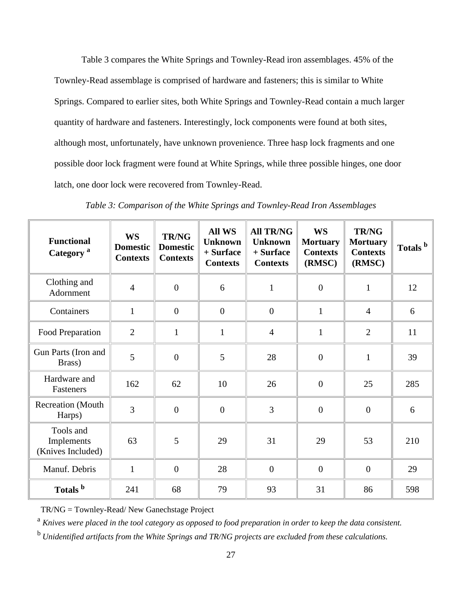Table 3 compares the White Springs and Townley-Read iron assemblages. 45% of the Townley-Read assemblage is comprised of hardware and fasteners; this is similar to White Springs. Compared to earlier sites, both White Springs and Townley-Read contain a much larger quantity of hardware and fasteners. Interestingly, lock components were found at both sites, although most, unfortunately, have unknown provenience. Three hasp lock fragments and one possible door lock fragment were found at White Springs, while three possible hinges, one door latch, one door lock were recovered from Townley-Read.

| <b>Functional</b><br>Category <sup>a</sup>   | <b>WS</b><br><b>Domestic</b><br><b>Contexts</b> | <b>TR/NG</b><br><b>Domestic</b><br><b>Contexts</b> | <b>All WS</b><br><b>Unknown</b><br>+ Surface<br><b>Contexts</b> | <b>All TR/NG</b><br><b>Unknown</b><br>+ Surface<br><b>Contexts</b> | <b>WS</b><br><b>Mortuary</b><br><b>Contexts</b><br>(RMSC) | <b>TR/NG</b><br><b>Mortuary</b><br><b>Contexts</b><br>(RMSC) | Totals <sup>b</sup> |
|----------------------------------------------|-------------------------------------------------|----------------------------------------------------|-----------------------------------------------------------------|--------------------------------------------------------------------|-----------------------------------------------------------|--------------------------------------------------------------|---------------------|
| Clothing and<br>Adornment                    | $\overline{4}$                                  | $\overline{0}$                                     | 6                                                               | $\mathbf{1}$                                                       | $\overline{0}$                                            | $\mathbf{1}$                                                 | 12                  |
| Containers                                   | $\mathbf{1}$                                    | $\overline{0}$                                     | $\overline{0}$                                                  | $\mathbf{0}$                                                       | $\mathbf{1}$                                              | $\overline{4}$                                               | 6                   |
| Food Preparation                             | $\overline{2}$                                  | $\mathbf{1}$                                       | $\mathbf{1}$                                                    | $\overline{4}$                                                     | $\mathbf{1}$                                              | $\overline{2}$                                               | 11                  |
| Gun Parts (Iron and<br>Brass)                | 5                                               | $\overline{0}$                                     | 5                                                               | 28                                                                 | $\overline{0}$                                            | $\mathbf{1}$                                                 | 39                  |
| Hardware and<br>Fasteners                    | 162                                             | 62                                                 | 10                                                              | 26                                                                 | $\boldsymbol{0}$                                          | 25                                                           | 285                 |
| Recreation (Mouth<br>Harps)                  | 3                                               | $\overline{0}$                                     | $\boldsymbol{0}$                                                | 3                                                                  | $\overline{0}$                                            | $\mathbf{0}$                                                 | 6                   |
| Tools and<br>Implements<br>(Knives Included) | 63                                              | 5                                                  | 29                                                              | 31                                                                 | 29                                                        | 53                                                           | 210                 |
| Manuf. Debris                                | $\mathbf{1}$                                    | $\overline{0}$                                     | 28                                                              | $\overline{0}$                                                     | $\boldsymbol{0}$                                          | $\overline{0}$                                               | 29                  |
| Totals <sup>b</sup>                          | 241                                             | 68                                                 | 79                                                              | 93                                                                 | 31                                                        | 86                                                           | 598                 |

*Table 3: Comparison of the White Springs and Townley-Read Iron Assemblages*

TR/NG = Townley-Read/ New Ganechstage Project

<sup>a</sup> Knives were placed in the tool category as opposed to food preparation in order to keep the data consistent.

<sup>b</sup>*Unidentified artifacts from the White Springs and TR/NG projects are excluded from these calculations.*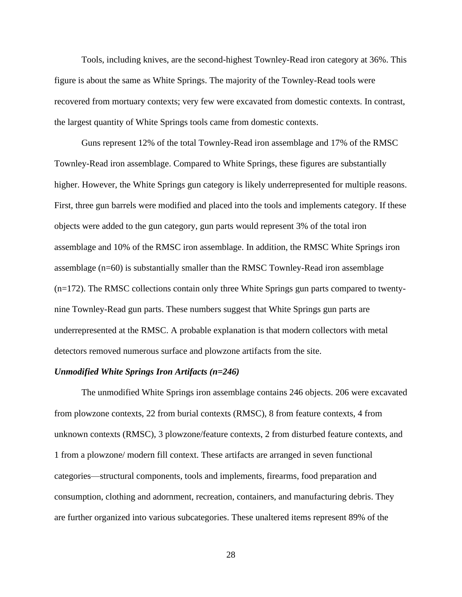Tools, including knives, are the second-highest Townley-Read iron category at 36%. This figure is about the same as White Springs. The majority of the Townley-Read tools were recovered from mortuary contexts; very few were excavated from domestic contexts. In contrast, the largest quantity of White Springs tools came from domestic contexts.

Guns represent 12% of the total Townley-Read iron assemblage and 17% of the RMSC Townley-Read iron assemblage. Compared to White Springs, these figures are substantially higher. However, the White Springs gun category is likely underrepresented for multiple reasons. First, three gun barrels were modified and placed into the tools and implements category. If these objects were added to the gun category, gun parts would represent 3% of the total iron assemblage and 10% of the RMSC iron assemblage. In addition, the RMSC White Springs iron assemblage (n=60) is substantially smaller than the RMSC Townley-Read iron assemblage (n=172). The RMSC collections contain only three White Springs gun parts compared to twentynine Townley-Read gun parts. These numbers suggest that White Springs gun parts are underrepresented at the RMSC. A probable explanation is that modern collectors with metal detectors removed numerous surface and plowzone artifacts from the site.

#### *Unmodified White Springs Iron Artifacts (n=246)*

The unmodified White Springs iron assemblage contains 246 objects. 206 were excavated from plowzone contexts, 22 from burial contexts (RMSC), 8 from feature contexts, 4 from unknown contexts (RMSC), 3 plowzone/feature contexts, 2 from disturbed feature contexts, and 1 from a plowzone/ modern fill context. These artifacts are arranged in seven functional categories—structural components, tools and implements, firearms, food preparation and consumption, clothing and adornment, recreation, containers, and manufacturing debris. They are further organized into various subcategories. These unaltered items represent 89% of the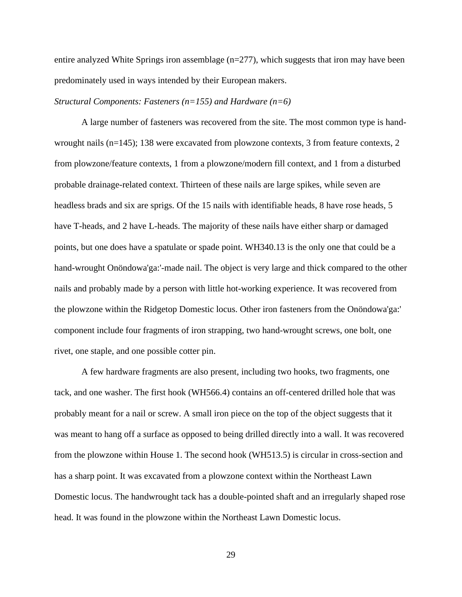entire analyzed White Springs iron assemblage  $(n=277)$ , which suggests that iron may have been predominately used in ways intended by their European makers.

### *Structural Components: Fasteners (n=155) and Hardware (n=6)*

A large number of fasteners was recovered from the site. The most common type is handwrought nails (n=145); 138 were excavated from plowzone contexts, 3 from feature contexts, 2 from plowzone/feature contexts, 1 from a plowzone/modern fill context, and 1 from a disturbed probable drainage-related context. Thirteen of these nails are large spikes, while seven are headless brads and six are sprigs. Of the 15 nails with identifiable heads, 8 have rose heads, 5 have T-heads, and 2 have L-heads. The majority of these nails have either sharp or damaged points, but one does have a spatulate or spade point. WH340.13 is the only one that could be a hand-wrought Onöndowa'ga:'-made nail. The object is very large and thick compared to the other nails and probably made by a person with little hot-working experience. It was recovered from the plowzone within the Ridgetop Domestic locus. Other iron fasteners from the Onöndowa'ga:' component include four fragments of iron strapping, two hand-wrought screws, one bolt, one rivet, one staple, and one possible cotter pin.

A few hardware fragments are also present, including two hooks, two fragments, one tack, and one washer. The first hook (WH566.4) contains an off-centered drilled hole that was probably meant for a nail or screw. A small iron piece on the top of the object suggests that it was meant to hang off a surface as opposed to being drilled directly into a wall. It was recovered from the plowzone within House 1. The second hook (WH513.5) is circular in cross-section and has a sharp point. It was excavated from a plowzone context within the Northeast Lawn Domestic locus. The handwrought tack has a double-pointed shaft and an irregularly shaped rose head. It was found in the plowzone within the Northeast Lawn Domestic locus.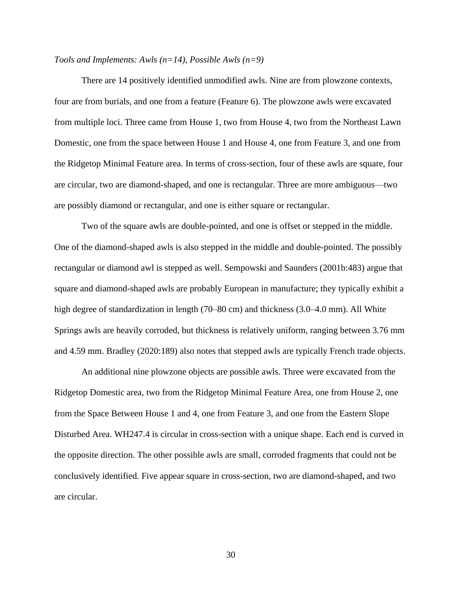## *Tools and Implements: Awls (n=14), Possible Awls (n=9)*

There are 14 positively identified unmodified awls. Nine are from plowzone contexts, four are from burials, and one from a feature (Feature 6). The plowzone awls were excavated from multiple loci. Three came from House 1, two from House 4, two from the Northeast Lawn Domestic, one from the space between House 1 and House 4, one from Feature 3, and one from the Ridgetop Minimal Feature area. In terms of cross-section, four of these awls are square, four are circular, two are diamond-shaped, and one is rectangular. Three are more ambiguous—two are possibly diamond or rectangular, and one is either square or rectangular.

Two of the square awls are double-pointed, and one is offset or stepped in the middle. One of the diamond-shaped awls is also stepped in the middle and double-pointed. The possibly rectangular or diamond awl is stepped as well. Sempowski and Saunders (2001b:483) argue that square and diamond-shaped awls are probably European in manufacture; they typically exhibit a high degree of standardization in length (70–80 cm) and thickness (3.0–4.0 mm). All White Springs awls are heavily corroded, but thickness is relatively uniform, ranging between 3.76 mm and 4.59 mm. Bradley (2020:189) also notes that stepped awls are typically French trade objects.

An additional nine plowzone objects are possible awls. Three were excavated from the Ridgetop Domestic area, two from the Ridgetop Minimal Feature Area, one from House 2, one from the Space Between House 1 and 4, one from Feature 3, and one from the Eastern Slope Disturbed Area. WH247.4 is circular in cross-section with a unique shape. Each end is curved in the opposite direction. The other possible awls are small, corroded fragments that could not be conclusively identified. Five appear square in cross-section, two are diamond-shaped, and two are circular.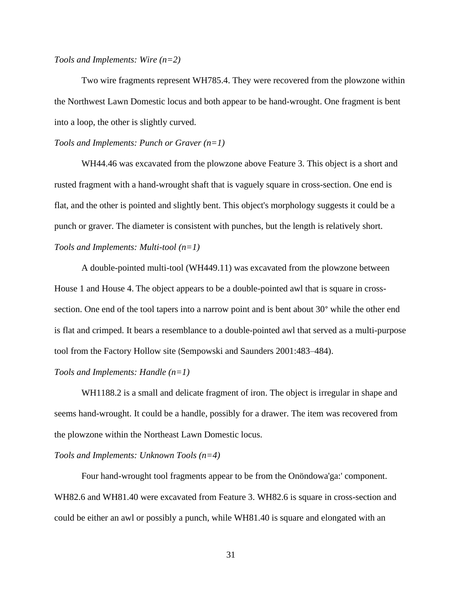### *Tools and Implements: Wire (n=2)*

Two wire fragments represent WH785.4. They were recovered from the plowzone within the Northwest Lawn Domestic locus and both appear to be hand-wrought. One fragment is bent into a loop, the other is slightly curved.

#### *Tools and Implements: Punch or Graver (n=1)*

WH44.46 was excavated from the plowzone above Feature 3. This object is a short and rusted fragment with a hand-wrought shaft that is vaguely square in cross-section. One end is flat, and the other is pointed and slightly bent. This object's morphology suggests it could be a punch or graver. The diameter is consistent with punches, but the length is relatively short. *Tools and Implements: Multi-tool (n=1)*

A double-pointed multi-tool (WH449.11) was excavated from the plowzone between House 1 and House 4. The object appears to be a double-pointed awl that is square in crosssection. One end of the tool tapers into a narrow point and is bent about 30° while the other end is flat and crimped. It bears a resemblance to a double-pointed awl that served as a multi-purpose tool from the Factory Hollow site (Sempowski and Saunders 2001:483–484).

### *Tools and Implements: Handle (n=1)*

WH1188.2 is a small and delicate fragment of iron. The object is irregular in shape and seems hand-wrought. It could be a handle, possibly for a drawer. The item was recovered from the plowzone within the Northeast Lawn Domestic locus.

## *Tools and Implements: Unknown Tools (n=4)*

Four hand-wrought tool fragments appear to be from the Onöndowa'ga:' component. WH82.6 and WH81.40 were excavated from Feature 3. WH82.6 is square in cross-section and could be either an awl or possibly a punch, while WH81.40 is square and elongated with an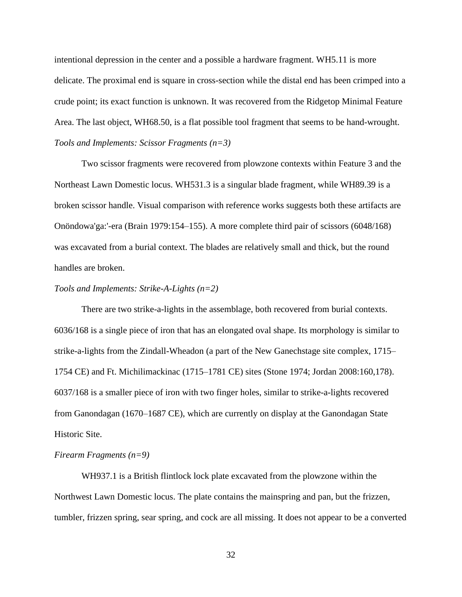intentional depression in the center and a possible a hardware fragment. WH5.11 is more delicate. The proximal end is square in cross-section while the distal end has been crimped into a crude point; its exact function is unknown. It was recovered from the Ridgetop Minimal Feature Area. The last object, WH68.50, is a flat possible tool fragment that seems to be hand-wrought. *Tools and Implements: Scissor Fragments (n=3)*

Two scissor fragments were recovered from plowzone contexts within Feature 3 and the Northeast Lawn Domestic locus. WH531.3 is a singular blade fragment, while WH89.39 is a broken scissor handle. Visual comparison with reference works suggests both these artifacts are Onöndowa'ga:'-era (Brain 1979:154–155). A more complete third pair of scissors (6048/168) was excavated from a burial context. The blades are relatively small and thick, but the round handles are broken.

### *Tools and Implements: Strike-A-Lights (n=2)*

There are two strike-a-lights in the assemblage, both recovered from burial contexts. 6036/168 is a single piece of iron that has an elongated oval shape. Its morphology is similar to strike-a-lights from the Zindall-Wheadon (a part of the New Ganechstage site complex, 1715– 1754 CE) and Ft. Michilimackinac (1715–1781 CE) sites (Stone 1974; Jordan 2008:160,178). 6037/168 is a smaller piece of iron with two finger holes, similar to strike-a-lights recovered from Ganondagan (1670–1687 CE), which are currently on display at the Ganondagan State Historic Site.

### *Firearm Fragments (n=9)*

WH937.1 is a British flintlock lock plate excavated from the plowzone within the Northwest Lawn Domestic locus. The plate contains the mainspring and pan, but the frizzen, tumbler, frizzen spring, sear spring, and cock are all missing. It does not appear to be a converted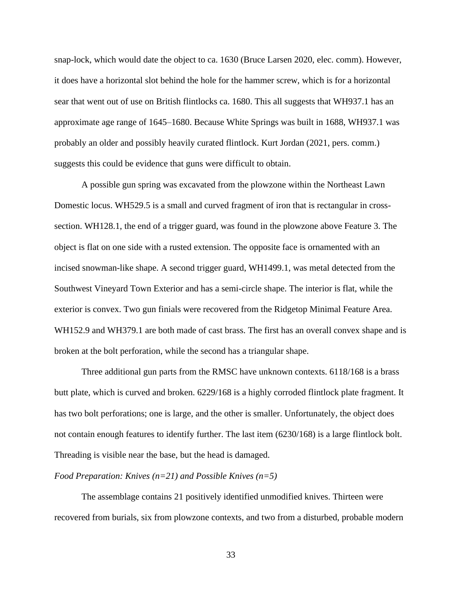snap-lock, which would date the object to ca. 1630 (Bruce Larsen 2020, elec. comm). However, it does have a horizontal slot behind the hole for the hammer screw, which is for a horizontal sear that went out of use on British flintlocks ca. 1680. This all suggests that WH937.1 has an approximate age range of 1645–1680. Because White Springs was built in 1688, WH937.1 was probably an older and possibly heavily curated flintlock. Kurt Jordan (2021, pers. comm.) suggests this could be evidence that guns were difficult to obtain.

A possible gun spring was excavated from the plowzone within the Northeast Lawn Domestic locus. WH529.5 is a small and curved fragment of iron that is rectangular in crosssection. WH128.1, the end of a trigger guard, was found in the plowzone above Feature 3. The object is flat on one side with a rusted extension. The opposite face is ornamented with an incised snowman-like shape. A second trigger guard, WH1499.1, was metal detected from the Southwest Vineyard Town Exterior and has a semi-circle shape. The interior is flat, while the exterior is convex. Two gun finials were recovered from the Ridgetop Minimal Feature Area. WH152.9 and WH379.1 are both made of cast brass. The first has an overall convex shape and is broken at the bolt perforation, while the second has a triangular shape.

Three additional gun parts from the RMSC have unknown contexts. 6118/168 is a brass butt plate, which is curved and broken. 6229/168 is a highly corroded flintlock plate fragment. It has two bolt perforations; one is large, and the other is smaller. Unfortunately, the object does not contain enough features to identify further. The last item (6230/168) is a large flintlock bolt. Threading is visible near the base, but the head is damaged.

## *Food Preparation: Knives (n=21) and Possible Knives (n=5)*

The assemblage contains 21 positively identified unmodified knives. Thirteen were recovered from burials, six from plowzone contexts, and two from a disturbed, probable modern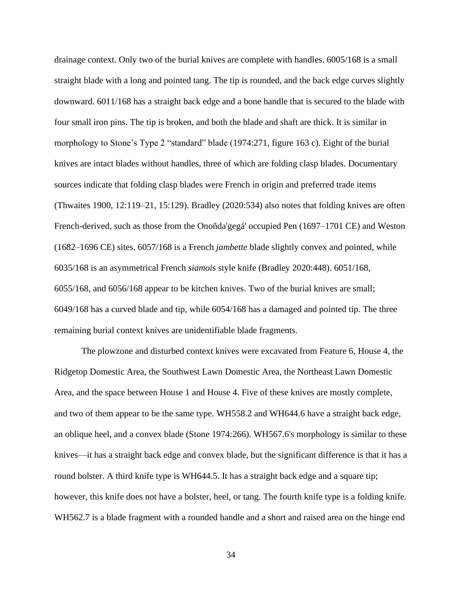drainage context. Only two of the burial knives are complete with handles. 6005/168 is a small straight blade with a long and pointed tang. The tip is rounded, and the back edge curves slightly downward. 6011/168 has a straight back edge and a bone handle that is secured to the blade with four small iron pins. The tip is broken, and both the blade and shaft are thick. It is similar in morphology to Stone's Type 2 "standard" blade (1974:271, figure 163 c). Eight of the burial knives are intact blades without handles, three of which are folding clasp blades. Documentary sources indicate that folding clasp blades were French in origin and preferred trade items (Thwaites 1900, 12:119–21, 15:129). Bradley (2020:534) also notes that folding knives are often French-derived, such as those from the Onoñda'gegá' occupied Pen (1697–1701 CE) and Weston (1682–1696 CE) sites. 6057/168 is a French *jambette* blade slightly convex and pointed, while 6035/168 is an asymmetrical French *siamois* style knife (Bradley 2020:448). 6051/168, 6055/168, and 6056/168 appear to be kitchen knives. Two of the burial knives are small; 6049/168 has a curved blade and tip, while 6054/168 has a damaged and pointed tip. The three remaining burial context knives are unidentifiable blade fragments.

The plowzone and disturbed context knives were excavated from Feature 6, House 4, the Ridgetop Domestic Area, the Southwest Lawn Domestic Area, the Northeast Lawn Domestic Area, and the space between House 1 and House 4. Five of these knives are mostly complete, and two of them appear to be the same type. WH558.2 and WH644.6 have a straight back edge, an oblique heel, and a convex blade (Stone 1974:266). WH567.6's morphology is similar to these knives—it has a straight back edge and convex blade, but the significant difference is that it has a round bolster. A third knife type is WH644.5. It has a straight back edge and a square tip; however, this knife does not have a bolster, heel, or tang. The fourth knife type is a folding knife. WH562.7 is a blade fragment with a rounded handle and a short and raised area on the hinge end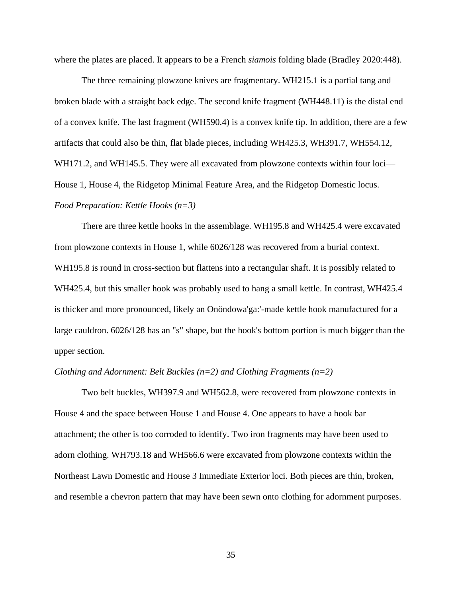where the plates are placed. It appears to be a French *siamois* folding blade (Bradley 2020:448).

The three remaining plowzone knives are fragmentary. WH215.1 is a partial tang and broken blade with a straight back edge. The second knife fragment (WH448.11) is the distal end of a convex knife. The last fragment (WH590.4) is a convex knife tip. In addition, there are a few artifacts that could also be thin, flat blade pieces, including WH425.3, WH391.7, WH554.12, WH171.2, and WH145.5. They were all excavated from plowzone contexts within four loci— House 1, House 4, the Ridgetop Minimal Feature Area, and the Ridgetop Domestic locus. *Food Preparation: Kettle Hooks (n=3)*

There are three kettle hooks in the assemblage. WH195.8 and WH425.4 were excavated from plowzone contexts in House 1, while 6026/128 was recovered from a burial context. WH195.8 is round in cross-section but flattens into a rectangular shaft. It is possibly related to WH425.4, but this smaller hook was probably used to hang a small kettle. In contrast, WH425.4 is thicker and more pronounced, likely an Onöndowa'ga:'-made kettle hook manufactured for a large cauldron. 6026/128 has an "s" shape, but the hook's bottom portion is much bigger than the upper section.

### *Clothing and Adornment: Belt Buckles (n=2) and Clothing Fragments (n=2)*

Two belt buckles, WH397.9 and WH562.8, were recovered from plowzone contexts in House 4 and the space between House 1 and House 4. One appears to have a hook bar attachment; the other is too corroded to identify. Two iron fragments may have been used to adorn clothing. WH793.18 and WH566.6 were excavated from plowzone contexts within the Northeast Lawn Domestic and House 3 Immediate Exterior loci. Both pieces are thin, broken, and resemble a chevron pattern that may have been sewn onto clothing for adornment purposes.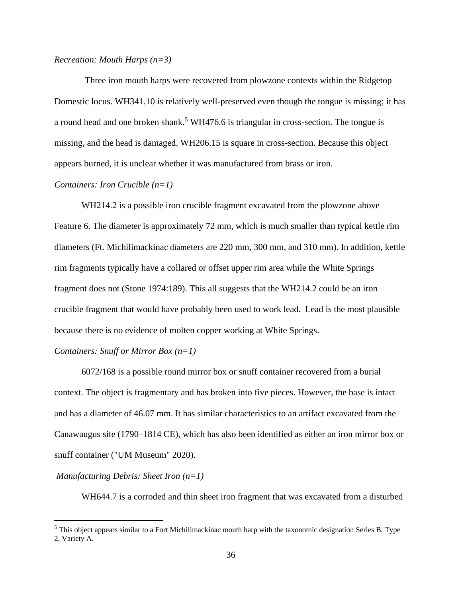### *Recreation: Mouth Harps (n=3)*

Three iron mouth harps were recovered from plowzone contexts within the Ridgetop Domestic locus. WH341.10 is relatively well-preserved even though the tongue is missing; it has a round head and one broken shank.<sup>5</sup> WH476.6 is triangular in cross-section. The tongue is missing, and the head is damaged. WH206.15 is square in cross-section. Because this object appears burned, it is unclear whether it was manufactured from brass or iron.

## *Containers: Iron Crucible (n=1)*

WH214.2 is a possible iron crucible fragment excavated from the plowzone above Feature 6. The diameter is approximately 72 mm, which is much smaller than typical kettle rim diameters (Ft. Michilimackinac diameters are 220 mm, 300 mm, and 310 mm). In addition, kettle rim fragments typically have a collared or offset upper rim area while the White Springs fragment does not (Stone 1974:189). This all suggests that the WH214.2 could be an iron crucible fragment that would have probably been used to work lead. Lead is the most plausible because there is no evidence of molten copper working at White Springs.

## *Containers: Snuff or Mirror Box (n=1)*

6072/168 is a possible round mirror box or snuff container recovered from a burial context. The object is fragmentary and has broken into five pieces. However, the base is intact and has a diameter of 46.07 mm. It has similar characteristics to an artifact excavated from the Canawaugus site (1790–1814 CE), which has also been identified as either an iron mirror box or snuff container ("UM Museum" 2020).

### *Manufacturing Debris: Sheet Iron (n=1)*

WH644.7 is a corroded and thin sheet iron fragment that was excavated from a disturbed

<sup>5</sup> This object appears similar to a Fort Michilimackinac mouth harp with the taxonomic designation Series B, Type 2, Variety A.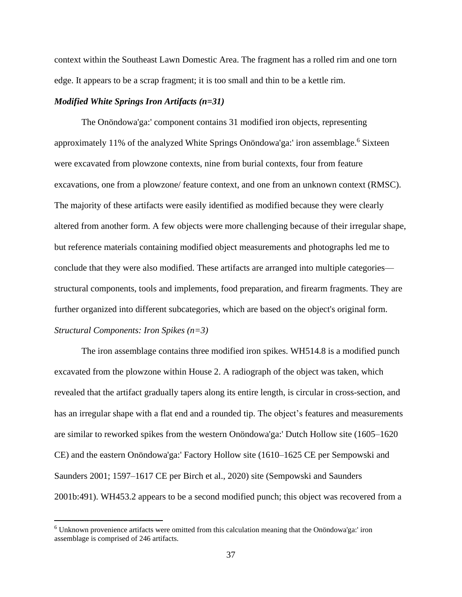context within the Southeast Lawn Domestic Area. The fragment has a rolled rim and one torn edge. It appears to be a scrap fragment; it is too small and thin to be a kettle rim.

# *Modified White Springs Iron Artifacts (n=31)*

The Onöndowa'ga:' component contains 31 modified iron objects, representing approximately 11% of the analyzed White Springs Onöndowa'ga:' iron assemblage.<sup>6</sup> Sixteen were excavated from plowzone contexts, nine from burial contexts, four from feature excavations, one from a plowzone/ feature context, and one from an unknown context (RMSC). The majority of these artifacts were easily identified as modified because they were clearly altered from another form. A few objects were more challenging because of their irregular shape, but reference materials containing modified object measurements and photographs led me to conclude that they were also modified. These artifacts are arranged into multiple categories structural components, tools and implements, food preparation, and firearm fragments. They are further organized into different subcategories, which are based on the object's original form. *Structural Components: Iron Spikes (n=3)*

The iron assemblage contains three modified iron spikes. WH514.8 is a modified punch excavated from the plowzone within House 2. A radiograph of the object was taken, which revealed that the artifact gradually tapers along its entire length, is circular in cross-section, and has an irregular shape with a flat end and a rounded tip. The object's features and measurements are similar to reworked spikes from the western Onöndowa'ga:' Dutch Hollow site (1605–1620 CE) and the eastern Onöndowa'ga:' Factory Hollow site (1610–1625 CE per Sempowski and Saunders 2001; 1597–1617 CE per Birch et al., 2020) site (Sempowski and Saunders 2001b:491). WH453.2 appears to be a second modified punch; this object was recovered from a

<sup>6</sup> Unknown provenience artifacts were omitted from this calculation meaning that the Onöndowa'ga:' iron assemblage is comprised of 246 artifacts.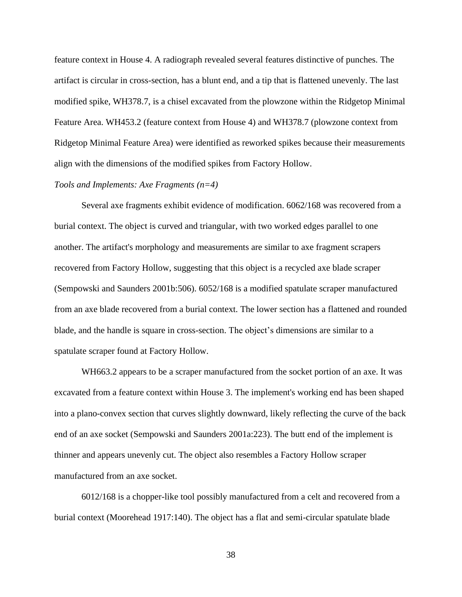feature context in House 4. A radiograph revealed several features distinctive of punches. The artifact is circular in cross-section, has a blunt end, and a tip that is flattened unevenly. The last modified spike, WH378.7, is a chisel excavated from the plowzone within the Ridgetop Minimal Feature Area. WH453.2 (feature context from House 4) and WH378.7 (plowzone context from Ridgetop Minimal Feature Area) were identified as reworked spikes because their measurements align with the dimensions of the modified spikes from Factory Hollow.

# *Tools and Implements: Axe Fragments (n=4)*

Several axe fragments exhibit evidence of modification. 6062/168 was recovered from a burial context. The object is curved and triangular, with two worked edges parallel to one another. The artifact's morphology and measurements are similar to axe fragment scrapers recovered from Factory Hollow, suggesting that this object is a recycled axe blade scraper (Sempowski and Saunders 2001b:506). 6052/168 is a modified spatulate scraper manufactured from an axe blade recovered from a burial context. The lower section has a flattened and rounded blade, and the handle is square in cross-section. The object's dimensions are similar to a spatulate scraper found at Factory Hollow.

WH663.2 appears to be a scraper manufactured from the socket portion of an axe. It was excavated from a feature context within House 3. The implement's working end has been shaped into a plano-convex section that curves slightly downward, likely reflecting the curve of the back end of an axe socket (Sempowski and Saunders 2001a:223). The butt end of the implement is thinner and appears unevenly cut. The object also resembles a Factory Hollow scraper manufactured from an axe socket.

6012/168 is a chopper-like tool possibly manufactured from a celt and recovered from a burial context (Moorehead 1917:140). The object has a flat and semi-circular spatulate blade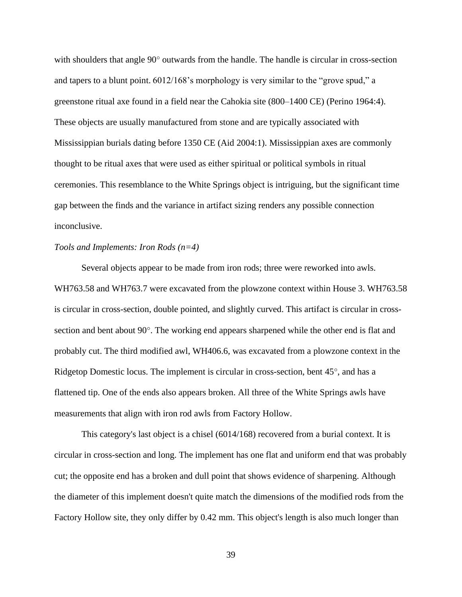with shoulders that angle 90° outwards from the handle. The handle is circular in cross-section and tapers to a blunt point. 6012/168's morphology is very similar to the "grove spud," a greenstone ritual axe found in a field near the Cahokia site (800–1400 CE) (Perino 1964:4). These objects are usually manufactured from stone and are typically associated with Mississippian burials dating before 1350 CE (Aid 2004:1). Mississippian axes are commonly thought to be ritual axes that were used as either spiritual or political symbols in ritual ceremonies. This resemblance to the White Springs object is intriguing, but the significant time gap between the finds and the variance in artifact sizing renders any possible connection inconclusive.

### *Tools and Implements: Iron Rods (n=4)*

Several objects appear to be made from iron rods; three were reworked into awls. WH763.58 and WH763.7 were excavated from the plowzone context within House 3. WH763.58 is circular in cross-section, double pointed, and slightly curved. This artifact is circular in crosssection and bent about 90°. The working end appears sharpened while the other end is flat and probably cut. The third modified awl, WH406.6, was excavated from a plowzone context in the Ridgetop Domestic locus. The implement is circular in cross-section, bent 45°, and has a flattened tip. One of the ends also appears broken. All three of the White Springs awls have measurements that align with iron rod awls from Factory Hollow.

This category's last object is a chisel (6014/168) recovered from a burial context. It is circular in cross-section and long. The implement has one flat and uniform end that was probably cut; the opposite end has a broken and dull point that shows evidence of sharpening. Although the diameter of this implement doesn't quite match the dimensions of the modified rods from the Factory Hollow site, they only differ by 0.42 mm. This object's length is also much longer than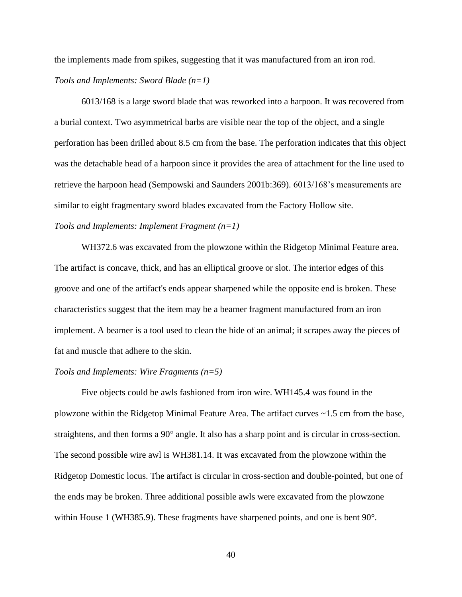the implements made from spikes, suggesting that it was manufactured from an iron rod. *Tools and Implements: Sword Blade (n=1)*

6013/168 is a large sword blade that was reworked into a harpoon. It was recovered from a burial context. Two asymmetrical barbs are visible near the top of the object, and a single perforation has been drilled about 8.5 cm from the base. The perforation indicates that this object was the detachable head of a harpoon since it provides the area of attachment for the line used to retrieve the harpoon head (Sempowski and Saunders 2001b:369). 6013/168's measurements are similar to eight fragmentary sword blades excavated from the Factory Hollow site. *Tools and Implements: Implement Fragment (n=1)*

WH372.6 was excavated from the plowzone within the Ridgetop Minimal Feature area. The artifact is concave, thick, and has an elliptical groove or slot. The interior edges of this groove and one of the artifact's ends appear sharpened while the opposite end is broken. These characteristics suggest that the item may be a beamer fragment manufactured from an iron implement. A beamer is a tool used to clean the hide of an animal; it scrapes away the pieces of fat and muscle that adhere to the skin.

### *Tools and Implements: Wire Fragments (n=5)*

Five objects could be awls fashioned from iron wire. WH145.4 was found in the plowzone within the Ridgetop Minimal Feature Area. The artifact curves ~1.5 cm from the base, straightens, and then forms a 90° angle. It also has a sharp point and is circular in cross-section. The second possible wire awl is WH381.14. It was excavated from the plowzone within the Ridgetop Domestic locus. The artifact is circular in cross-section and double-pointed, but one of the ends may be broken. Three additional possible awls were excavated from the plowzone within House 1 (WH385.9). These fragments have sharpened points, and one is bent 90°.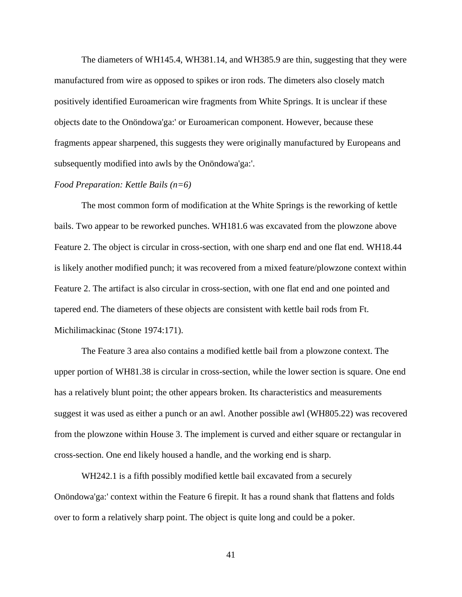The diameters of WH145.4, WH381.14, and WH385.9 are thin, suggesting that they were manufactured from wire as opposed to spikes or iron rods. The dimeters also closely match positively identified Euroamerican wire fragments from White Springs. It is unclear if these objects date to the Onöndowa'ga:' or Euroamerican component. However, because these fragments appear sharpened, this suggests they were originally manufactured by Europeans and subsequently modified into awls by the Onöndowa'ga:'.

#### *Food Preparation: Kettle Bails (n=6)*

The most common form of modification at the White Springs is the reworking of kettle bails. Two appear to be reworked punches. WH181.6 was excavated from the plowzone above Feature 2. The object is circular in cross-section, with one sharp end and one flat end. WH18.44 is likely another modified punch; it was recovered from a mixed feature/plowzone context within Feature 2. The artifact is also circular in cross-section, with one flat end and one pointed and tapered end. The diameters of these objects are consistent with kettle bail rods from Ft. Michilimackinac (Stone 1974:171).

The Feature 3 area also contains a modified kettle bail from a plowzone context. The upper portion of WH81.38 is circular in cross-section, while the lower section is square. One end has a relatively blunt point; the other appears broken. Its characteristics and measurements suggest it was used as either a punch or an awl. Another possible awl (WH805.22) was recovered from the plowzone within House 3. The implement is curved and either square or rectangular in cross-section. One end likely housed a handle, and the working end is sharp.

WH242.1 is a fifth possibly modified kettle bail excavated from a securely Onöndowa'ga:' context within the Feature 6 firepit. It has a round shank that flattens and folds over to form a relatively sharp point. The object is quite long and could be a poker.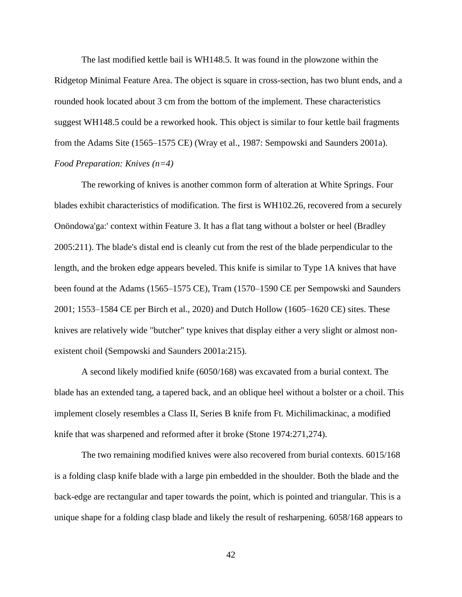The last modified kettle bail is WH148.5. It was found in the plowzone within the Ridgetop Minimal Feature Area. The object is square in cross-section, has two blunt ends, and a rounded hook located about 3 cm from the bottom of the implement. These characteristics suggest WH148.5 could be a reworked hook. This object is similar to four kettle bail fragments from the Adams Site (1565–1575 CE) (Wray et al., 1987: Sempowski and Saunders 2001a). *Food Preparation: Knives (n=4)*

The reworking of knives is another common form of alteration at White Springs. Four blades exhibit characteristics of modification. The first is WH102.26, recovered from a securely Onöndowa'ga:' context within Feature 3. It has a flat tang without a bolster or heel (Bradley 2005:211). The blade's distal end is cleanly cut from the rest of the blade perpendicular to the length, and the broken edge appears beveled. This knife is similar to Type 1A knives that have been found at the Adams (1565–1575 CE), Tram (1570–1590 CE per Sempowski and Saunders 2001; 1553–1584 CE per Birch et al., 2020) and Dutch Hollow (1605–1620 CE) sites. These knives are relatively wide "butcher" type knives that display either a very slight or almost nonexistent choil (Sempowski and Saunders 2001a:215).

A second likely modified knife (6050/168) was excavated from a burial context. The blade has an extended tang, a tapered back, and an oblique heel without a bolster or a choil. This implement closely resembles a Class II, Series B knife from Ft. Michilimackinac, a modified knife that was sharpened and reformed after it broke (Stone 1974:271,274).

The two remaining modified knives were also recovered from burial contexts. 6015/168 is a folding clasp knife blade with a large pin embedded in the shoulder. Both the blade and the back-edge are rectangular and taper towards the point, which is pointed and triangular. This is a unique shape for a folding clasp blade and likely the result of resharpening. 6058/168 appears to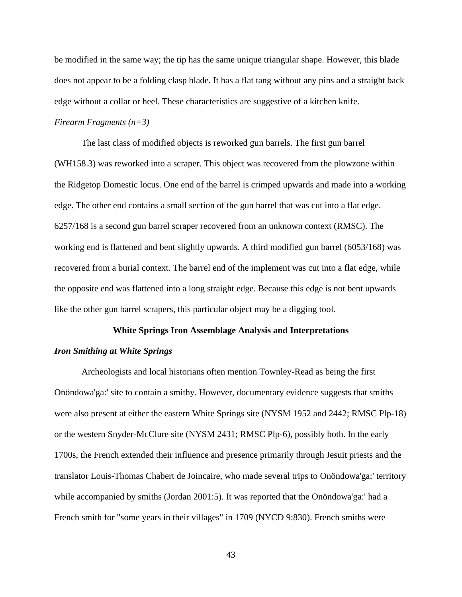be modified in the same way; the tip has the same unique triangular shape. However, this blade does not appear to be a folding clasp blade. It has a flat tang without any pins and a straight back edge without a collar or heel. These characteristics are suggestive of a kitchen knife.

# *Firearm Fragments (n=3)*

The last class of modified objects is reworked gun barrels. The first gun barrel (WH158.3) was reworked into a scraper. This object was recovered from the plowzone within the Ridgetop Domestic locus. One end of the barrel is crimped upwards and made into a working edge. The other end contains a small section of the gun barrel that was cut into a flat edge. 6257/168 is a second gun barrel scraper recovered from an unknown context (RMSC). The working end is flattened and bent slightly upwards. A third modified gun barrel (6053/168) was recovered from a burial context. The barrel end of the implement was cut into a flat edge, while the opposite end was flattened into a long straight edge. Because this edge is not bent upwards like the other gun barrel scrapers, this particular object may be a digging tool.

### **White Springs Iron Assemblage Analysis and Interpretations**

#### *Iron Smithing at White Springs*

Archeologists and local historians often mention Townley-Read as being the first Onöndowa'ga:' site to contain a smithy. However, documentary evidence suggests that smiths were also present at either the eastern White Springs site (NYSM 1952 and 2442; RMSC Plp-18) or the western Snyder-McClure site (NYSM 2431; RMSC Plp-6), possibly both. In the early 1700s, the French extended their influence and presence primarily through Jesuit priests and the translator Louis-Thomas Chabert de Joincaire, who made several trips to Onöndowa'ga:' territory while accompanied by smiths (Jordan 2001:5). It was reported that the Onöndowa'ga:' had a French smith for "some years in their villages" in 1709 (NYCD 9:830). French smiths were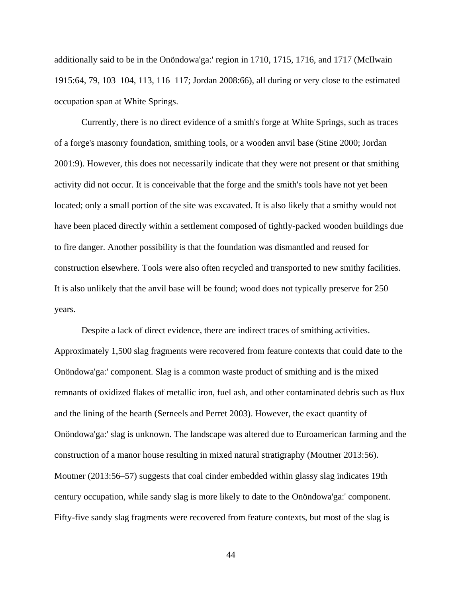additionally said to be in the Onöndowa'ga:' region in 1710, 1715, 1716, and 1717 (McIlwain 1915:64, 79, 103–104, 113, 116–117; Jordan 2008:66), all during or very close to the estimated occupation span at White Springs.

Currently, there is no direct evidence of a smith's forge at White Springs, such as traces of a forge's masonry foundation, smithing tools, or a wooden anvil base (Stine 2000; Jordan 2001:9). However, this does not necessarily indicate that they were not present or that smithing activity did not occur. It is conceivable that the forge and the smith's tools have not yet been located; only a small portion of the site was excavated. It is also likely that a smithy would not have been placed directly within a settlement composed of tightly-packed wooden buildings due to fire danger. Another possibility is that the foundation was dismantled and reused for construction elsewhere. Tools were also often recycled and transported to new smithy facilities. It is also unlikely that the anvil base will be found; wood does not typically preserve for 250 years.

Despite a lack of direct evidence, there are indirect traces of smithing activities. Approximately 1,500 slag fragments were recovered from feature contexts that could date to the Onöndowa'ga:' component. Slag is a common waste product of smithing and is the mixed remnants of oxidized flakes of metallic iron, fuel ash, and other contaminated debris such as flux and the lining of the hearth (Serneels and Perret 2003). However, the exact quantity of Onöndowa'ga:' slag is unknown. The landscape was altered due to Euroamerican farming and the construction of a manor house resulting in mixed natural stratigraphy (Moutner 2013:56). Moutner (2013:56–57) suggests that coal cinder embedded within glassy slag indicates 19th century occupation, while sandy slag is more likely to date to the Onöndowa'ga:' component. Fifty-five sandy slag fragments were recovered from feature contexts, but most of the slag is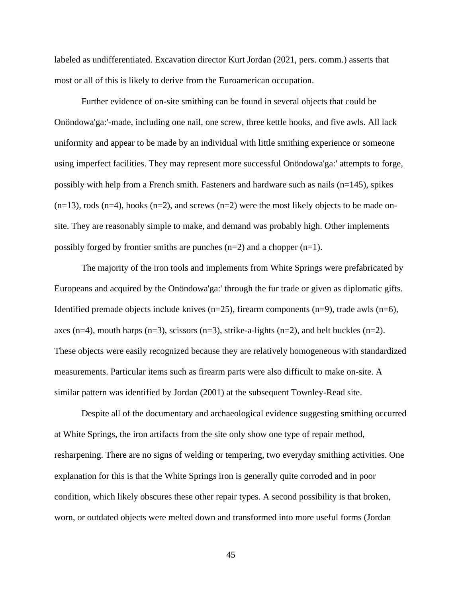labeled as undifferentiated. Excavation director Kurt Jordan (2021, pers. comm.) asserts that most or all of this is likely to derive from the Euroamerican occupation.

Further evidence of on-site smithing can be found in several objects that could be Onöndowa'ga:'-made, including one nail, one screw, three kettle hooks, and five awls. All lack uniformity and appear to be made by an individual with little smithing experience or someone using imperfect facilities. They may represent more successful Onöndowa'ga:' attempts to forge, possibly with help from a French smith. Fasteners and hardware such as nails  $(n=145)$ , spikes  $(n=13)$ , rods  $(n=4)$ , hooks  $(n=2)$ , and screws  $(n=2)$  were the most likely objects to be made onsite. They are reasonably simple to make, and demand was probably high. Other implements possibly forged by frontier smiths are punches  $(n=2)$  and a chopper  $(n=1)$ .

The majority of the iron tools and implements from White Springs were prefabricated by Europeans and acquired by the Onöndowa'ga:' through the fur trade or given as diplomatic gifts. Identified premade objects include knives  $(n=25)$ , firearm components  $(n=9)$ , trade awls  $(n=6)$ , axes (n=4), mouth harps (n=3), scissors (n=3), strike-a-lights (n=2), and belt buckles (n=2). These objects were easily recognized because they are relatively homogeneous with standardized measurements. Particular items such as firearm parts were also difficult to make on-site. A similar pattern was identified by Jordan (2001) at the subsequent Townley-Read site.

Despite all of the documentary and archaeological evidence suggesting smithing occurred at White Springs, the iron artifacts from the site only show one type of repair method, resharpening. There are no signs of welding or tempering, two everyday smithing activities. One explanation for this is that the White Springs iron is generally quite corroded and in poor condition, which likely obscures these other repair types. A second possibility is that broken, worn, or outdated objects were melted down and transformed into more useful forms (Jordan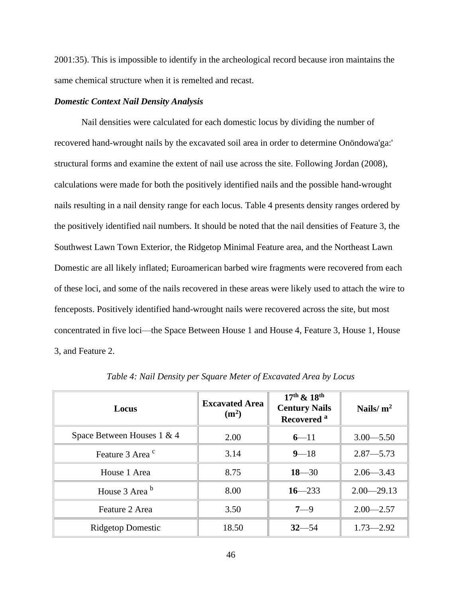2001:35). This is impossible to identify in the archeological record because iron maintains the same chemical structure when it is remelted and recast.

### *Domestic Context Nail Density Analysis*

Nail densities were calculated for each domestic locus by dividing the number of recovered hand-wrought nails by the excavated soil area in order to determine Onöndowa'ga:' structural forms and examine the extent of nail use across the site. Following Jordan (2008), calculations were made for both the positively identified nails and the possible hand-wrought nails resulting in a nail density range for each locus. Table 4 presents density ranges ordered by the positively identified nail numbers. It should be noted that the nail densities of Feature 3, the Southwest Lawn Town Exterior, the Ridgetop Minimal Feature area, and the Northeast Lawn Domestic are all likely inflated; Euroamerican barbed wire fragments were recovered from each of these loci, and some of the nails recovered in these areas were likely used to attach the wire to fenceposts. Positively identified hand-wrought nails were recovered across the site, but most concentrated in five loci—the Space Between House 1 and House 4, Feature 3, House 1, House 3, and Feature 2.

| Locus                       | <b>Excavated Area</b><br>(m <sup>2</sup> ) | $17^{th}$ & $18^{th}$<br><b>Century Nails</b><br>Recovered <sup>a</sup> | Nails/ $m2$    |  |
|-----------------------------|--------------------------------------------|-------------------------------------------------------------------------|----------------|--|
| Space Between Houses 1 & 4  | 2.00                                       | $6 - 11$                                                                | $3.00 - 5.50$  |  |
| Feature 3 Area <sup>c</sup> | 3.14                                       | $9 - 18$                                                                | $2.87 - 5.73$  |  |
| House 1 Area                | 8.75                                       | $18 - 30$                                                               | $2.06 - 3.43$  |  |
| House 3 Area b              | 8.00                                       | $16 - 233$                                                              | $2.00 - 29.13$ |  |
| Feature 2 Area              | 3.50                                       | $7 - 9$                                                                 | $2.00 - 2.57$  |  |
| <b>Ridgetop Domestic</b>    | 18.50                                      | $32 - 54$                                                               | $1.73 - 2.92$  |  |

*Table 4: Nail Density per Square Meter of Excavated Area by Locus*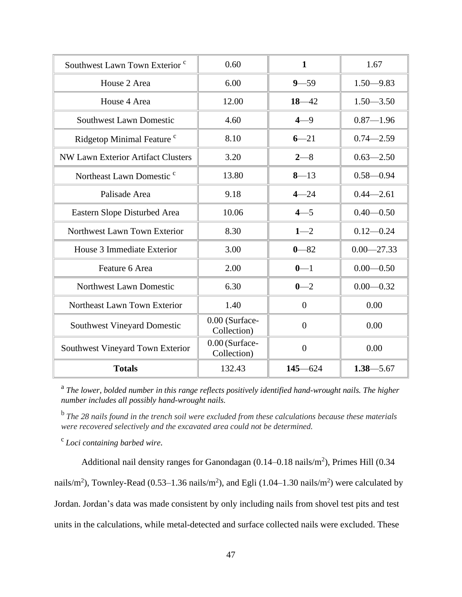| Southwest Lawn Town Exterior <sup>c</sup> | 0.60                          | $\mathbf{1}$   | 1.67           |
|-------------------------------------------|-------------------------------|----------------|----------------|
| House 2 Area                              | 6.00                          | $9 - 59$       | $1.50 - 9.83$  |
| House 4 Area                              | 12.00                         | $18 - 42$      | $1.50 - 3.50$  |
| <b>Southwest Lawn Domestic</b>            | 4.60                          | $4 - 9$        | $0.87 - 1.96$  |
| Ridgetop Minimal Feature <sup>c</sup>     | 8.10                          | $6 - 21$       | $0.74 - 2.59$  |
| NW Lawn Exterior Artifact Clusters        | 3.20                          | $2 - 8$        | $0.63 - 2.50$  |
| Northeast Lawn Domestic <sup>c</sup>      | 13.80                         | $8 - 13$       | $0.58 - 0.94$  |
| Palisade Area                             | 9.18                          | $4 - 24$       | $0.44 - 2.61$  |
| Eastern Slope Disturbed Area              | 10.06                         | $4 - 5$        | $0.40 - 0.50$  |
| Northwest Lawn Town Exterior              | 8.30                          | $1 - 2$        | $0.12 - 0.24$  |
| House 3 Immediate Exterior                | 3.00                          | $0 - 82$       | $0.00 - 27.33$ |
| Feature 6 Area                            | 2.00                          | $0 - 1$        | $0.00 - 0.50$  |
| Northwest Lawn Domestic                   | 6.30                          | $0 - 2$        | $0.00 - 0.32$  |
| Northeast Lawn Town Exterior              | 1.40                          | $\overline{0}$ | 0.00           |
| <b>Southwest Vineyard Domestic</b>        | 0.00 (Surface-<br>Collection) | $\overline{0}$ | 0.00           |
| Southwest Vineyard Town Exterior          | 0.00 (Surface-<br>Collection) | $\overline{0}$ | 0.00           |
| <b>Totals</b>                             | 132.43                        | $145 - 624$    | $1.38 - 5.67$  |

<sup>a</sup> The lower, bolded number in this range reflects positively identified hand-wrought nails. The higher *number includes all possibly hand-wrought nails.*

b *The 28 nails found in the trench soil were excluded from these calculations because these materials were recovered selectively and the excavated area could not be determined.*

c *Loci containing barbed wire.*

Additional nail density ranges for Ganondagan  $(0.14 - 0.18 \text{ nails/m}^2)$ , Primes Hill  $(0.34$ nails/m<sup>2</sup>), Townley-Read (0.53–1.36 nails/m<sup>2</sup>), and Egli (1.04–1.30 nails/m<sup>2</sup>) were calculated by Jordan. Jordan's data was made consistent by only including nails from shovel test pits and test units in the calculations, while metal-detected and surface collected nails were excluded. These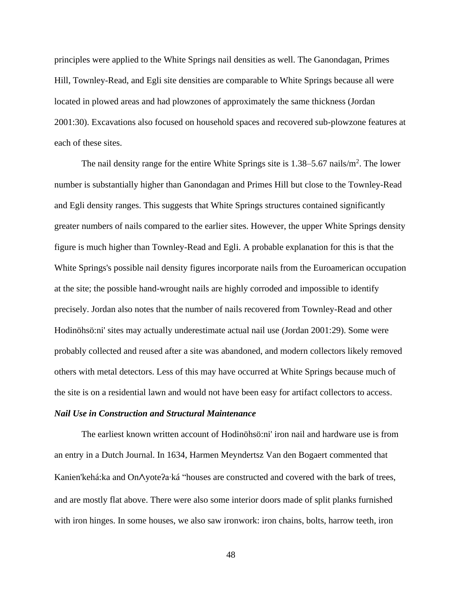principles were applied to the White Springs nail densities as well. The Ganondagan, Primes Hill, Townley-Read, and Egli site densities are comparable to White Springs because all were located in plowed areas and had plowzones of approximately the same thickness (Jordan 2001:30). Excavations also focused on household spaces and recovered sub-plowzone features at each of these sites.

The nail density range for the entire White Springs site is  $1.38 - 5.67$  nails/m<sup>2</sup>. The lower number is substantially higher than Ganondagan and Primes Hill but close to the Townley-Read and Egli density ranges. This suggests that White Springs structures contained significantly greater numbers of nails compared to the earlier sites. However, the upper White Springs density figure is much higher than Townley-Read and Egli. A probable explanation for this is that the White Springs's possible nail density figures incorporate nails from the Euroamerican occupation at the site; the possible hand-wrought nails are highly corroded and impossible to identify precisely. Jordan also notes that the number of nails recovered from Townley-Read and other Hodinöhsö:ni' sites may actually underestimate actual nail use (Jordan 2001:29). Some were probably collected and reused after a site was abandoned, and modern collectors likely removed others with metal detectors. Less of this may have occurred at White Springs because much of the site is on a residential lawn and would not have been easy for artifact collectors to access.

#### *Nail Use in Construction and Structural Maintenance*

The earliest known written account of Hodinöhsö:ni' iron nail and hardware use is from an entry in a Dutch Journal. In 1634, Harmen Meyndertsz Van den Bogaert commented that Kanien'kehá:ka and On∧yote?a∙ká "houses are constructed and covered with the bark of trees, and are mostly flat above. There were also some interior doors made of split planks furnished with iron hinges. In some houses, we also saw ironwork: iron chains, bolts, harrow teeth, iron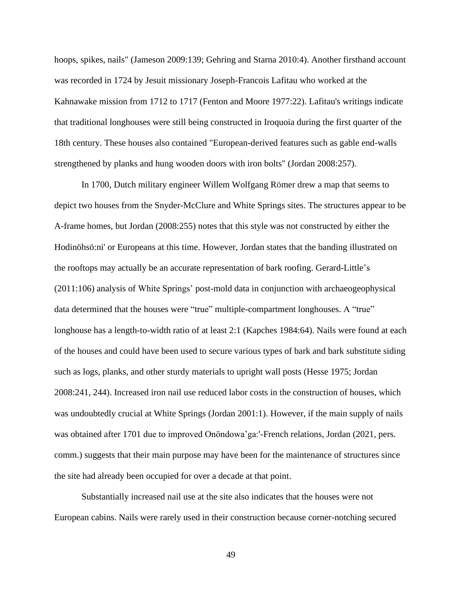hoops, spikes, nails" (Jameson 2009:139; Gehring and Starna 2010:4). Another firsthand account was recorded in 1724 by Jesuit missionary Joseph-Francois Lafitau who worked at the Kahnawake mission from 1712 to 1717 (Fenton and Moore 1977:22). Lafitau's writings indicate that traditional longhouses were still being constructed in Iroquoia during the first quarter of the 18th century. These houses also contained "European-derived features such as gable end-walls strengthened by planks and hung wooden doors with iron bolts" (Jordan 2008:257).

In 1700, Dutch military engineer Willem Wolfgang Römer drew a map that seems to depict two houses from the Snyder-McClure and White Springs sites. The structures appear to be A-frame homes, but Jordan (2008:255) notes that this style was not constructed by either the Hodinöhsö:ni' or Europeans at this time. However, Jordan states that the banding illustrated on the rooftops may actually be an accurate representation of bark roofing. Gerard-Little's (2011:106) analysis of White Springs' post-mold data in conjunction with archaeogeophysical data determined that the houses were "true" multiple-compartment longhouses. A "true" longhouse has a length-to-width ratio of at least 2:1 (Kapches 1984:64). Nails were found at each of the houses and could have been used to secure various types of bark and bark substitute siding such as logs, planks, and other sturdy materials to upright wall posts (Hesse 1975; Jordan 2008:241, 244). Increased iron nail use reduced labor costs in the construction of houses, which was undoubtedly crucial at White Springs (Jordan 2001:1). However, if the main supply of nails was obtained after 1701 due to improved Onöndowa'ga:'-French relations, Jordan (2021, pers. comm.) suggests that their main purpose may have been for the maintenance of structures since the site had already been occupied for over a decade at that point.

Substantially increased nail use at the site also indicates that the houses were not European cabins. Nails were rarely used in their construction because corner-notching secured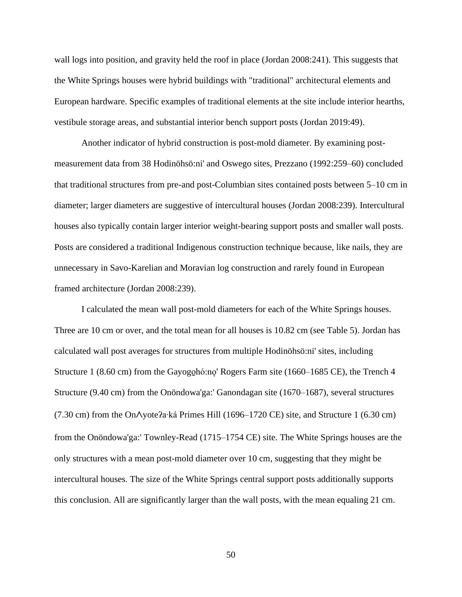wall logs into position, and gravity held the roof in place (Jordan 2008:241). This suggests that the White Springs houses were hybrid buildings with "traditional" architectural elements and European hardware. Specific examples of traditional elements at the site include interior hearths, vestibule storage areas, and substantial interior bench support posts (Jordan 2019:49).

Another indicator of hybrid construction is post-mold diameter. By examining postmeasurement data from 38 Hodinöhsö:ni' and Oswego sites, Prezzano (1992:259–60) concluded that traditional structures from pre-and post-Columbian sites contained posts between 5–10 cm in diameter; larger diameters are suggestive of intercultural houses (Jordan 2008:239). Intercultural houses also typically contain larger interior weight-bearing support posts and smaller wall posts. Posts are considered a traditional Indigenous construction technique because, like nails, they are unnecessary in Savo-Karelian and Moravian log construction and rarely found in European framed architecture (Jordan 2008:239).

I calculated the mean wall post-mold diameters for each of the White Springs houses. Three are 10 cm or over, and the total mean for all houses is 10.82 cm (see Table 5). Jordan has calculated wall post averages for structures from multiple Hodinöhsö:ni' sites, including Structure 1 (8.60 cm) from the Gayogoló:no' Rogers Farm site (1660–1685 CE), the Trench 4 Structure (9.40 cm) from the Onöndowa'ga:' Ganondagan site (1670–1687), several structures (7.30 cm) from the Onᐱyoteʔa∙ká Primes Hill (1696–1720 CE) site, and Structure 1 (6.30 cm) from the Onöndowa'ga:' Townley-Read (1715–1754 CE) site. The White Springs houses are the only structures with a mean post-mold diameter over 10 cm, suggesting that they might be intercultural houses. The size of the White Springs central support posts additionally supports this conclusion. All are significantly larger than the wall posts, with the mean equaling 21 cm.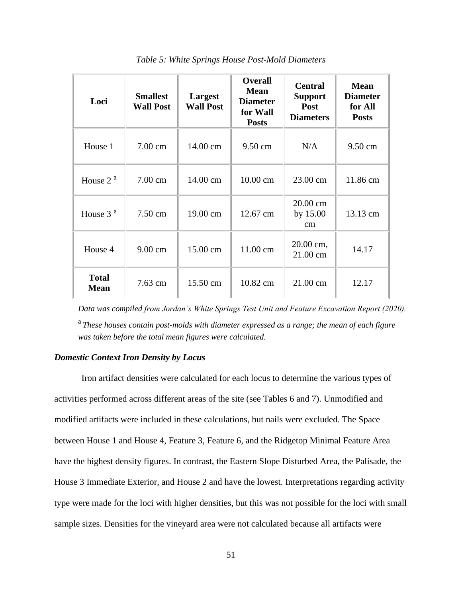| Loci                        | <b>Smallest</b><br><b>Wall Post</b> | Largest<br><b>Wall Post</b> | <b>Overall</b><br><b>Mean</b><br><b>Diameter</b><br>for Wall<br><b>Posts</b> | <b>Central</b><br><b>Support</b><br>Post<br><b>Diameters</b> | <b>Mean</b><br><b>Diameter</b><br>for All<br><b>Posts</b> |
|-----------------------------|-------------------------------------|-----------------------------|------------------------------------------------------------------------------|--------------------------------------------------------------|-----------------------------------------------------------|
| House 1                     | 7.00 cm                             | 14.00 cm                    | 9.50 cm                                                                      | N/A                                                          | 9.50 cm                                                   |
| House $2a$                  | 7.00 cm                             | 14.00 cm                    | 10.00 cm                                                                     | 23.00 cm                                                     | 11.86 cm                                                  |
| House $3a$                  | 7.50 cm                             | 19.00 cm                    | 12.67 cm                                                                     | 20.00 cm<br>by 15.00<br>cm                                   | 13.13 cm                                                  |
| House 4                     | 9.00 cm                             | 15.00 cm                    | 11.00 cm                                                                     | 20.00 cm,<br>21.00 cm                                        | 14.17                                                     |
| <b>Total</b><br><b>Mean</b> | 7.63 cm                             | 15.50 cm                    | 10.82 cm                                                                     | 21.00 cm                                                     | 12.17                                                     |

*Table 5: White Springs House Post-Mold Diameters*

*Data was compiled from Jordan's White Springs Test Unit and Feature Excavation Report (2020).* a *These houses contain post-molds with diameter expressed as a range; the mean of each figure was taken before the total mean figures were calculated.*

## *Domestic Context Iron Density by Locus*

Iron artifact densities were calculated for each locus to determine the various types of activities performed across different areas of the site (see Tables 6 and 7). Unmodified and modified artifacts were included in these calculations, but nails were excluded. The Space between House 1 and House 4, Feature 3, Feature 6, and the Ridgetop Minimal Feature Area have the highest density figures. In contrast, the Eastern Slope Disturbed Area, the Palisade, the House 3 Immediate Exterior, and House 2 and have the lowest. Interpretations regarding activity type were made for the loci with higher densities, but this was not possible for the loci with small sample sizes. Densities for the vineyard area were not calculated because all artifacts were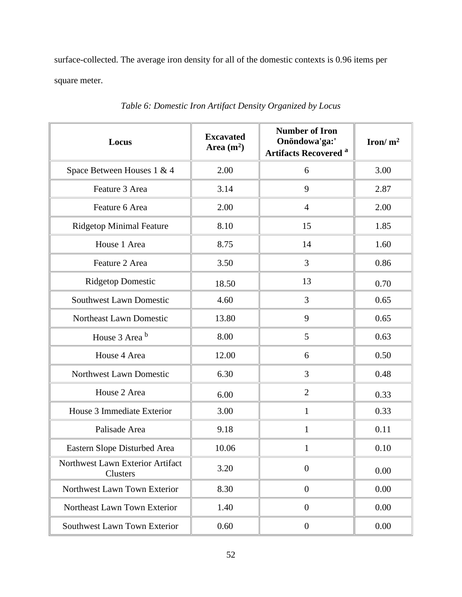surface-collected. The average iron density for all of the domestic contexts is 0.96 items per square meter.

| Locus                                        | <b>Excavated</b><br>Area $(m^2)$ | <b>Number of Iron</b><br>Onöndowa'ga:'<br><b>Artifacts Recovered a</b> | Iron/ $m^2$ |
|----------------------------------------------|----------------------------------|------------------------------------------------------------------------|-------------|
| Space Between Houses 1 & 4                   | 2.00                             | 6                                                                      | 3.00        |
| Feature 3 Area                               | 3.14                             | 9                                                                      | 2.87        |
| Feature 6 Area                               | 2.00                             | $\overline{4}$                                                         | 2.00        |
| <b>Ridgetop Minimal Feature</b>              | 8.10                             | 15                                                                     | 1.85        |
| House 1 Area                                 | 8.75                             | 14                                                                     | 1.60        |
| Feature 2 Area                               | 3.50                             | 3                                                                      | 0.86        |
| <b>Ridgetop Domestic</b>                     | 18.50                            | 13                                                                     | 0.70        |
| <b>Southwest Lawn Domestic</b>               | 4.60                             | 3                                                                      | 0.65        |
| Northeast Lawn Domestic                      | 13.80                            | 9                                                                      | 0.65        |
| House 3 Area b                               | 8.00                             | 5                                                                      | 0.63        |
| House 4 Area                                 | 12.00                            | 6                                                                      | 0.50        |
| Northwest Lawn Domestic                      | 6.30                             | 3                                                                      | 0.48        |
| House 2 Area                                 | 6.00                             | $\overline{2}$                                                         | 0.33        |
| House 3 Immediate Exterior                   | 3.00                             | $\mathbf{1}$                                                           | 0.33        |
| Palisade Area                                | 9.18                             | $\mathbf{1}$                                                           | 0.11        |
| Eastern Slope Disturbed Area                 | 10.06                            | $\mathbf{1}$                                                           | 0.10        |
| Northwest Lawn Exterior Artifact<br>Clusters | 3.20                             | $\boldsymbol{0}$                                                       | 0.00        |
| Northwest Lawn Town Exterior                 | 8.30                             | $\overline{0}$                                                         | 0.00        |
| Northeast Lawn Town Exterior                 | 1.40                             | $\overline{0}$                                                         | 0.00        |
| Southwest Lawn Town Exterior                 | 0.60                             | $\boldsymbol{0}$                                                       | 0.00        |

*Table 6: Domestic Iron Artifact Density Organized by Locus*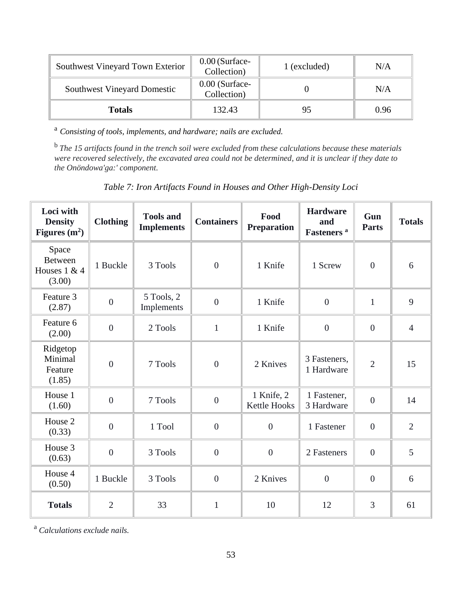| Southwest Vineyard Town Exterior   | $0.00$ (Surface-<br>Collection) | 1 (excluded) | N/A  |
|------------------------------------|---------------------------------|--------------|------|
| <b>Southwest Vineyard Domestic</b> | $0.00$ (Surface-<br>Collection) |              | N/A  |
| <b>Totals</b>                      | 132.43                          | 95           | 0.96 |

<sup>a</sup> *Consisting of tools, implements, and hardware; nails are excluded.*

b *The 15 artifacts found in the trench soil were excluded from these calculations because these materials were recovered selectively, the excavated area could not be determined, and it is unclear if they date to the Onöndowa'ga:' component.*

*Table 7: Iron Artifacts Found in Houses and Other High-Density Loci*

| Loci with<br><b>Density</b><br>Figures $(m^2)$    | <b>Clothing</b> | <b>Tools and</b><br><b>Implements</b> | <b>Containers</b> | Food<br><b>Preparation</b> | <b>Hardware</b><br>and<br>Fasteners <sup>a</sup> | Gun<br><b>Parts</b> | <b>Totals</b>  |
|---------------------------------------------------|-----------------|---------------------------------------|-------------------|----------------------------|--------------------------------------------------|---------------------|----------------|
| Space<br><b>Between</b><br>Houses 1 & 4<br>(3.00) | 1 Buckle        | 3 Tools                               | $\overline{0}$    | 1 Knife                    | 1 Screw                                          | $\overline{0}$      | 6              |
| Feature 3<br>(2.87)                               | $\overline{0}$  | 5 Tools, 2<br>Implements              | $\overline{0}$    | 1 Knife                    | $\overline{0}$                                   | $\mathbf{1}$        | 9              |
| Feature 6<br>(2.00)                               | $\overline{0}$  | 2 Tools                               | $\mathbf{1}$      | 1 Knife                    | $\overline{0}$                                   | $\overline{0}$      | $\overline{4}$ |
| Ridgetop<br>Minimal<br>Feature<br>(1.85)          | $\overline{0}$  | 7 Tools                               | $\boldsymbol{0}$  | 2 Knives                   | 3 Fasteners,<br>1 Hardware                       | $\overline{2}$      | 15             |
| House 1<br>(1.60)                                 | $\overline{0}$  | 7 Tools                               | $\overline{0}$    | 1 Knife, 2<br>Kettle Hooks | 1 Fastener,<br>3 Hardware                        | $\overline{0}$      | 14             |
| House 2<br>(0.33)                                 | $\overline{0}$  | 1 Tool                                | $\overline{0}$    | $\overline{0}$             | 1 Fastener                                       | $\overline{0}$      | $\overline{2}$ |
| House 3<br>(0.63)                                 | $\overline{0}$  | 3 Tools                               | $\boldsymbol{0}$  | $\boldsymbol{0}$           | 2 Fasteners                                      | $\boldsymbol{0}$    | 5              |
| House 4<br>(0.50)                                 | 1 Buckle        | 3 Tools                               | $\boldsymbol{0}$  | 2 Knives                   | $\boldsymbol{0}$                                 | $\overline{0}$      | 6              |
| <b>Totals</b>                                     | $\overline{2}$  | 33                                    | $\mathbf{1}$      | 10                         | 12                                               | 3                   | 61             |

<sup>a</sup> *Calculations exclude nails.*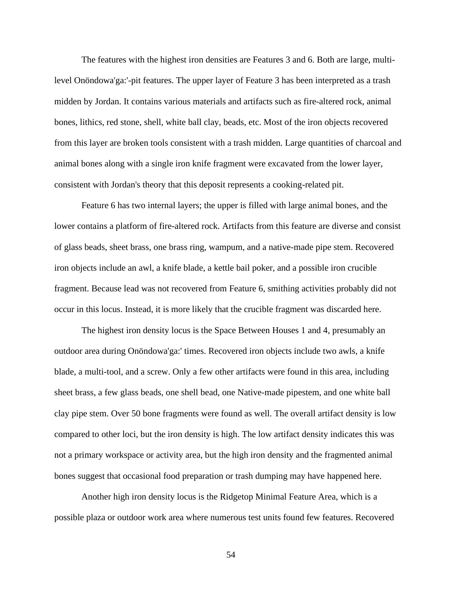The features with the highest iron densities are Features 3 and 6. Both are large, multilevel Onöndowa'ga:'-pit features. The upper layer of Feature 3 has been interpreted as a trash midden by Jordan. It contains various materials and artifacts such as fire-altered rock, animal bones, lithics, red stone, shell, white ball clay, beads, etc. Most of the iron objects recovered from this layer are broken tools consistent with a trash midden. Large quantities of charcoal and animal bones along with a single iron knife fragment were excavated from the lower layer, consistent with Jordan's theory that this deposit represents a cooking-related pit.

Feature 6 has two internal layers; the upper is filled with large animal bones, and the lower contains a platform of fire-altered rock. Artifacts from this feature are diverse and consist of glass beads, sheet brass, one brass ring, wampum, and a native-made pipe stem. Recovered iron objects include an awl, a knife blade, a kettle bail poker, and a possible iron crucible fragment. Because lead was not recovered from Feature 6, smithing activities probably did not occur in this locus. Instead, it is more likely that the crucible fragment was discarded here.

The highest iron density locus is the Space Between Houses 1 and 4, presumably an outdoor area during Onöndowa'ga:' times. Recovered iron objects include two awls, a knife blade, a multi-tool, and a screw. Only a few other artifacts were found in this area, including sheet brass, a few glass beads, one shell bead, one Native-made pipestem, and one white ball clay pipe stem. Over 50 bone fragments were found as well. The overall artifact density is low compared to other loci, but the iron density is high. The low artifact density indicates this was not a primary workspace or activity area, but the high iron density and the fragmented animal bones suggest that occasional food preparation or trash dumping may have happened here.

Another high iron density locus is the Ridgetop Minimal Feature Area, which is a possible plaza or outdoor work area where numerous test units found few features. Recovered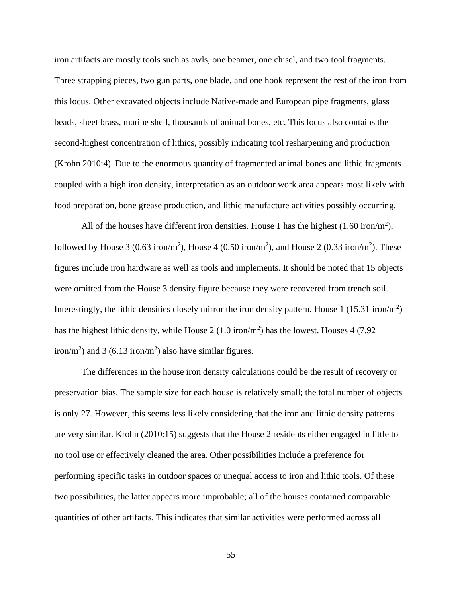iron artifacts are mostly tools such as awls, one beamer, one chisel, and two tool fragments. Three strapping pieces, two gun parts, one blade, and one hook represent the rest of the iron from this locus. Other excavated objects include Native-made and European pipe fragments, glass beads, sheet brass, marine shell, thousands of animal bones, etc. This locus also contains the second-highest concentration of lithics, possibly indicating tool resharpening and production (Krohn 2010:4). Due to the enormous quantity of fragmented animal bones and lithic fragments coupled with a high iron density, interpretation as an outdoor work area appears most likely with food preparation, bone grease production, and lithic manufacture activities possibly occurring.

All of the houses have different iron densities. House 1 has the highest  $(1.60 \text{ iron/m}^2)$ , followed by House 3 (0.63 iron/m<sup>2</sup>), House 4 (0.50 iron/m<sup>2</sup>), and House 2 (0.33 iron/m<sup>2</sup>). These figures include iron hardware as well as tools and implements. It should be noted that 15 objects were omitted from the House 3 density figure because they were recovered from trench soil. Interestingly, the lithic densities closely mirror the iron density pattern. House  $1 (15.31 \text{ iron/m}^2)$ has the highest lithic density, while House 2 (1.0 iron/m<sup>2</sup>) has the lowest. Houses 4 (7.92) iron/m<sup>2</sup>) and 3 (6.13 iron/m<sup>2</sup>) also have similar figures.

The differences in the house iron density calculations could be the result of recovery or preservation bias. The sample size for each house is relatively small; the total number of objects is only 27. However, this seems less likely considering that the iron and lithic density patterns are very similar. Krohn (2010:15) suggests that the House 2 residents either engaged in little to no tool use or effectively cleaned the area. Other possibilities include a preference for performing specific tasks in outdoor spaces or unequal access to iron and lithic tools. Of these two possibilities, the latter appears more improbable; all of the houses contained comparable quantities of other artifacts. This indicates that similar activities were performed across all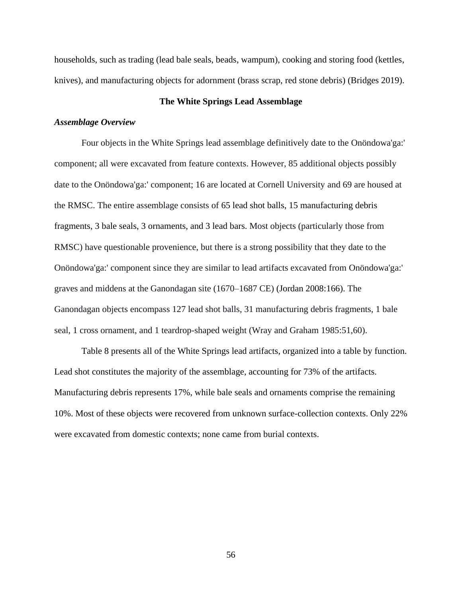households, such as trading (lead bale seals, beads, wampum), cooking and storing food (kettles, knives), and manufacturing objects for adornment (brass scrap, red stone debris) (Bridges 2019).

# **The White Springs Lead Assemblage**

## *Assemblage Overview*

Four objects in the White Springs lead assemblage definitively date to the Onöndowa'ga:' component; all were excavated from feature contexts. However, 85 additional objects possibly date to the Onöndowa'ga:' component; 16 are located at Cornell University and 69 are housed at the RMSC. The entire assemblage consists of 65 lead shot balls, 15 manufacturing debris fragments, 3 bale seals, 3 ornaments, and 3 lead bars. Most objects (particularly those from RMSC) have questionable provenience, but there is a strong possibility that they date to the Onöndowa'ga:' component since they are similar to lead artifacts excavated from Onöndowa'ga:' graves and middens at the Ganondagan site (1670–1687 CE) (Jordan 2008:166). The Ganondagan objects encompass 127 lead shot balls, 31 manufacturing debris fragments, 1 bale seal, 1 cross ornament, and 1 teardrop-shaped weight (Wray and Graham 1985:51,60).

Table 8 presents all of the White Springs lead artifacts, organized into a table by function. Lead shot constitutes the majority of the assemblage, accounting for 73% of the artifacts. Manufacturing debris represents 17%, while bale seals and ornaments comprise the remaining 10%. Most of these objects were recovered from unknown surface-collection contexts. Only 22% were excavated from domestic contexts; none came from burial contexts.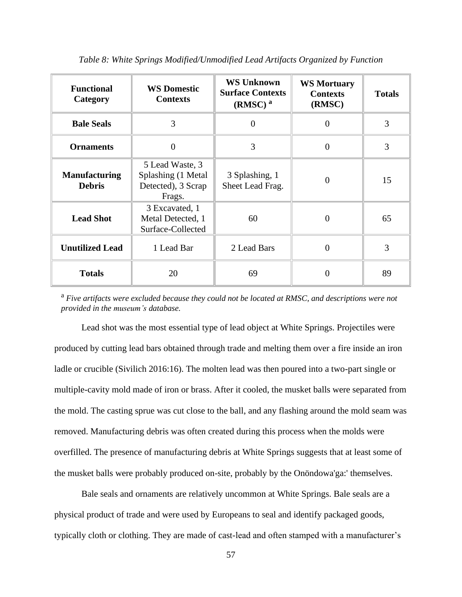| <b>Functional</b><br><b>WS Domestic</b><br><b>Contexts</b><br>Category |                                                                       | <b>WS Unknown</b><br><b>Surface Contexts</b><br>$(RMSC)^a$ | <b>WS Mortuary</b><br><b>Contexts</b><br>(RMSC) | <b>Totals</b> |
|------------------------------------------------------------------------|-----------------------------------------------------------------------|------------------------------------------------------------|-------------------------------------------------|---------------|
| 3<br><b>Bale Seals</b>                                                 |                                                                       | $\overline{0}$                                             | $\theta$                                        | 3             |
| <b>Ornaments</b>                                                       | $\theta$                                                              | 3                                                          | $\overline{0}$                                  | 3             |
| <b>Manufacturing</b><br><b>Debris</b>                                  | 5 Lead Waste, 3<br>Splashing (1 Metal<br>Detected), 3 Scrap<br>Frags. | 3 Splashing, 1<br>Sheet Lead Frag.                         | $\Omega$                                        | 15            |
| <b>Lead Shot</b>                                                       | 3 Excavated, 1<br>Metal Detected, 1<br>Surface-Collected              | 60                                                         | $\Omega$                                        | 65            |
| <b>Unutilized Lead</b><br>1 Lead Bar<br>2 Lead Bars                    |                                                                       |                                                            | $\theta$                                        | 3             |
| <b>Totals</b>                                                          | 20                                                                    | 69                                                         | 0                                               | 89            |

*Table 8: White Springs Modified/Unmodified Lead Artifacts Organized by Function*

<sup>a</sup> *Five artifacts were excluded because they could not be located at RMSC, and descriptions were not provided in the museum's database.* 

Lead shot was the most essential type of lead object at White Springs. Projectiles were produced by cutting lead bars obtained through trade and melting them over a fire inside an iron ladle or crucible (Sivilich 2016:16). The molten lead was then poured into a two-part single or multiple-cavity mold made of iron or brass. After it cooled, the musket balls were separated from the mold. The casting sprue was cut close to the ball, and any flashing around the mold seam was removed. Manufacturing debris was often created during this process when the molds were overfilled. The presence of manufacturing debris at White Springs suggests that at least some of the musket balls were probably produced on-site, probably by the Onöndowa'ga:' themselves.

Bale seals and ornaments are relatively uncommon at White Springs. Bale seals are a physical product of trade and were used by Europeans to seal and identify packaged goods, typically cloth or clothing. They are made of cast-lead and often stamped with a manufacturer's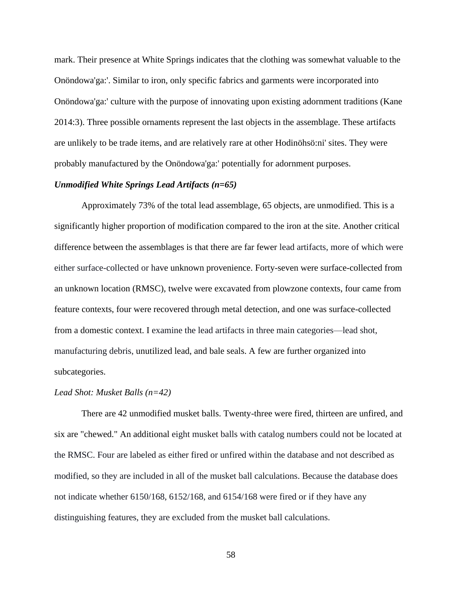mark. Their presence at White Springs indicates that the clothing was somewhat valuable to the Onöndowa'ga:'. Similar to iron, only specific fabrics and garments were incorporated into Onöndowa'ga:' culture with the purpose of innovating upon existing adornment traditions (Kane 2014:3). Three possible ornaments represent the last objects in the assemblage. These artifacts are unlikely to be trade items, and are relatively rare at other Hodinöhsö:ni' sites. They were probably manufactured by the Onöndowa'ga:' potentially for adornment purposes.

# *Unmodified White Springs Lead Artifacts (n=65)*

Approximately 73% of the total lead assemblage, 65 objects, are unmodified. This is a significantly higher proportion of modification compared to the iron at the site. Another critical difference between the assemblages is that there are far fewer lead artifacts, more of which were either surface-collected or have unknown provenience. Forty-seven were surface-collected from an unknown location (RMSC), twelve were excavated from plowzone contexts, four came from feature contexts, four were recovered through metal detection, and one was surface-collected from a domestic context. I examine the lead artifacts in three main categories—lead shot, manufacturing debris, unutilized lead, and bale seals. A few are further organized into subcategories.

#### *Lead Shot: Musket Balls (n=42)*

There are 42 unmodified musket balls. Twenty-three were fired, thirteen are unfired, and six are "chewed." An additional eight musket balls with catalog numbers could not be located at the RMSC. Four are labeled as either fired or unfired within the database and not described as modified, so they are included in all of the musket ball calculations. Because the database does not indicate whether 6150/168, 6152/168, and 6154/168 were fired or if they have any distinguishing features, they are excluded from the musket ball calculations.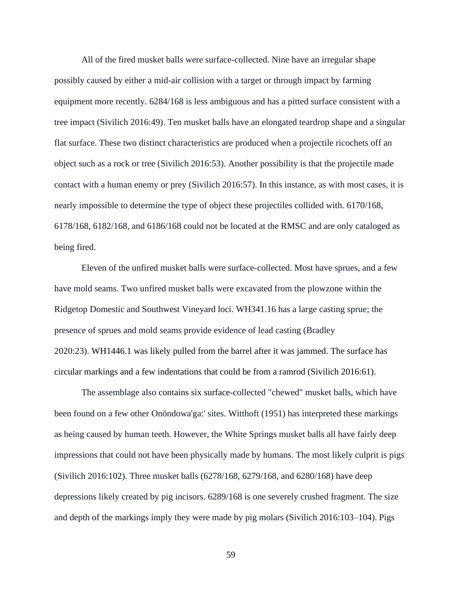All of the fired musket balls were surface-collected. Nine have an irregular shape possibly caused by either a mid-air collision with a target or through impact by farming equipment more recently. 6284/168 is less ambiguous and has a pitted surface consistent with a tree impact (Sivilich 2016:49). Ten musket balls have an elongated teardrop shape and a singular flat surface. These two distinct characteristics are produced when a projectile ricochets off an object such as a rock or tree (Sivilich 2016:53). Another possibility is that the projectile made contact with a human enemy or prey (Sivilich 2016:57). In this instance, as with most cases, it is nearly impossible to determine the type of object these projectiles collided with. 6170/168, 6178/168, 6182/168, and 6186/168 could not be located at the RMSC and are only cataloged as being fired.

Eleven of the unfired musket balls were surface-collected. Most have sprues, and a few have mold seams. Two unfired musket balls were excavated from the plowzone within the Ridgetop Domestic and Southwest Vineyard loci. WH341.16 has a large casting sprue; the presence of sprues and mold seams provide evidence of lead casting (Bradley 2020:23). WH1446.1 was likely pulled from the barrel after it was jammed. The surface has circular markings and a few indentations that could be from a ramrod (Sivilich 2016:61).

The assemblage also contains six surface-collected "chewed" musket balls, which have been found on a few other Onöndowa'ga:' sites. Witthoft (1951) has interpreted these markings as being caused by human teeth. However, the White Springs musket balls all have fairly deep impressions that could not have been physically made by humans. The most likely culprit is pigs (Sivilich 2016:102). Three musket balls (6278/168, 6279/168, and 6280/168) have deep depressions likely created by pig incisors. 6289/168 is one severely crushed fragment. The size and depth of the markings imply they were made by pig molars (Sivilich 2016:103–104). Pigs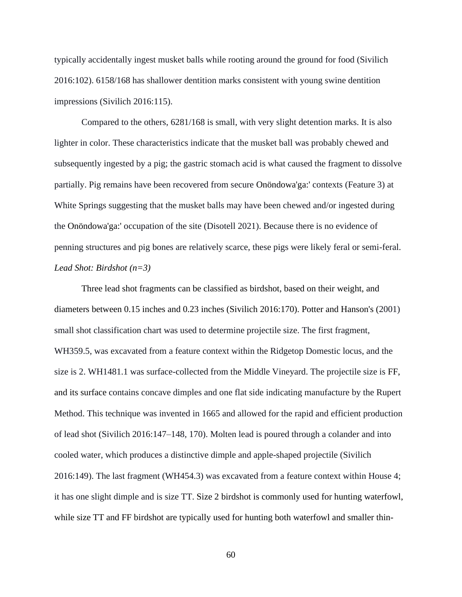typically accidentally ingest musket balls while rooting around the ground for food (Sivilich 2016:102). 6158/168 has shallower dentition marks consistent with young swine dentition impressions (Sivilich 2016:115).

Compared to the others, 6281/168 is small, with very slight detention marks. It is also lighter in color. These characteristics indicate that the musket ball was probably chewed and subsequently ingested by a pig; the gastric stomach acid is what caused the fragment to dissolve partially. Pig remains have been recovered from secure Onöndowa'ga:' contexts (Feature 3) at White Springs suggesting that the musket balls may have been chewed and/or ingested during the Onöndowa'ga:' occupation of the site (Disotell 2021). Because there is no evidence of penning structures and pig bones are relatively scarce, these pigs were likely feral or semi-feral. *Lead Shot: Birdshot (n=3)*

Three lead shot fragments can be classified as birdshot, based on their weight, and diameters between 0.15 inches and 0.23 inches (Sivilich 2016:170). Potter and Hanson's (2001) small shot classification chart was used to determine projectile size. The first fragment, WH359.5, was excavated from a feature context within the Ridgetop Domestic locus, and the size is 2. WH1481.1 was surface-collected from the Middle Vineyard. The projectile size is FF, and its surface contains concave dimples and one flat side indicating manufacture by the Rupert Method. This technique was invented in 1665 and allowed for the rapid and efficient production of lead shot (Sivilich 2016:147–148, 170). Molten lead is poured through a colander and into cooled water, which produces a distinctive dimple and apple-shaped projectile (Sivilich 2016:149). The last fragment (WH454.3) was excavated from a feature context within House 4; it has one slight dimple and is size TT. Size 2 birdshot is commonly used for hunting waterfowl, while size TT and FF birdshot are typically used for hunting both waterfowl and smaller thin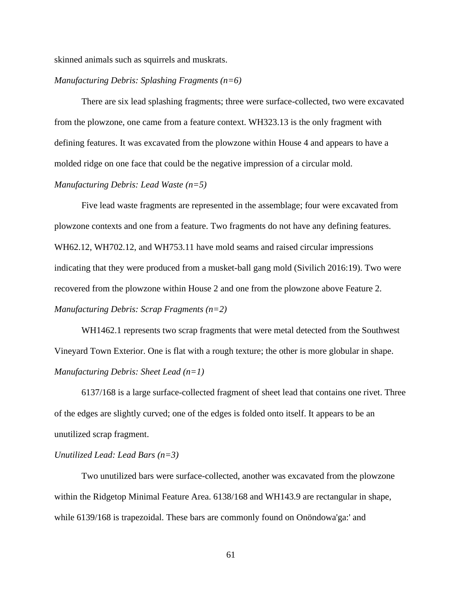skinned animals such as squirrels and muskrats.

## *Manufacturing Debris: Splashing Fragments (n=6)*

There are six lead splashing fragments; three were surface-collected, two were excavated from the plowzone, one came from a feature context. WH323.13 is the only fragment with defining features. It was excavated from the plowzone within House 4 and appears to have a molded ridge on one face that could be the negative impression of a circular mold.

# *Manufacturing Debris: Lead Waste (n=5)*

Five lead waste fragments are represented in the assemblage; four were excavated from plowzone contexts and one from a feature. Two fragments do not have any defining features. WH62.12, WH702.12, and WH753.11 have mold seams and raised circular impressions indicating that they were produced from a musket-ball gang mold (Sivilich 2016:19). Two were recovered from the plowzone within House 2 and one from the plowzone above Feature 2. *Manufacturing Debris: Scrap Fragments (n=2)*

WH1462.1 represents two scrap fragments that were metal detected from the Southwest Vineyard Town Exterior. One is flat with a rough texture; the other is more globular in shape. *Manufacturing Debris: Sheet Lead (n=1)*

6137/168 is a large surface-collected fragment of sheet lead that contains one rivet. Three of the edges are slightly curved; one of the edges is folded onto itself. It appears to be an unutilized scrap fragment.

### *Unutilized Lead: Lead Bars (n=3)*

Two unutilized bars were surface-collected, another was excavated from the plowzone within the Ridgetop Minimal Feature Area. 6138/168 and WH143.9 are rectangular in shape, while 6139/168 is trapezoidal. These bars are commonly found on Onöndowa'ga:' and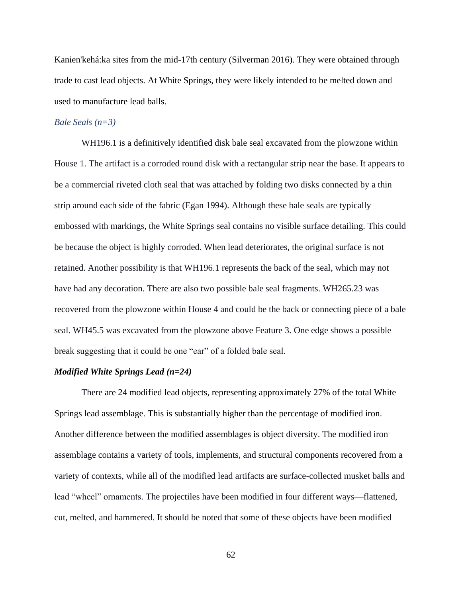Kanien'kehá:ka sites from the mid-17th century (Silverman 2016). They were obtained through trade to cast lead objects. At White Springs, they were likely intended to be melted down and used to manufacture lead balls.

### *Bale Seals (n=3)*

WH196.1 is a definitively identified disk bale seal excavated from the plowzone within House 1. The artifact is a corroded round disk with a rectangular strip near the base. It appears to be a commercial riveted cloth seal that was attached by folding two disks connected by a thin strip around each side of the fabric (Egan 1994). Although these bale seals are typically embossed with markings, the White Springs seal contains no visible surface detailing. This could be because the object is highly corroded. When lead deteriorates, the original surface is not retained. Another possibility is that WH196.1 represents the back of the seal, which may not have had any decoration. There are also two possible bale seal fragments. WH265.23 was recovered from the plowzone within House 4 and could be the back or connecting piece of a bale seal. WH45.5 was excavated from the plowzone above Feature 3. One edge shows a possible break suggesting that it could be one "ear" of a folded bale seal.

## *Modified White Springs Lead (n=24)*

There are 24 modified lead objects, representing approximately 27% of the total White Springs lead assemblage. This is substantially higher than the percentage of modified iron. Another difference between the modified assemblages is object diversity. The modified iron assemblage contains a variety of tools, implements, and structural components recovered from a variety of contexts, while all of the modified lead artifacts are surface-collected musket balls and lead "wheel" ornaments. The projectiles have been modified in four different ways—flattened, cut, melted, and hammered. It should be noted that some of these objects have been modified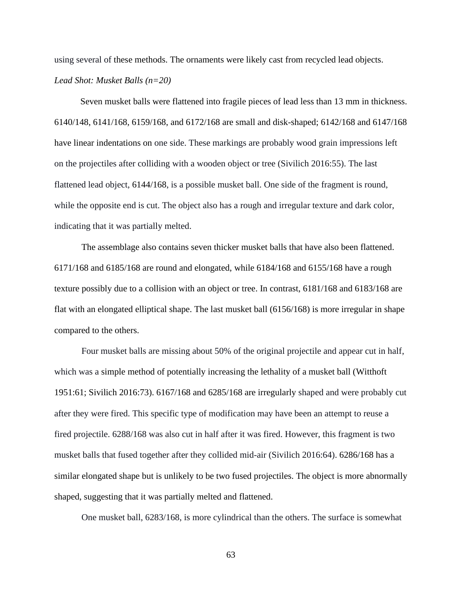using several of these methods. The ornaments were likely cast from recycled lead objects. *Lead Shot: Musket Balls (n=20)*

Seven musket balls were flattened into fragile pieces of lead less than 13 mm in thickness. 6140/148, 6141/168, 6159/168, and 6172/168 are small and disk-shaped; 6142/168 and 6147/168 have linear indentations on one side. These markings are probably wood grain impressions left on the projectiles after colliding with a wooden object or tree (Sivilich 2016:55). The last flattened lead object, 6144/168, is a possible musket ball. One side of the fragment is round, while the opposite end is cut. The object also has a rough and irregular texture and dark color, indicating that it was partially melted.

The assemblage also contains seven thicker musket balls that have also been flattened. 6171/168 and 6185/168 are round and elongated, while 6184/168 and 6155/168 have a rough texture possibly due to a collision with an object or tree. In contrast, 6181/168 and 6183/168 are flat with an elongated elliptical shape. The last musket ball (6156/168) is more irregular in shape compared to the others.

Four musket balls are missing about 50% of the original projectile and appear cut in half, which was a simple method of potentially increasing the lethality of a musket ball (Witthoft 1951:61; Sivilich 2016:73). 6167/168 and 6285/168 are irregularly shaped and were probably cut after they were fired. This specific type of modification may have been an attempt to reuse a fired projectile. 6288/168 was also cut in half after it was fired. However, this fragment is two musket balls that fused together after they collided mid-air (Sivilich 2016:64). 6286/168 has a similar elongated shape but is unlikely to be two fused projectiles. The object is more abnormally shaped, suggesting that it was partially melted and flattened.

One musket ball, 6283/168, is more cylindrical than the others. The surface is somewhat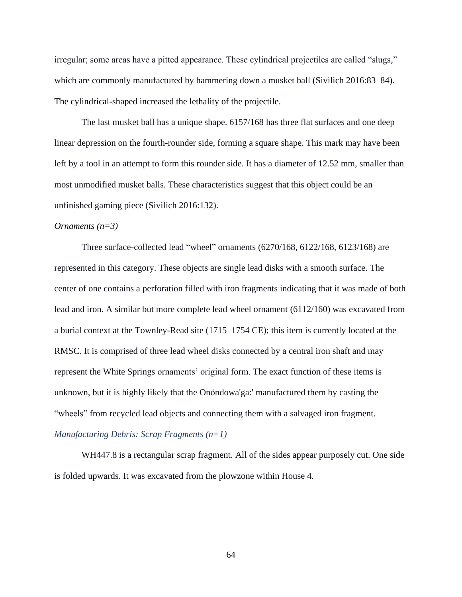irregular; some areas have a pitted appearance. These cylindrical projectiles are called "slugs," which are commonly manufactured by hammering down a musket ball (Sivilich 2016:83–84). The cylindrical-shaped increased the lethality of the projectile.

The last musket ball has a unique shape. 6157/168 has three flat surfaces and one deep linear depression on the fourth-rounder side, forming a square shape. This mark may have been left by a tool in an attempt to form this rounder side. It has a diameter of 12.52 mm, smaller than most unmodified musket balls. These characteristics suggest that this object could be an unfinished gaming piece (Sivilich 2016:132).

#### *Ornaments (n=3)*

Three surface-collected lead "wheel" ornaments (6270/168, 6122/168, 6123/168) are represented in this category. These objects are single lead disks with a smooth surface. The center of one contains a perforation filled with iron fragments indicating that it was made of both lead and iron. A similar but more complete lead wheel ornament (6112/160) was excavated from a burial context at the Townley-Read site (1715–1754 CE); this item is currently located at the RMSC. It is comprised of three lead wheel disks connected by a central iron shaft and may represent the White Springs ornaments' original form. The exact function of these items is unknown, but it is highly likely that the Onöndowa'ga:' manufactured them by casting the "wheels" from recycled lead objects and connecting them with a salvaged iron fragment. *Manufacturing Debris: Scrap Fragments (n=1)*

WH447.8 is a rectangular scrap fragment. All of the sides appear purposely cut. One side is folded upwards. It was excavated from the plowzone within House 4.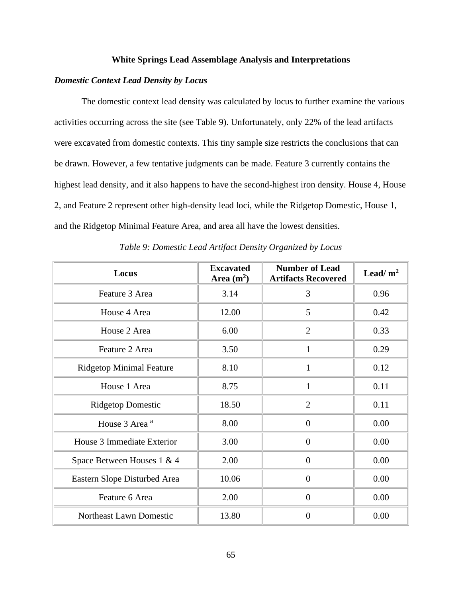## **White Springs Lead Assemblage Analysis and Interpretations**

# *Domestic Context Lead Density by Locus*

The domestic context lead density was calculated by locus to further examine the various activities occurring across the site (see Table 9). Unfortunately, only 22% of the lead artifacts were excavated from domestic contexts. This tiny sample size restricts the conclusions that can be drawn. However, a few tentative judgments can be made. Feature 3 currently contains the highest lead density, and it also happens to have the second-highest iron density. House 4, House 2, and Feature 2 represent other high-density lead loci, while the Ridgetop Domestic, House 1, and the Ridgetop Minimal Feature Area, and area all have the lowest densities.

| Locus                           | <b>Excavated</b><br>Area $(m2)$ | <b>Number of Lead</b><br><b>Artifacts Recovered</b> | Lead/ $m2$ |
|---------------------------------|---------------------------------|-----------------------------------------------------|------------|
| Feature 3 Area                  | 3.14                            | 3                                                   | 0.96       |
| House 4 Area                    | 12.00                           | 5                                                   | 0.42       |
| House 2 Area                    | 6.00                            | $\overline{2}$                                      | 0.33       |
| Feature 2 Area                  | 3.50                            | $\mathbf{1}$                                        | 0.29       |
| <b>Ridgetop Minimal Feature</b> | 8.10                            | $\mathbf{1}$                                        | 0.12       |
| House 1 Area                    | 8.75                            | $\mathbf{1}$                                        | 0.11       |
| <b>Ridgetop Domestic</b>        | 18.50                           | $\overline{2}$                                      | 0.11       |
| House 3 Area <sup>a</sup>       | 8.00                            | $\boldsymbol{0}$                                    | 0.00       |
| House 3 Immediate Exterior      | 3.00                            | $\overline{0}$                                      | 0.00       |
| Space Between Houses 1 & 4      | 2.00                            | $\overline{0}$                                      | 0.00       |
| Eastern Slope Disturbed Area    | 10.06                           | $\overline{0}$                                      | 0.00       |
| Feature 6 Area                  | 2.00                            | $\overline{0}$                                      | 0.00       |
| Northeast Lawn Domestic         | 13.80                           | $\overline{0}$                                      | 0.00       |

*Table 9: Domestic Lead Artifact Density Organized by Locus*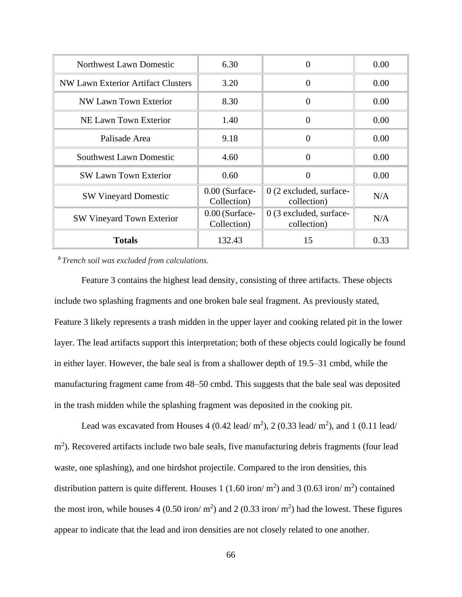| Northwest Lawn Domestic            | 6.30                            | 0                                        | 0.00 |
|------------------------------------|---------------------------------|------------------------------------------|------|
| NW Lawn Exterior Artifact Clusters | 3.20                            | $\Omega$                                 | 0.00 |
| NW Lawn Town Exterior              | 8.30                            | $\theta$                                 | 0.00 |
| NE Lawn Town Exterior              | 1.40                            | $\Omega$                                 | 0.00 |
| Palisade Area                      | 9.18                            | $\theta$                                 | 0.00 |
| <b>Southwest Lawn Domestic</b>     | 4.60                            | $\theta$                                 | 0.00 |
| <b>SW Lawn Town Exterior</b>       | 0.60                            | $\Omega$                                 | 0.00 |
| <b>SW Vineyard Domestic</b>        | 0.00 (Surface-<br>Collection)   | $0(2)$ excluded, surface-<br>collection) | N/A  |
| <b>SW Vineyard Town Exterior</b>   | $0.00$ (Surface-<br>Collection) | 0 (3 excluded, surface-<br>collection)   | N/A  |
| <b>Totals</b>                      | 132.43                          | 15                                       | 0.33 |

a *Trench soil was excluded from calculations.*

Feature 3 contains the highest lead density, consisting of three artifacts. These objects include two splashing fragments and one broken bale seal fragment. As previously stated, Feature 3 likely represents a trash midden in the upper layer and cooking related pit in the lower layer. The lead artifacts support this interpretation; both of these objects could logically be found in either layer. However, the bale seal is from a shallower depth of 19.5–31 cmbd, while the manufacturing fragment came from 48–50 cmbd. This suggests that the bale seal was deposited in the trash midden while the splashing fragment was deposited in the cooking pit.

Lead was excavated from Houses 4 (0.42 lead/  $m^2$ ), 2 (0.33 lead/  $m^2$ ), and 1 (0.11 lead/ m<sup>2</sup>). Recovered artifacts include two bale seals, five manufacturing debris fragments (four lead waste, one splashing), and one birdshot projectile. Compared to the iron densities, this distribution pattern is quite different. Houses 1 (1.60 iron/  $m^2$ ) and 3 (0.63 iron/  $m^2$ ) contained the most iron, while houses  $4(0.50 \text{ iron/m}^2)$  and  $2(0.33 \text{ iron/m}^2)$  had the lowest. These figures appear to indicate that the lead and iron densities are not closely related to one another.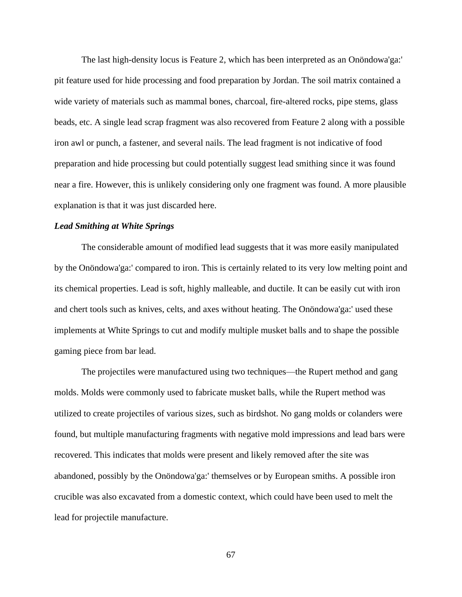The last high-density locus is Feature 2, which has been interpreted as an Onöndowa'ga:' pit feature used for hide processing and food preparation by Jordan. The soil matrix contained a wide variety of materials such as mammal bones, charcoal, fire-altered rocks, pipe stems, glass beads, etc. A single lead scrap fragment was also recovered from Feature 2 along with a possible iron awl or punch, a fastener, and several nails. The lead fragment is not indicative of food preparation and hide processing but could potentially suggest lead smithing since it was found near a fire. However, this is unlikely considering only one fragment was found. A more plausible explanation is that it was just discarded here.

## *Lead Smithing at White Springs*

The considerable amount of modified lead suggests that it was more easily manipulated by the Onöndowa'ga:' compared to iron. This is certainly related to its very low melting point and its chemical properties. Lead is soft, highly malleable, and ductile. It can be easily cut with iron and chert tools such as knives, celts, and axes without heating. The Onöndowa'ga:' used these implements at White Springs to cut and modify multiple musket balls and to shape the possible gaming piece from bar lead.

The projectiles were manufactured using two techniques—the Rupert method and gang molds. Molds were commonly used to fabricate musket balls, while the Rupert method was utilized to create projectiles of various sizes, such as birdshot. No gang molds or colanders were found, but multiple manufacturing fragments with negative mold impressions and lead bars were recovered. This indicates that molds were present and likely removed after the site was abandoned, possibly by the Onöndowa'ga:' themselves or by European smiths. A possible iron crucible was also excavated from a domestic context, which could have been used to melt the lead for projectile manufacture.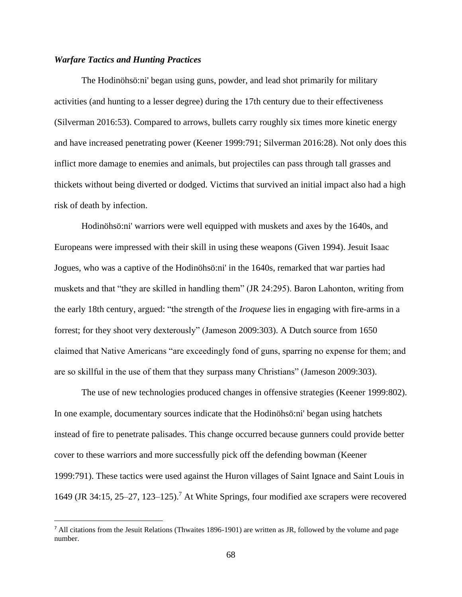# *Warfare Tactics and Hunting Practices*

The Hodinöhsö:ni' began using guns, powder, and lead shot primarily for military activities (and hunting to a lesser degree) during the 17th century due to their effectiveness (Silverman 2016:53). Compared to arrows, bullets carry roughly six times more kinetic energy and have increased penetrating power (Keener 1999:791; Silverman 2016:28). Not only does this inflict more damage to enemies and animals, but projectiles can pass through tall grasses and thickets without being diverted or dodged. Victims that survived an initial impact also had a high risk of death by infection.

Hodinöhsö:ni' warriors were well equipped with muskets and axes by the 1640s, and Europeans were impressed with their skill in using these weapons (Given 1994). Jesuit Isaac Jogues, who was a captive of the Hodinöhsö:ni' in the 1640s, remarked that war parties had muskets and that "they are skilled in handling them" (JR 24:295). Baron Lahonton, writing from the early 18th century, argued: "the strength of the *Iroquese* lies in engaging with fire-arms in a forrest; for they shoot very dexterously" (Jameson 2009:303). A Dutch source from 1650 claimed that Native Americans "are exceedingly fond of guns, sparring no expense for them; and are so skillful in the use of them that they surpass many Christians" (Jameson 2009:303).

The use of new technologies produced changes in offensive strategies (Keener 1999:802). In one example, documentary sources indicate that the Hodinöhsö:ni' began using hatchets instead of fire to penetrate palisades. This change occurred because gunners could provide better cover to these warriors and more successfully pick off the defending bowman (Keener 1999:791). These tactics were used against the Huron villages of Saint Ignace and Saint Louis in 1649 (JR 34:15, 25–27, 123–125).<sup>7</sup> At White Springs, four modified axe scrapers were recovered

<sup>&</sup>lt;sup>7</sup> All citations from the Jesuit Relations (Thwaites 1896-1901) are written as JR, followed by the volume and page number.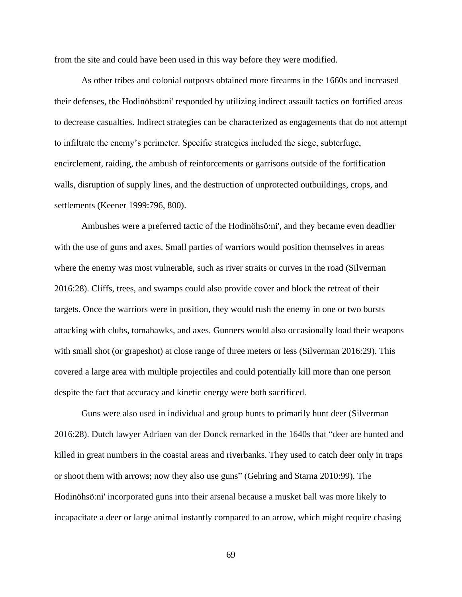from the site and could have been used in this way before they were modified.

As other tribes and colonial outposts obtained more firearms in the 1660s and increased their defenses, the Hodinöhsö:ni' responded by utilizing indirect assault tactics on fortified areas to decrease casualties. Indirect strategies can be characterized as engagements that do not attempt to infiltrate the enemy's perimeter. Specific strategies included the siege, subterfuge, encirclement, raiding, the ambush of reinforcements or garrisons outside of the fortification walls, disruption of supply lines, and the destruction of unprotected outbuildings, crops, and settlements (Keener 1999:796, 800).

Ambushes were a preferred tactic of the Hodinöhsö:ni', and they became even deadlier with the use of guns and axes. Small parties of warriors would position themselves in areas where the enemy was most vulnerable, such as river straits or curves in the road (Silverman 2016:28). Cliffs, trees, and swamps could also provide cover and block the retreat of their targets. Once the warriors were in position, they would rush the enemy in one or two bursts attacking with clubs, tomahawks, and axes. Gunners would also occasionally load their weapons with small shot (or grapeshot) at close range of three meters or less (Silverman 2016:29). This covered a large area with multiple projectiles and could potentially kill more than one person despite the fact that accuracy and kinetic energy were both sacrificed.

Guns were also used in individual and group hunts to primarily hunt deer (Silverman 2016:28). Dutch lawyer Adriaen van der Donck remarked in the 1640s that "deer are hunted and killed in great numbers in the coastal areas and riverbanks. They used to catch deer only in traps or shoot them with arrows; now they also use guns" (Gehring and Starna 2010:99). The Hodinöhsö:ni' incorporated guns into their arsenal because a musket ball was more likely to incapacitate a deer or large animal instantly compared to an arrow, which might require chasing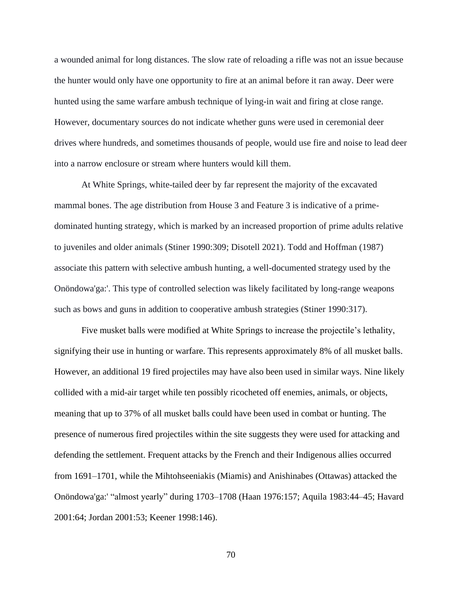a wounded animal for long distances. The slow rate of reloading a rifle was not an issue because the hunter would only have one opportunity to fire at an animal before it ran away. Deer were hunted using the same warfare ambush technique of lying-in wait and firing at close range. However, documentary sources do not indicate whether guns were used in ceremonial deer drives where hundreds, and sometimes thousands of people, would use fire and noise to lead deer into a narrow enclosure or stream where hunters would kill them.

At White Springs, white-tailed deer by far represent the majority of the excavated mammal bones. The age distribution from House 3 and Feature 3 is indicative of a primedominated hunting strategy, which is marked by an increased proportion of prime adults relative to juveniles and older animals (Stiner 1990:309; Disotell 2021). Todd and Hoffman (1987) associate this pattern with selective ambush hunting, a well-documented strategy used by the Onöndowa'ga:'. This type of controlled selection was likely facilitated by long-range weapons such as bows and guns in addition to cooperative ambush strategies (Stiner 1990:317).

Five musket balls were modified at White Springs to increase the projectile's lethality, signifying their use in hunting or warfare. This represents approximately 8% of all musket balls. However, an additional 19 fired projectiles may have also been used in similar ways. Nine likely collided with a mid-air target while ten possibly ricocheted off enemies, animals, or objects, meaning that up to 37% of all musket balls could have been used in combat or hunting. The presence of numerous fired projectiles within the site suggests they were used for attacking and defending the settlement. Frequent attacks by the French and their Indigenous allies occurred from 1691–1701, while the Mihtohseeniakis (Miamis) and Anishinabes (Ottawas) attacked the Onöndowa'ga:' "almost yearly" during 1703–1708 (Haan 1976:157; Aquila 1983:44–45; Havard 2001:64; Jordan 2001:53; Keener 1998:146).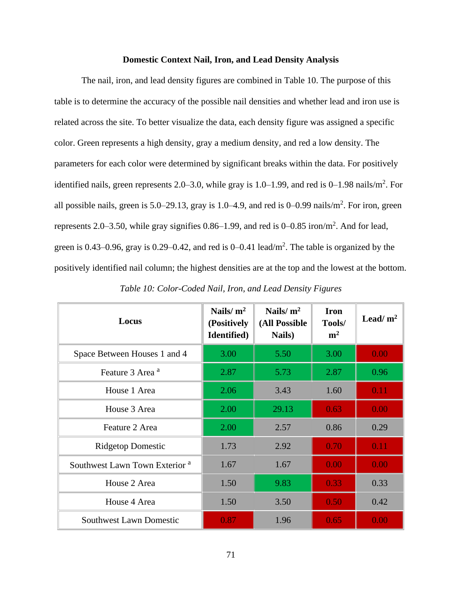## **Domestic Context Nail, Iron, and Lead Density Analysis**

The nail, iron, and lead density figures are combined in Table 10. The purpose of this table is to determine the accuracy of the possible nail densities and whether lead and iron use is related across the site. To better visualize the data, each density figure was assigned a specific color. Green represents a high density, gray a medium density, and red a low density. The parameters for each color were determined by significant breaks within the data. For positively identified nails, green represents 2.0–3.0, while gray is  $1.0-1.99$ , and red is  $0-1.98$  nails/m<sup>2</sup>. For all possible nails, green is  $5.0-29.13$ , gray is  $1.0-4.9$ , and red is  $0-0.99$  nails/m<sup>2</sup>. For iron, green represents 2.0–3.50, while gray signifies  $0.86-1.99$ , and red is  $0-0.85$  iron/m<sup>2</sup>. And for lead, green is 0.43–0.96, gray is 0.29–0.42, and red is  $0-0.41$  lead/m<sup>2</sup>. The table is organized by the positively identified nail column; the highest densities are at the top and the lowest at the bottom.

| Locus                                     | Nails/ $m2$<br>(Positively<br>Identified) | Nails/ $m2$<br>(All Possible<br>Nails) | <b>Iron</b><br>Tools/<br>m <sup>2</sup> | Lead/ $m2$ |
|-------------------------------------------|-------------------------------------------|----------------------------------------|-----------------------------------------|------------|
| Space Between Houses 1 and 4              | 3.00                                      | 5.50                                   | 3.00                                    | 0.00       |
| Feature 3 Area <sup>a</sup>               | 2.87                                      | 5.73                                   | 2.87                                    | 0.96       |
| House 1 Area                              | 2.06                                      | 3.43                                   | 1.60                                    | 0.11       |
| House 3 Area                              | 2.00                                      | 29.13                                  | 0.63                                    | 0.00       |
| Feature 2 Area                            | 2.00                                      | 2.57                                   | 0.86                                    | 0.29       |
| <b>Ridgetop Domestic</b>                  | 1.73                                      | 2.92                                   | 0.70                                    | 0.11       |
| Southwest Lawn Town Exterior <sup>a</sup> | 1.67                                      | 1.67                                   | 0.00                                    | 0.00       |
| House 2 Area                              | 1.50                                      | 9.83                                   | 0.33                                    | 0.33       |
| House 4 Area                              | 1.50                                      | 3.50                                   | 0.50                                    | 0.42       |
| <b>Southwest Lawn Domestic</b>            | 0.87                                      | 1.96                                   | 0.65                                    | 0.00       |

*Table 10: Color-Coded Nail, Iron, and Lead Density Figures*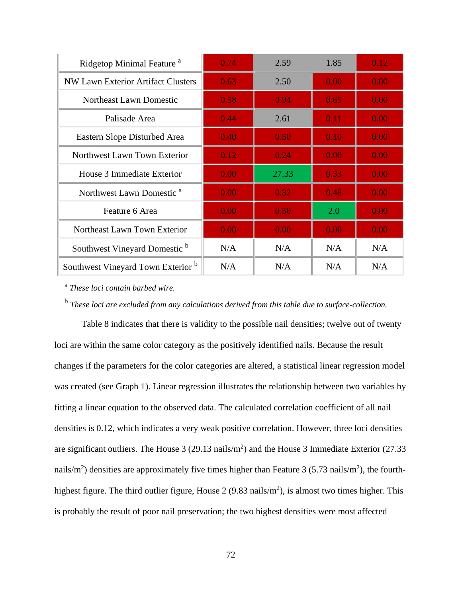| Ridgetop Minimal Feature <sup>a</sup>     | 0.74 | 2.59  | 1.85 | 0.12 |
|-------------------------------------------|------|-------|------|------|
| <b>NW Lawn Exterior Artifact Clusters</b> | 0.63 | 2.50  | 0.00 | 0.00 |
| Northeast Lawn Domestic                   | 0.58 | 0.94  | 0.65 | 0.00 |
| Palisade Area                             | 0.44 | 2.61  | 0.11 | 0.00 |
| Eastern Slope Disturbed Area              | 0.40 | 0.50  | 0.10 | 0.00 |
| Northwest Lawn Town Exterior              | 0.12 | 0.24  | 0.00 | 0.00 |
| House 3 Immediate Exterior                | 0.00 | 27.33 | 0.33 | 0.00 |
| Northwest Lawn Domestic <sup>a</sup>      | 0.00 | 0.32  | 0.48 | 0.00 |
| Feature 6 Area                            | 0.00 | 0.50  | 2.0  | 0.00 |
| Northeast Lawn Town Exterior              | 0.00 | 0.00  | 0.00 | 0.00 |
| Southwest Vineyard Domestic b             | N/A  | N/A   | N/A  | N/A  |
| Southwest Vineyard Town Exterior b        | N/A  | N/A   | N/A  | N/A  |

a *These loci contain barbed wire.* 

b *These loci are excluded from any calculations derived from this table due to surface-collection.*

Table 8 indicates that there is validity to the possible nail densities; twelve out of twenty loci are within the same color category as the positively identified nails. Because the result changes if the parameters for the color categories are altered, a statistical linear regression model was created (see Graph 1). Linear regression illustrates the relationship between two variables by fitting a linear equation to the observed data. The calculated correlation coefficient of all nail densities is 0.12, which indicates a very weak positive correlation. However, three loci densities are significant outliers. The House  $3(29.13 \text{ nails/m}^2)$  and the House 3 Immediate Exterior (27.33) nails/m<sup>2</sup>) densities are approximately five times higher than Feature 3 (5.73 nails/m<sup>2</sup>), the fourthhighest figure. The third outlier figure, House 2 (9.83 nails/ $m<sup>2</sup>$ ), is almost two times higher. This is probably the result of poor nail preservation; the two highest densities were most affected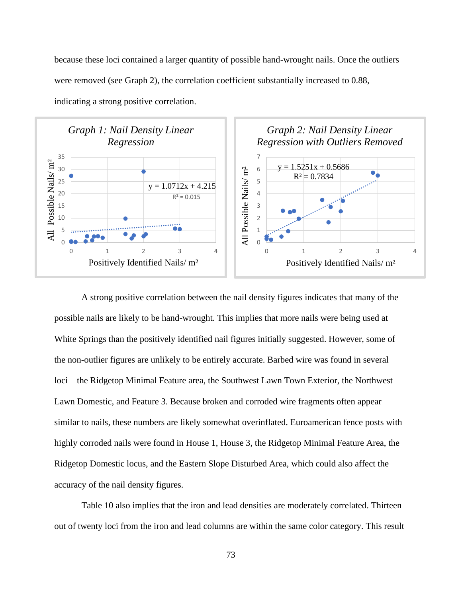because these loci contained a larger quantity of possible hand-wrought nails. Once the outliers were removed (see Graph 2), the correlation coefficient substantially increased to 0.88,



indicating a strong positive correlation.

A strong positive correlation between the nail density figures indicates that many of the possible nails are likely to be hand-wrought. This implies that more nails were being used at White Springs than the positively identified nail figures initially suggested. However, some of the non-outlier figures are unlikely to be entirely accurate. Barbed wire was found in several loci—the Ridgetop Minimal Feature area, the Southwest Lawn Town Exterior, the Northwest Lawn Domestic, and Feature 3. Because broken and corroded wire fragments often appear similar to nails, these numbers are likely somewhat overinflated. Euroamerican fence posts with highly corroded nails were found in House 1, House 3, the Ridgetop Minimal Feature Area, the Ridgetop Domestic locus, and the Eastern Slope Disturbed Area, which could also affect the accuracy of the nail density figures.

Table 10 also implies that the iron and lead densities are moderately correlated. Thirteen out of twenty loci from the iron and lead columns are within the same color category. This result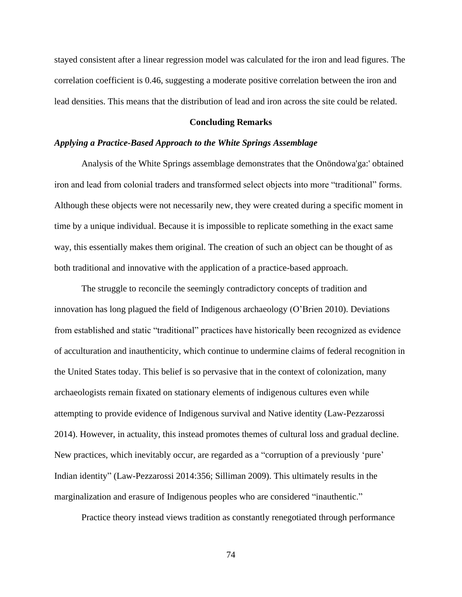stayed consistent after a linear regression model was calculated for the iron and lead figures. The correlation coefficient is 0.46, suggesting a moderate positive correlation between the iron and lead densities. This means that the distribution of lead and iron across the site could be related.

#### **Concluding Remarks**

#### *Applying a Practice-Based Approach to the White Springs Assemblage*

Analysis of the White Springs assemblage demonstrates that the Onöndowa'ga:' obtained iron and lead from colonial traders and transformed select objects into more "traditional" forms. Although these objects were not necessarily new, they were created during a specific moment in time by a unique individual. Because it is impossible to replicate something in the exact same way, this essentially makes them original. The creation of such an object can be thought of as both traditional and innovative with the application of a practice-based approach.

The struggle to reconcile the seemingly contradictory concepts of tradition and innovation has long plagued the field of Indigenous archaeology (O'Brien 2010). Deviations from established and static "traditional" practices have historically been recognized as evidence of acculturation and inauthenticity, which continue to undermine claims of federal recognition in the United States today. This belief is so pervasive that in the context of colonization, many archaeologists remain fixated on stationary elements of indigenous cultures even while attempting to provide evidence of Indigenous survival and Native identity (Law-Pezzarossi 2014). However, in actuality, this instead promotes themes of cultural loss and gradual decline. New practices, which inevitably occur, are regarded as a "corruption of a previously 'pure' Indian identity" (Law-Pezzarossi 2014:356; Silliman 2009). This ultimately results in the marginalization and erasure of Indigenous peoples who are considered "inauthentic."

Practice theory instead views tradition as constantly renegotiated through performance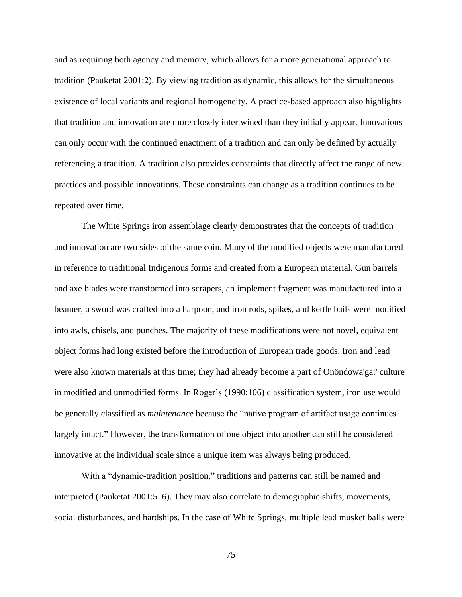and as requiring both agency and memory, which allows for a more generational approach to tradition (Pauketat 2001:2). By viewing tradition as dynamic, this allows for the simultaneous existence of local variants and regional homogeneity. A practice-based approach also highlights that tradition and innovation are more closely intertwined than they initially appear. Innovations can only occur with the continued enactment of a tradition and can only be defined by actually referencing a tradition. A tradition also provides constraints that directly affect the range of new practices and possible innovations. These constraints can change as a tradition continues to be repeated over time.

The White Springs iron assemblage clearly demonstrates that the concepts of tradition and innovation are two sides of the same coin. Many of the modified objects were manufactured in reference to traditional Indigenous forms and created from a European material. Gun barrels and axe blades were transformed into scrapers, an implement fragment was manufactured into a beamer, a sword was crafted into a harpoon, and iron rods, spikes, and kettle bails were modified into awls, chisels, and punches. The majority of these modifications were not novel, equivalent object forms had long existed before the introduction of European trade goods. Iron and lead were also known materials at this time; they had already become a part of Onöndowa'ga:' culture in modified and unmodified forms. In Roger's (1990:106) classification system, iron use would be generally classified as *maintenance* because the "native program of artifact usage continues largely intact." However, the transformation of one object into another can still be considered innovative at the individual scale since a unique item was always being produced.

With a "dynamic-tradition position," traditions and patterns can still be named and interpreted (Pauketat 2001:5–6). They may also correlate to demographic shifts, movements, social disturbances, and hardships. In the case of White Springs, multiple lead musket balls were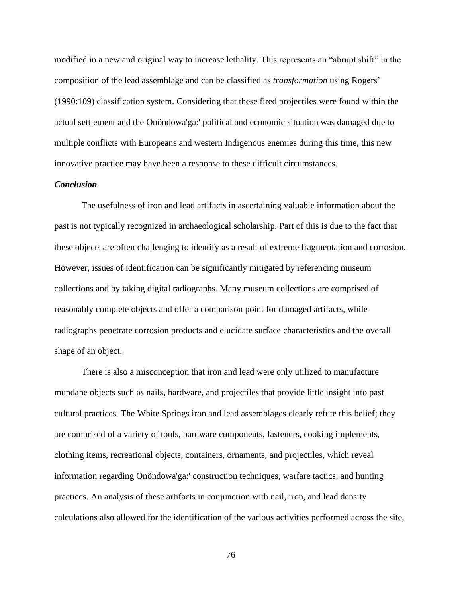modified in a new and original way to increase lethality. This represents an "abrupt shift" in the composition of the lead assemblage and can be classified as *transformation* using Rogers' (1990:109) classification system. Considering that these fired projectiles were found within the actual settlement and the Onöndowa'ga:' political and economic situation was damaged due to multiple conflicts with Europeans and western Indigenous enemies during this time, this new innovative practice may have been a response to these difficult circumstances.

# *Conclusion*

The usefulness of iron and lead artifacts in ascertaining valuable information about the past is not typically recognized in archaeological scholarship. Part of this is due to the fact that these objects are often challenging to identify as a result of extreme fragmentation and corrosion. However, issues of identification can be significantly mitigated by referencing museum collections and by taking digital radiographs. Many museum collections are comprised of reasonably complete objects and offer a comparison point for damaged artifacts, while radiographs penetrate corrosion products and elucidate surface characteristics and the overall shape of an object.

There is also a misconception that iron and lead were only utilized to manufacture mundane objects such as nails, hardware, and projectiles that provide little insight into past cultural practices. The White Springs iron and lead assemblages clearly refute this belief; they are comprised of a variety of tools, hardware components, fasteners, cooking implements, clothing items, recreational objects, containers, ornaments, and projectiles, which reveal information regarding Onöndowa'ga:' construction techniques, warfare tactics, and hunting practices. An analysis of these artifacts in conjunction with nail, iron, and lead density calculations also allowed for the identification of the various activities performed across the site,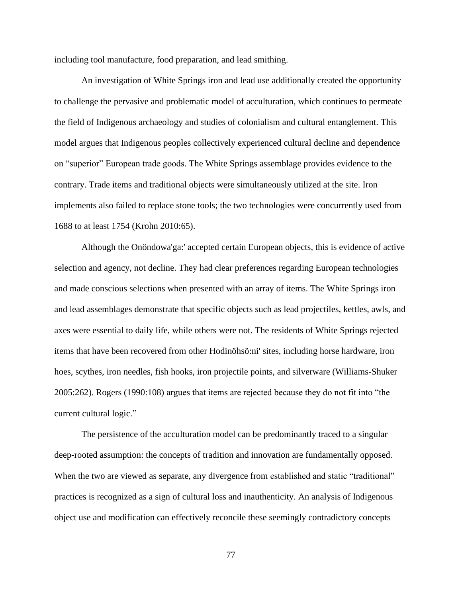including tool manufacture, food preparation, and lead smithing.

An investigation of White Springs iron and lead use additionally created the opportunity to challenge the pervasive and problematic model of acculturation, which continues to permeate the field of Indigenous archaeology and studies of colonialism and cultural entanglement. This model argues that Indigenous peoples collectively experienced cultural decline and dependence on "superior" European trade goods. The White Springs assemblage provides evidence to the contrary. Trade items and traditional objects were simultaneously utilized at the site. Iron implements also failed to replace stone tools; the two technologies were concurrently used from 1688 to at least 1754 (Krohn 2010:65).

Although the Onöndowa'ga:' accepted certain European objects, this is evidence of active selection and agency, not decline. They had clear preferences regarding European technologies and made conscious selections when presented with an array of items. The White Springs iron and lead assemblages demonstrate that specific objects such as lead projectiles, kettles, awls, and axes were essential to daily life, while others were not. The residents of White Springs rejected items that have been recovered from other Hodinöhsö:ni' sites, including horse hardware, iron hoes, scythes, iron needles, fish hooks, iron projectile points, and silverware (Williams-Shuker 2005:262). Rogers (1990:108) argues that items are rejected because they do not fit into "the current cultural logic."

The persistence of the acculturation model can be predominantly traced to a singular deep-rooted assumption: the concepts of tradition and innovation are fundamentally opposed. When the two are viewed as separate, any divergence from established and static "traditional" practices is recognized as a sign of cultural loss and inauthenticity. An analysis of Indigenous object use and modification can effectively reconcile these seemingly contradictory concepts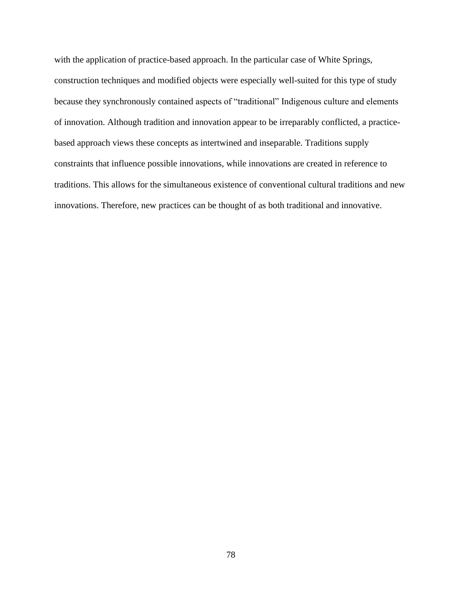with the application of practice-based approach. In the particular case of White Springs, construction techniques and modified objects were especially well-suited for this type of study because they synchronously contained aspects of "traditional" Indigenous culture and elements of innovation. Although tradition and innovation appear to be irreparably conflicted, a practicebased approach views these concepts as intertwined and inseparable. Traditions supply constraints that influence possible innovations, while innovations are created in reference to traditions. This allows for the simultaneous existence of conventional cultural traditions and new innovations. Therefore, new practices can be thought of as both traditional and innovative.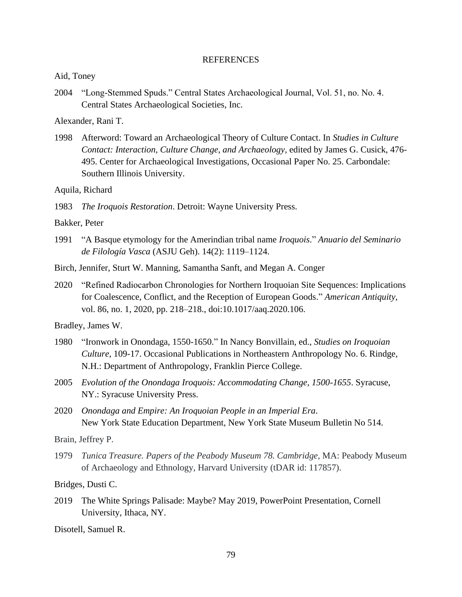## REFERENCES

Aid, Toney

2004 "Long-Stemmed Spuds." Central States Archaeological Journal, Vol. 51, no. No. 4. Central States Archaeological Societies, Inc.

Alexander, Rani T.

1998 Afterword: Toward an Archaeological Theory of Culture Contact. In *Studies in Culture Contact: Interaction, Culture Change, and Archaeology*, edited by James G. Cusick, 476- 495. Center for Archaeological Investigations, Occasional Paper No. 25. Carbondale: Southern Illinois University.

Aquila, Richard

1983 *The Iroquois Restoration*. Detroit: Wayne University Press.

Bakker, Peter

- 1991 "A Basque etymology for the Amerindian tribal name *Iroquois*." *Anuario del Seminario de Filología Vasca* (ASJU Geh). 14(2): 1119–1124.
- Birch, Jennifer, Sturt W. Manning, Samantha Sanft, and Megan A. Conger
- 2020 "Refined Radiocarbon Chronologies for Northern Iroquoian Site Sequences: Implications for Coalescence, Conflict, and the Reception of European Goods." *American Antiquity*, vol. 86, no. 1, 2020, pp. 218–218., doi:10.1017/aaq.2020.106.

Bradley, James W.

- 1980 "Ironwork in Onondaga, 1550-1650." In Nancy Bonvillain, ed., *Studies on Iroquoian Culture*, 109-17. Occasional Publications in Northeastern Anthropology No. 6. Rindge, N.H.: Department of Anthropology, Franklin Pierce College.
- 2005 *Evolution of the Onondaga Iroquois: Accommodating Change, 1500-1655*. Syracuse, NY.: Syracuse University Press.
- 2020 *Onondaga and Empire: An Iroquoian People in an Imperial Era*. New York State Education Department, New York State Museum Bulletin No 514.

Brain, Jeffrey P.

1979 *Tunica Treasure. Papers of the Peabody Museum 78. Cambridge*, MA: Peabody Museum of Archaeology and Ethnology, Harvard University (tDAR id: 117857).

Bridges, Dusti C.

2019 The White Springs Palisade: Maybe? May 2019, PowerPoint Presentation, Cornell University, Ithaca, NY.

Disotell, Samuel R.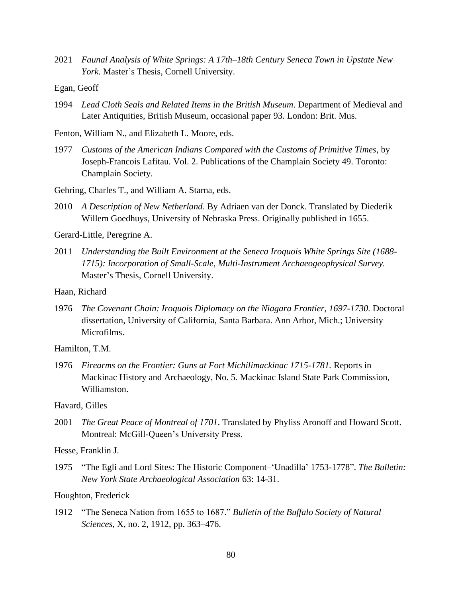- 2021 *Faunal Analysis of White Springs: A 17th–18th Century Seneca Town in Upstate New York.* Master's Thesis, Cornell University.
- Egan, Geoff
- 1994 *Lead Cloth Seals and Related Items in the British Museum*. Department of Medieval and Later Antiquities, British Museum, occasional paper 93. London: Brit. Mus.
- Fenton, William N., and Elizabeth L. Moore, eds.
- 1977 *Customs of the American Indians Compared with the Customs of Primitive Times*, by Joseph-Francois Lafitau. Vol. 2. Publications of the Champlain Society 49. Toronto: Champlain Society.
- Gehring, Charles T., and William A. Starna, eds.
- 2010 *A Description of New Netherland*. By Adriaen van der Donck. Translated by Diederik Willem Goedhuys, University of Nebraska Press. Originally published in 1655.

Gerard-Little, Peregrine A.

2011 *Understanding the Built Environment at the Seneca Iroquois White Springs Site (1688- 1715): Incorporation of Small-Scale, Multi-Instrument Archaeogeophysical Survey.* Master's Thesis, Cornell University.

Haan, Richard

1976 *The Covenant Chain: Iroquois Diplomacy on the Niagara Frontier, 1697-1730.* Doctoral dissertation, University of California, Santa Barbara. Ann Arbor, Mich.; University Microfilms.

Hamilton, T.M.

1976 *Firearms on the Frontier: Guns at Fort Michilimackinac 1715-1781.* Reports in Mackinac History and Archaeology, No. 5*.* Mackinac Island State Park Commission, Williamston.

Havard, Gilles

2001 *The Great Peace of Montreal of 1701*. Translated by Phyliss Aronoff and Howard Scott. Montreal: McGill-Queen's University Press.

Hesse, Franklin J.

1975 "The Egli and Lord Sites: The Historic Component–'Unadilla' 1753-1778". *The Bulletin: New York State Archaeological Association* 63: 14-31.

Houghton, Frederick

1912 "The Seneca Nation from 1655 to 1687." *Bulletin of the Buffalo Society of Natural Sciences*, X, no. 2, 1912, pp. 363–476.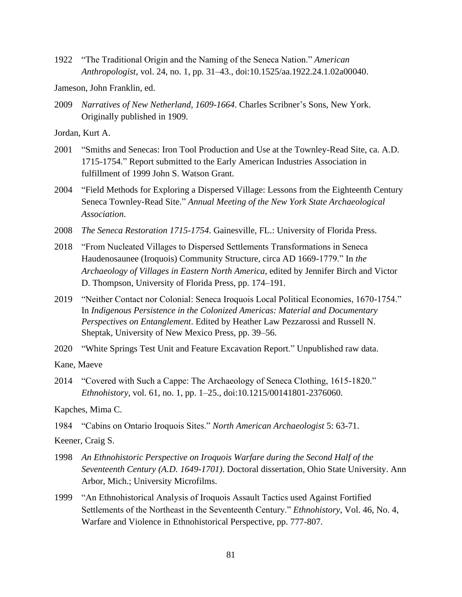1922 "The Traditional Origin and the Naming of the Seneca Nation." *American Anthropologist*, vol. 24, no. 1, pp. 31–43., doi:10.1525/aa.1922.24.1.02a00040.

Jameson, John Franklin, ed.

2009 *Narratives of New Netherland, 1609-1664*. Charles Scribner's Sons, New York. Originally published in 1909.

Jordan, Kurt A.

- 2001 "Smiths and Senecas: Iron Tool Production and Use at the Townley-Read Site, ca. A.D. 1715-1754." Report submitted to the Early American Industries Association in fulfillment of 1999 John S. Watson Grant.
- 2004 "Field Methods for Exploring a Dispersed Village: Lessons from the Eighteenth Century Seneca Townley-Read Site." *Annual Meeting of the New York State Archaeological Association*.
- 2008 *The Seneca Restoration 1715-1754*. Gainesville, FL.: University of Florida Press.
- 2018 "From Nucleated Villages to Dispersed Settlements Transformations in Seneca Haudenosaunee (Iroquois) Community Structure, circa AD 1669-1779." In *the Archaeology of Villages in Eastern North America*, edited by Jennifer Birch and Victor D. Thompson, University of Florida Press, pp. 174–191.
- 2019 "Neither Contact nor Colonial: Seneca Iroquois Local Political Economies, 1670-1754." In *Indigenous Persistence in the Colonized Americas: Material and Documentary Perspectives on Entanglement*. Edited by Heather Law Pezzarossi and Russell N. Sheptak, University of New Mexico Press, pp. 39–56.
- 2020 "White Springs Test Unit and Feature Excavation Report." Unpublished raw data.

Kane, Maeve

2014 "Covered with Such a Cappe: The Archaeology of Seneca Clothing, 1615-1820." *Ethnohistory*, vol. 61, no. 1, pp. 1–25., doi:10.1215/00141801-2376060.

Kapches, Mima C.

1984 "Cabins on Ontario Iroquois Sites." *North American Archaeologist* 5: 63-71.

Keener, Craig S.

- 1998 *An Ethnohistoric Perspective on Iroquois Warfare during the Second Half of the Seventeenth Century (A.D. 1649-1701)*. Doctoral dissertation, Ohio State University. Ann Arbor, Mich.; University Microfilms.
- 1999 "An Ethnohistorical Analysis of Iroquois Assault Tactics used Against Fortified Settlements of the Northeast in the Seventeenth Century." *Ethnohistory*, Vol. 46, No. 4, Warfare and Violence in Ethnohistorical Perspective, pp. 777-807.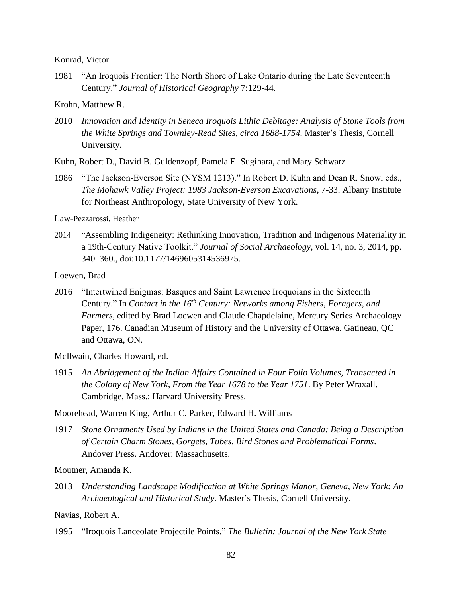Konrad, Victor

1981 "An Iroquois Frontier: The North Shore of Lake Ontario during the Late Seventeenth Century." *Journal of Historical Geography* 7:129-44.

Krohn, Matthew R.

2010 *Innovation and Identity in Seneca Iroquois Lithic Debitage: Analysis of Stone Tools from the White Springs and Townley-Read Sites, circa 1688-1754.* Master's Thesis, Cornell University.

Kuhn, Robert D., David B. Guldenzopf, Pamela E. Sugihara, and Mary Schwarz

1986 "The Jackson-Everson Site (NYSM 1213)." In Robert D. Kuhn and Dean R. Snow, eds., *The Mohawk Valley Project: 1983 Jackson-Everson Excavations*, 7-33. Albany Institute for Northeast Anthropology, State University of New York.

Law-Pezzarossi, Heather

2014 "Assembling Indigeneity: Rethinking Innovation, Tradition and Indigenous Materiality in a 19th-Century Native Toolkit." *Journal of Social Archaeology*, vol. 14, no. 3, 2014, pp. 340–360., doi:10.1177/1469605314536975.

Loewen, Brad

- 2016 "Intertwined Enigmas: Basques and Saint Lawrence Iroquoians in the Sixteenth Century." In *Contact in the 16th Century: Networks among Fishers, Foragers, and Farmers*, edited by Brad Loewen and Claude Chapdelaine, Mercury Series Archaeology Paper, 176. Canadian Museum of History and the University of Ottawa. Gatineau, QC and Ottawa, ON.
- McIlwain, Charles Howard, ed.
- 1915 *An Abridgement of the Indian Affairs Contained in Four Folio Volumes, Transacted in the Colony of New York, From the Year 1678 to the Year 1751*. By Peter Wraxall. Cambridge, Mass.: Harvard University Press.

Moorehead, Warren King, Arthur C. Parker, Edward H. Williams

1917 *Stone Ornaments Used by Indians in the United States and Canada: Being a Description of Certain Charm Stones, Gorgets, Tubes, Bird Stones and Problematical Forms*. Andover Press. Andover: Massachusetts.

Moutner, Amanda K.

2013 *Understanding Landscape Modification at White Springs Manor, Geneva, New York: An Archaeological and Historical Study.* Master's Thesis, Cornell University.

Navias, Robert A.

1995 "Iroquois Lanceolate Projectile Points." *The Bulletin: Journal of the New York State*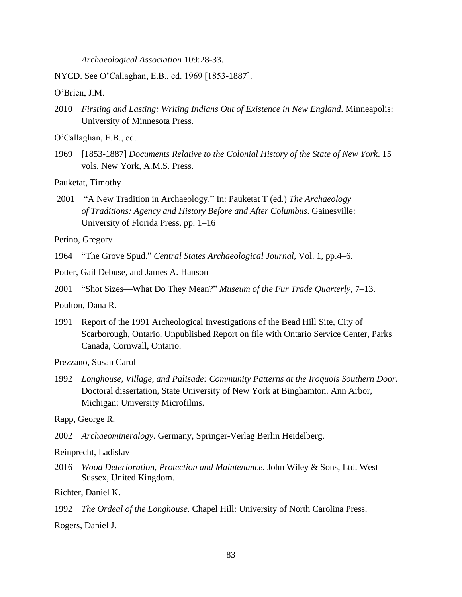*Archaeological Association* 109:28-33.

NYCD. See O'Callaghan, E.B., ed. 1969 [1853-1887].

O'Brien, J.M.

- 2010 *Firsting and Lasting: Writing Indians Out of Existence in New England*. Minneapolis: University of Minnesota Press.
- O'Callaghan, E.B., ed.
- 1969 [1853-1887] *Documents Relative to the Colonial History of the State of New York*. 15 vols. New York, A.M.S. Press.

Pauketat, Timothy

2001 "A New Tradition in Archaeology." In: Pauketat T (ed.) *The Archaeology of Traditions: Agency and History Before and After Columbus*. Gainesville: University of Florida Press, pp. 1–16

Perino, Gregory

1964 "The Grove Spud." *Central States Archaeological Journal*, Vol. 1, pp.4–6.

- Potter, Gail Debuse, and James A. Hanson
- 2001 "Shot Sizes—What Do They Mean?" *Museum of the Fur Trade Quarterly*, 7–13.

Poulton, Dana R.

1991 Report of the 1991 Archeological Investigations of the Bead Hill Site, City of Scarborough, Ontario. Unpublished Report on file with Ontario Service Center, Parks Canada, Cornwall, Ontario.

Prezzano, Susan Carol

1992 *Longhouse, Village, and Palisade: Community Patterns at the Iroquois Southern Door.* Doctoral dissertation, State University of New York at Binghamton. Ann Arbor, Michigan: University Microfilms.

Rapp, George R.

- 2002 *Archaeomineralogy*. Germany, Springer-Verlag Berlin Heidelberg.
- Reinprecht, Ladislav
- 2016 *Wood Deterioration, Protection and Maintenance*. John Wiley & Sons, Ltd. West Sussex, United Kingdom.

Richter, Daniel K.

1992 *The Ordeal of the Longhouse.* Chapel Hill: University of North Carolina Press.

Rogers, Daniel J.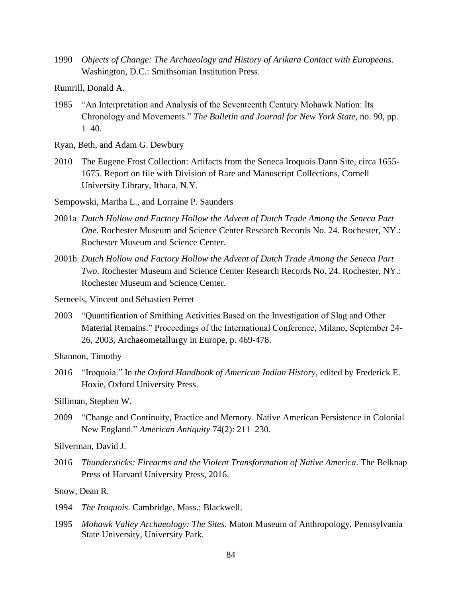1990 *Objects of Change: The Archaeology and History of Arikara Contact with Europeans*. Washington, D.C.: Smithsonian Institution Press.

Rumrill, Donald A.

- 1985 "An Interpretation and Analysis of the Seventeenth Century Mohawk Nation: Its Chronology and Movements." *The Bulletin and Journal for New York State*, no. 90, pp. 1–40.
- Ryan, Beth, and Adam G. Dewbury
- 2010 The Eugene Frost Collection: Artifacts from the Seneca Iroquois Dann Site, circa 1655- 1675. Report on file with Division of Rare and Manuscript Collections, Cornell University Library, Ithaca, N.Y.

Sempowski, Martha L., and Lorraine P. Saunders

- 2001a *Dutch Hollow and Factory Hollow the Advent of Dutch Trade Among the Seneca Part One*. Rochester Museum and Science Center Research Records No. 24. Rochester, NY.: Rochester Museum and Science Center.
- 2001b *Dutch Hollow and Factory Hollow the Advent of Dutch Trade Among the Seneca Part Two*. Rochester Museum and Science Center Research Records No. 24. Rochester, NY.: Rochester Museum and Science Center.
- Serneels, Vincent and Sébastien Perret
- 2003 "Quantification of Smithing Activities Based on the Investigation of Slag and Other Material Remains." Proceedings of the International Conference, Milano, September 24- 26, 2003, Archaeometallurgy in Europe, p. 469-478.

Shannon, Timothy

2016 "Iroquoia." In *the Oxford Handbook of American Indian History*, edited by Frederick E. Hoxie, Oxford University Press.

Silliman, Stephen W.

2009 "Change and Continuity, Practice and Memory. Native American Persistence in Colonial New England." *American Antiquity* 74(2): 211–230.

Silverman, David J.

2016 *Thundersticks: Firearms and the Violent Transformation of Native America*. The Belknap Press of Harvard University Press, 2016.

Snow, Dean R.

- 1994 *The Iroquois*. Cambridge, Mass.: Blackwell.
- 1995 *Mohawk Valley Archaeology: The Sites*. Maton Museum of Anthropology, Pennsylvania State University, University Park.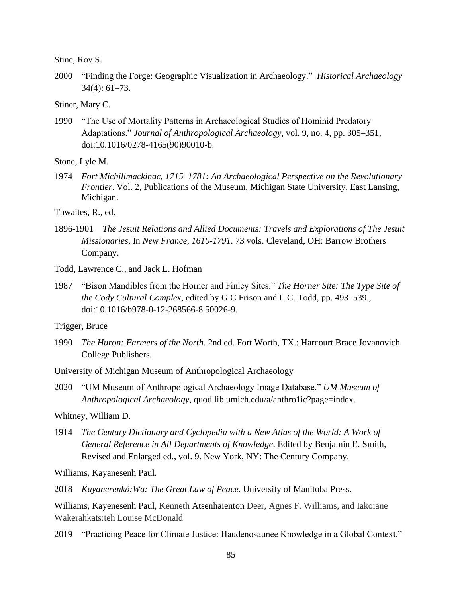Stine, Roy S.

- 2000 "Finding the Forge: Geographic Visualization in Archaeology." *Historical Archaeology* 34(4): 61–73.
- Stiner, Mary C.
- 1990 "The Use of Mortality Patterns in Archaeological Studies of Hominid Predatory Adaptations." *Journal of Anthropological Archaeology*, vol. 9, no. 4, pp. 305–351, doi:10.1016/0278-4165(90)90010-b.

Stone, Lyle M.

1974 *Fort Michilimackinac, 1715–1781: An Archaeological Perspective on the Revolutionary Frontier*. Vol. 2, Publications of the Museum, Michigan State University, East Lansing, Michigan.

Thwaites, R., ed.

1896-1901 *The Jesuit Relations and Allied Documents: Travels and Explorations of The Jesuit Missionaries,* In *New France, 1610-1791*. 73 vols. Cleveland, OH: Barrow Brothers Company.

Todd, Lawrence C., and Jack L. Hofman

1987 "Bison Mandibles from the Horner and Finley Sites." *The Horner Site: The Type Site of the Cody Cultural Complex*, edited by G.C Frison and L.C. Todd, pp. 493–539., doi:10.1016/b978-0-12-268566-8.50026-9.

Trigger, Bruce

1990 *The Huron: Farmers of the North*. 2nd ed. Fort Worth, TX.: Harcourt Brace Jovanovich College Publishers.

University of Michigan Museum of Anthropological Archaeology

2020 "UM Museum of Anthropological Archaeology Image Database." *UM Museum of Anthropological Archaeology*, quod.lib.umich.edu/a/anthro1ic?page=index.

Whitney, William D.

1914 *The Century Dictionary and Cyclopedia with a New Atlas of the World: A Work of General Reference in All Departments of Knowledge*. Edited by Benjamin E. Smith, Revised and Enlarged ed., vol. 9. New York, NY: The Century Company.

Williams, Kayanesenh Paul.

2018 *Kayanerenkó:Wa: The Great Law of Peace*. University of Manitoba Press.

Williams, Kayenesenh Paul, Kenneth Atsenhaienton Deer, Agnes F. Williams, and Iakoiane Wakerahkats:teh Louise McDonald

2019 "Practicing Peace for Climate Justice: Haudenosaunee Knowledge in a Global Context."